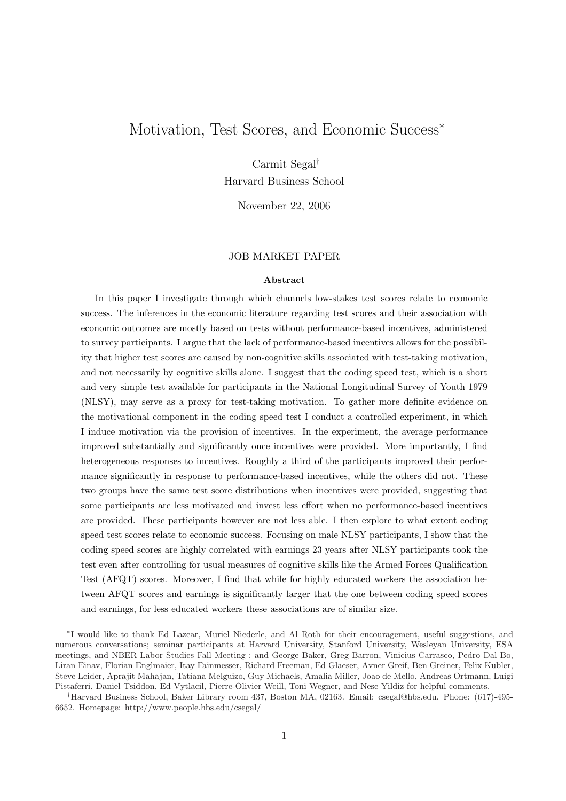# Motivation, Test Scores, and Economic Success<sup>∗</sup>

Carmit Segal†

Harvard Business School

November 22, 2006

## JOB MARKET PAPER

#### Abstract

In this paper I investigate through which channels low-stakes test scores relate to economic success. The inferences in the economic literature regarding test scores and their association with economic outcomes are mostly based on tests without performance-based incentives, administered to survey participants. I argue that the lack of performance-based incentives allows for the possibility that higher test scores are caused by non-cognitive skills associated with test-taking motivation, and not necessarily by cognitive skills alone. I suggest that the coding speed test, which is a short and very simple test available for participants in the National Longitudinal Survey of Youth 1979 (NLSY), may serve as a proxy for test-taking motivation. To gather more definite evidence on the motivational component in the coding speed test I conduct a controlled experiment, in which I induce motivation via the provision of incentives. In the experiment, the average performance improved substantially and significantly once incentives were provided. More importantly, I find heterogeneous responses to incentives. Roughly a third of the participants improved their performance significantly in response to performance-based incentives, while the others did not. These two groups have the same test score distributions when incentives were provided, suggesting that some participants are less motivated and invest less effort when no performance-based incentives are provided. These participants however are not less able. I then explore to what extent coding speed test scores relate to economic success. Focusing on male NLSY participants, I show that the coding speed scores are highly correlated with earnings 23 years after NLSY participants took the test even after controlling for usual measures of cognitive skills like the Armed Forces Qualification Test (AFQT) scores. Moreover, I find that while for highly educated workers the association between AFQT scores and earnings is significantly larger that the one between coding speed scores and earnings, for less educated workers these associations are of similar size.

<sup>∗</sup> I would like to thank Ed Lazear, Muriel Niederle, and Al Roth for their encouragement, useful suggestions, and numerous conversations; seminar participants at Harvard University, Stanford University, Wesleyan University, ESA meetings, and NBER Labor Studies Fall Meeting ; and George Baker, Greg Barron, Vinicius Carrasco, Pedro Dal Bo, Liran Einav, Florian Englmaier, Itay Fainmesser, Richard Freeman, Ed Glaeser, Avner Greif, Ben Greiner, Felix Kubler, Steve Leider, Aprajit Mahajan, Tatiana Melguizo, Guy Michaels, Amalia Miller, Joao de Mello, Andreas Ortmann, Luigi Pistaferri, Daniel Tsiddon, Ed Vytlacil, Pierre-Olivier Weill, Toni Wegner, and Nese Yildiz for helpful comments.

<sup>†</sup>Harvard Business School, Baker Library room 437, Boston MA, 02163. Email: csegal@hbs.edu. Phone: (617)-495- 6652. Homepage: http://www.people.hbs.edu/csegal/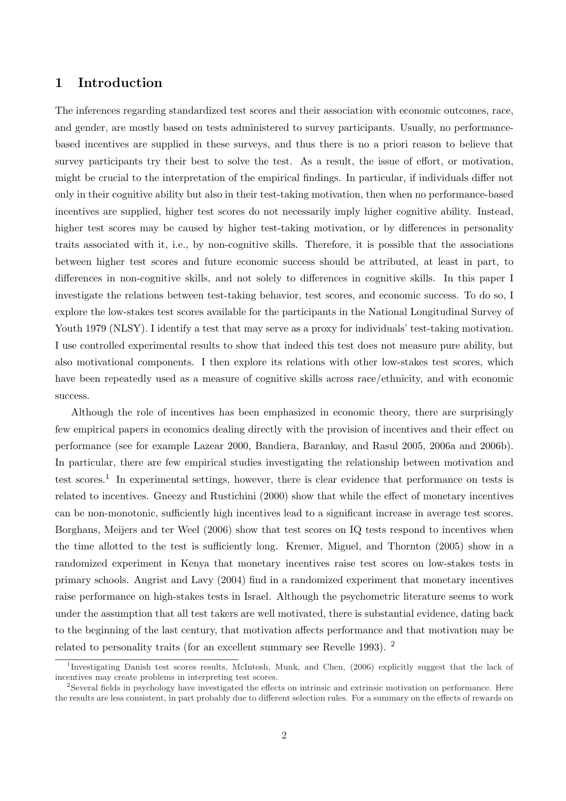# 1 Introduction

The inferences regarding standardized test scores and their association with economic outcomes, race, and gender, are mostly based on tests administered to survey participants. Usually, no performancebased incentives are supplied in these surveys, and thus there is no a priori reason to believe that survey participants try their best to solve the test. As a result, the issue of effort, or motivation, might be crucial to the interpretation of the empirical findings. In particular, if individuals differ not only in their cognitive ability but also in their test-taking motivation, then when no performance-based incentives are supplied, higher test scores do not necessarily imply higher cognitive ability. Instead, higher test scores may be caused by higher test-taking motivation, or by differences in personality traits associated with it, i.e., by non-cognitive skills. Therefore, it is possible that the associations between higher test scores and future economic success should be attributed, at least in part, to differences in non-cognitive skills, and not solely to differences in cognitive skills. In this paper I investigate the relations between test-taking behavior, test scores, and economic success. To do so, I explore the low-stakes test scores available for the participants in the National Longitudinal Survey of Youth 1979 (NLSY). I identify a test that may serve as a proxy for individuals' test-taking motivation. I use controlled experimental results to show that indeed this test does not measure pure ability, but also motivational components. I then explore its relations with other low-stakes test scores, which have been repeatedly used as a measure of cognitive skills across race/ethnicity, and with economic success.

Although the role of incentives has been emphasized in economic theory, there are surprisingly few empirical papers in economics dealing directly with the provision of incentives and their effect on performance (see for example Lazear 2000, Bandiera, Barankay, and Rasul 2005, 2006a and 2006b). In particular, there are few empirical studies investigating the relationship between motivation and test scores.<sup>1</sup> In experimental settings, however, there is clear evidence that performance on tests is related to incentives. Gneezy and Rustichini (2000) show that while the effect of monetary incentives can be non-monotonic, sufficiently high incentives lead to a significant increase in average test scores. Borghans, Meijers and ter Weel (2006) show that test scores on IQ tests respond to incentives when the time allotted to the test is sufficiently long. Kremer, Miguel, and Thornton (2005) show in a randomized experiment in Kenya that monetary incentives raise test scores on low-stakes tests in primary schools. Angrist and Lavy (2004) find in a randomized experiment that monetary incentives raise performance on high-stakes tests in Israel. Although the psychometric literature seems to work under the assumption that all test takers are well motivated, there is substantial evidence, dating back to the beginning of the last century, that motivation affects performance and that motivation may be related to personality traits (for an excellent summary see Revelle 1993). <sup>2</sup>

<sup>1</sup> Investigating Danish test scores results, McIntosh, Munk, and Chen, (2006) explicitly suggest that the lack of incentives may create problems in interpreting test scores.

<sup>&</sup>lt;sup>2</sup>Several fields in psychology have investigated the effects on intrinsic and extrinsic motivation on performance. Here the results are less consistent, in part probably due to different selection rules. For a summary on the effects of rewards on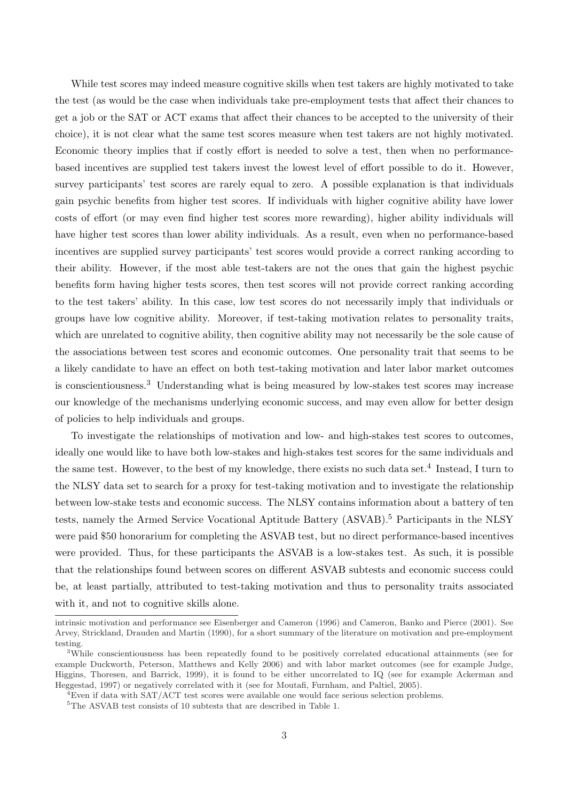While test scores may indeed measure cognitive skills when test takers are highly motivated to take the test (as would be the case when individuals take pre-employment tests that affect their chances to get a job or the SAT or ACT exams that affect their chances to be accepted to the university of their choice), it is not clear what the same test scores measure when test takers are not highly motivated. Economic theory implies that if costly effort is needed to solve a test, then when no performancebased incentives are supplied test takers invest the lowest level of effort possible to do it. However, survey participants' test scores are rarely equal to zero. A possible explanation is that individuals gain psychic benefits from higher test scores. If individuals with higher cognitive ability have lower costs of effort (or may even find higher test scores more rewarding), higher ability individuals will have higher test scores than lower ability individuals. As a result, even when no performance-based incentives are supplied survey participants' test scores would provide a correct ranking according to their ability. However, if the most able test-takers are not the ones that gain the highest psychic benefits form having higher tests scores, then test scores will not provide correct ranking according to the test takers' ability. In this case, low test scores do not necessarily imply that individuals or groups have low cognitive ability. Moreover, if test-taking motivation relates to personality traits, which are unrelated to cognitive ability, then cognitive ability may not necessarily be the sole cause of the associations between test scores and economic outcomes. One personality trait that seems to be a likely candidate to have an effect on both test-taking motivation and later labor market outcomes is conscientiousness.<sup>3</sup> Understanding what is being measured by low-stakes test scores may increase our knowledge of the mechanisms underlying economic success, and may even allow for better design of policies to help individuals and groups.

To investigate the relationships of motivation and low- and high-stakes test scores to outcomes, ideally one would like to have both low-stakes and high-stakes test scores for the same individuals and the same test. However, to the best of my knowledge, there exists no such data set.<sup>4</sup> Instead, I turn to the NLSY data set to search for a proxy for test-taking motivation and to investigate the relationship between low-stake tests and economic success. The NLSY contains information about a battery of ten tests, namely the Armed Service Vocational Aptitude Battery (ASVAB).<sup>5</sup> Participants in the NLSY were paid \$50 honorarium for completing the ASVAB test, but no direct performance-based incentives were provided. Thus, for these participants the ASVAB is a low-stakes test. As such, it is possible that the relationships found between scores on different ASVAB subtests and economic success could be, at least partially, attributed to test-taking motivation and thus to personality traits associated with it, and not to cognitive skills alone.

intrinsic motivation and performance see Eisenberger and Cameron (1996) and Cameron, Banko and Pierce (2001). See Arvey, Strickland, Drauden and Martin (1990), for a short summary of the literature on motivation and pre-employment testing.

<sup>3</sup>While conscientiousness has been repeatedly found to be positively correlated educational attainments (see for example Duckworth, Peterson, Matthews and Kelly 2006) and with labor market outcomes (see for example Judge, Higgins, Thoresen, and Barrick, 1999), it is found to be either uncorrelated to IQ (see for example Ackerman and Heggestad, 1997) or negatively correlated with it (see for Moutafi, Furnham, and Paltiel, 2005).

 ${}^{4}$ Even if data with SAT/ACT test scores were available one would face serious selection problems.

 ${\rm ^5The}$  ASVAB test consists of 10 subtests that are described in Table 1.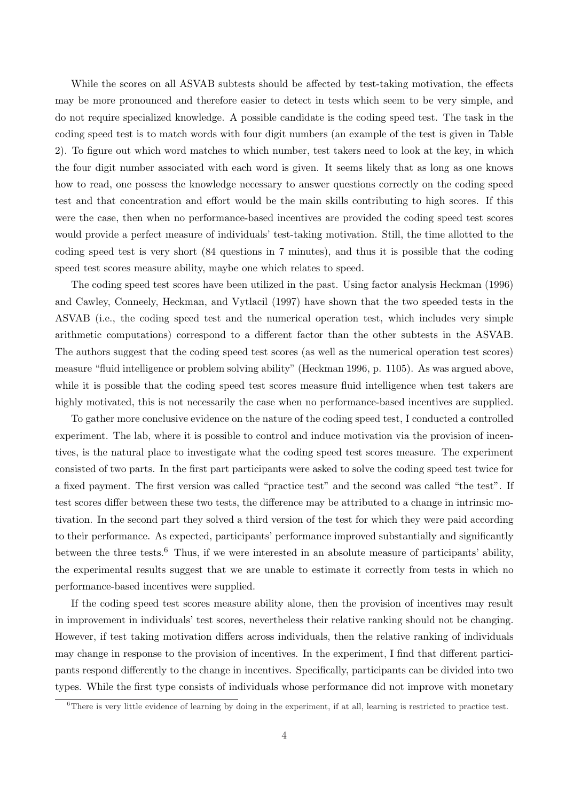While the scores on all ASVAB subtests should be affected by test-taking motivation, the effects may be more pronounced and therefore easier to detect in tests which seem to be very simple, and do not require specialized knowledge. A possible candidate is the coding speed test. The task in the coding speed test is to match words with four digit numbers (an example of the test is given in Table 2). To figure out which word matches to which number, test takers need to look at the key, in which the four digit number associated with each word is given. It seems likely that as long as one knows how to read, one possess the knowledge necessary to answer questions correctly on the coding speed test and that concentration and effort would be the main skills contributing to high scores. If this were the case, then when no performance-based incentives are provided the coding speed test scores would provide a perfect measure of individuals' test-taking motivation. Still, the time allotted to the coding speed test is very short (84 questions in 7 minutes), and thus it is possible that the coding speed test scores measure ability, maybe one which relates to speed.

The coding speed test scores have been utilized in the past. Using factor analysis Heckman (1996) and Cawley, Conneely, Heckman, and Vytlacil (1997) have shown that the two speeded tests in the ASVAB (i.e., the coding speed test and the numerical operation test, which includes very simple arithmetic computations) correspond to a different factor than the other subtests in the ASVAB. The authors suggest that the coding speed test scores (as well as the numerical operation test scores) measure "fluid intelligence or problem solving ability" (Heckman 1996, p. 1105). As was argued above, while it is possible that the coding speed test scores measure fluid intelligence when test takers are highly motivated, this is not necessarily the case when no performance-based incentives are supplied.

To gather more conclusive evidence on the nature of the coding speed test, I conducted a controlled experiment. The lab, where it is possible to control and induce motivation via the provision of incentives, is the natural place to investigate what the coding speed test scores measure. The experiment consisted of two parts. In the first part participants were asked to solve the coding speed test twice for a fixed payment. The first version was called "practice test" and the second was called "the test". If test scores differ between these two tests, the difference may be attributed to a change in intrinsic motivation. In the second part they solved a third version of the test for which they were paid according to their performance. As expected, participants' performance improved substantially and significantly between the three tests.<sup>6</sup> Thus, if we were interested in an absolute measure of participants' ability, the experimental results suggest that we are unable to estimate it correctly from tests in which no performance-based incentives were supplied.

If the coding speed test scores measure ability alone, then the provision of incentives may result in improvement in individuals' test scores, nevertheless their relative ranking should not be changing. However, if test taking motivation differs across individuals, then the relative ranking of individuals may change in response to the provision of incentives. In the experiment, I find that different participants respond differently to the change in incentives. Specifically, participants can be divided into two types. While the first type consists of individuals whose performance did not improve with monetary

 $\overline{6}$ There is very little evidence of learning by doing in the experiment, if at all, learning is restricted to practice test.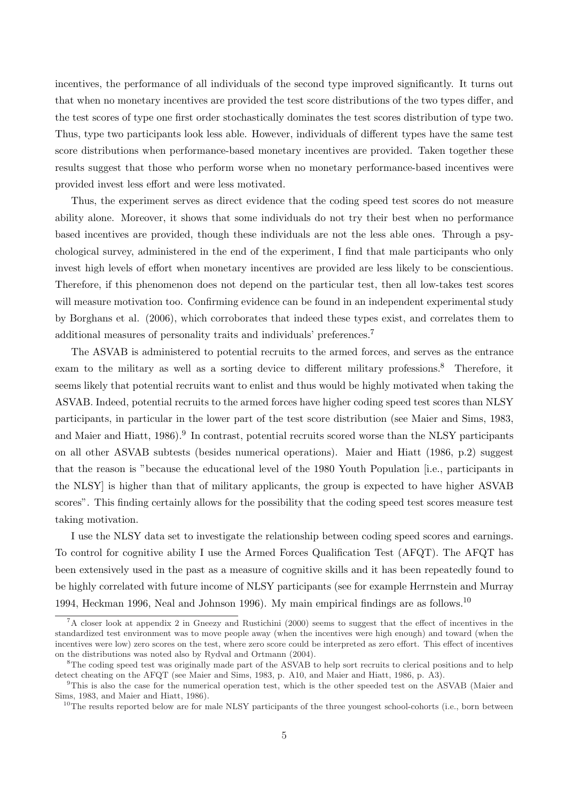incentives, the performance of all individuals of the second type improved significantly. It turns out that when no monetary incentives are provided the test score distributions of the two types differ, and the test scores of type one first order stochastically dominates the test scores distribution of type two. Thus, type two participants look less able. However, individuals of different types have the same test score distributions when performance-based monetary incentives are provided. Taken together these results suggest that those who perform worse when no monetary performance-based incentives were provided invest less effort and were less motivated.

Thus, the experiment serves as direct evidence that the coding speed test scores do not measure ability alone. Moreover, it shows that some individuals do not try their best when no performance based incentives are provided, though these individuals are not the less able ones. Through a psychological survey, administered in the end of the experiment, I find that male participants who only invest high levels of effort when monetary incentives are provided are less likely to be conscientious. Therefore, if this phenomenon does not depend on the particular test, then all low-takes test scores will measure motivation too. Confirming evidence can be found in an independent experimental study by Borghans et al. (2006), which corroborates that indeed these types exist, and correlates them to additional measures of personality traits and individuals' preferences.<sup>7</sup>

The ASVAB is administered to potential recruits to the armed forces, and serves as the entrance exam to the military as well as a sorting device to different military professions.<sup>8</sup> Therefore, it seems likely that potential recruits want to enlist and thus would be highly motivated when taking the ASVAB. Indeed, potential recruits to the armed forces have higher coding speed test scores than NLSY participants, in particular in the lower part of the test score distribution (see Maier and Sims, 1983, and Maier and Hiatt, 1986).<sup>9</sup> In contrast, potential recruits scored worse than the NLSY participants on all other ASVAB subtests (besides numerical operations). Maier and Hiatt (1986, p.2) suggest that the reason is "because the educational level of the 1980 Youth Population [i.e., participants in the NLSY] is higher than that of military applicants, the group is expected to have higher ASVAB scores". This finding certainly allows for the possibility that the coding speed test scores measure test taking motivation.

I use the NLSY data set to investigate the relationship between coding speed scores and earnings. To control for cognitive ability I use the Armed Forces Qualification Test (AFQT). The AFQT has been extensively used in the past as a measure of cognitive skills and it has been repeatedly found to be highly correlated with future income of NLSY participants (see for example Herrnstein and Murray 1994, Heckman 1996, Neal and Johnson 1996). My main empirical findings are as follows.<sup>10</sup>

<sup>7</sup>A closer look at appendix 2 in Gneezy and Rustichini (2000) seems to suggest that the effect of incentives in the standardized test environment was to move people away (when the incentives were high enough) and toward (when the incentives were low) zero scores on the test, where zero score could be interpreted as zero effort. This effect of incentives on the distributions was noted also by Rydval and Ortmann (2004).

<sup>&</sup>lt;sup>8</sup>The coding speed test was originally made part of the ASVAB to help sort recruits to clerical positions and to help detect cheating on the AFQT (see Maier and Sims, 1983, p. A10, and Maier and Hiatt, 1986, p. A3).

<sup>9</sup>This is also the case for the numerical operation test, which is the other speeded test on the ASVAB (Maier and Sims, 1983, and Maier and Hiatt, 1986).

<sup>&</sup>lt;sup>10</sup>The results reported below are for male NLSY participants of the three youngest school-cohorts (i.e., born between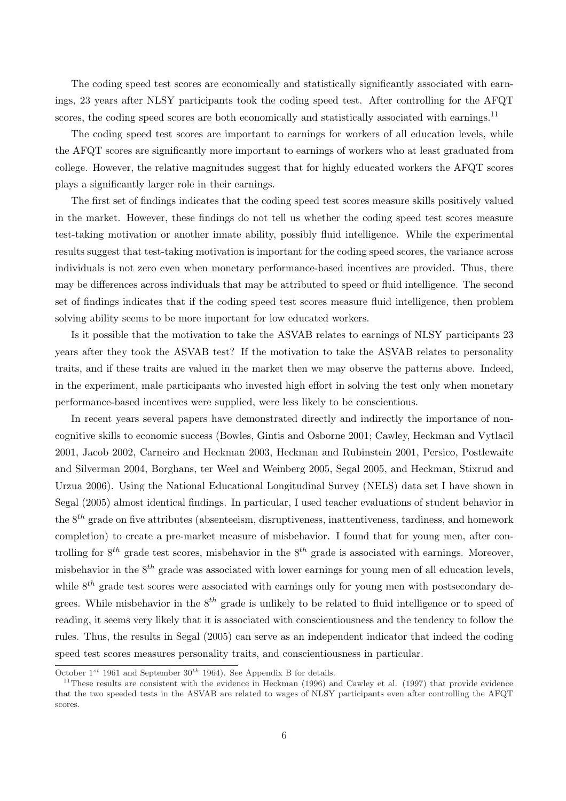The coding speed test scores are economically and statistically significantly associated with earnings, 23 years after NLSY participants took the coding speed test. After controlling for the AFQT scores, the coding speed scores are both economically and statistically associated with earnings.<sup>11</sup>

The coding speed test scores are important to earnings for workers of all education levels, while the AFQT scores are significantly more important to earnings of workers who at least graduated from college. However, the relative magnitudes suggest that for highly educated workers the AFQT scores plays a significantly larger role in their earnings.

The first set of findings indicates that the coding speed test scores measure skills positively valued in the market. However, these findings do not tell us whether the coding speed test scores measure test-taking motivation or another innate ability, possibly fluid intelligence. While the experimental results suggest that test-taking motivation is important for the coding speed scores, the variance across individuals is not zero even when monetary performance-based incentives are provided. Thus, there may be differences across individuals that may be attributed to speed or fluid intelligence. The second set of findings indicates that if the coding speed test scores measure fluid intelligence, then problem solving ability seems to be more important for low educated workers.

Is it possible that the motivation to take the ASVAB relates to earnings of NLSY participants 23 years after they took the ASVAB test? If the motivation to take the ASVAB relates to personality traits, and if these traits are valued in the market then we may observe the patterns above. Indeed, in the experiment, male participants who invested high effort in solving the test only when monetary performance-based incentives were supplied, were less likely to be conscientious.

In recent years several papers have demonstrated directly and indirectly the importance of noncognitive skills to economic success (Bowles, Gintis and Osborne 2001; Cawley, Heckman and Vytlacil 2001, Jacob 2002, Carneiro and Heckman 2003, Heckman and Rubinstein 2001, Persico, Postlewaite and Silverman 2004, Borghans, ter Weel and Weinberg 2005, Segal 2005, and Heckman, Stixrud and Urzua 2006). Using the National Educational Longitudinal Survey (NELS) data set I have shown in Segal (2005) almost identical findings. In particular, I used teacher evaluations of student behavior in the  $8<sup>th</sup>$  grade on five attributes (absenteeism, disruptiveness, inattentiveness, tardiness, and homework completion) to create a pre-market measure of misbehavior. I found that for young men, after controlling for  $8^{th}$  grade test scores, misbehavior in the  $8^{th}$  grade is associated with earnings. Moreover, misbehavior in the  $8<sup>th</sup>$  grade was associated with lower earnings for young men of all education levels, while  $8<sup>th</sup>$  grade test scores were associated with earnings only for young men with postsecondary degrees. While misbehavior in the  $8^{th}$  grade is unlikely to be related to fluid intelligence or to speed of reading, it seems very likely that it is associated with conscientiousness and the tendency to follow the rules. Thus, the results in Segal (2005) can serve as an independent indicator that indeed the coding speed test scores measures personality traits, and conscientiousness in particular.

October  $1^{st}$  1961 and September  $30^{th}$  1964). See Appendix B for details.

<sup>&</sup>lt;sup>11</sup>These results are consistent with the evidence in Heckman (1996) and Cawley et al. (1997) that provide evidence that the two speeded tests in the ASVAB are related to wages of NLSY participants even after controlling the AFQT scores.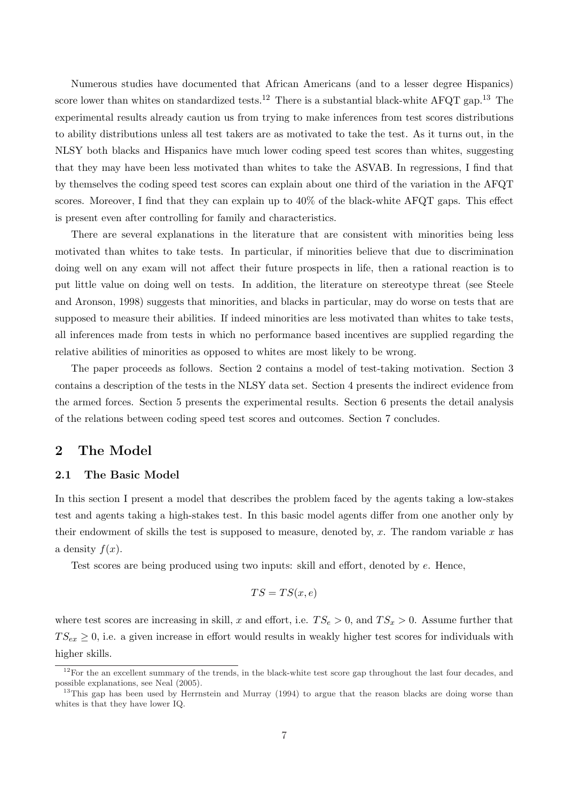Numerous studies have documented that African Americans (and to a lesser degree Hispanics) score lower than whites on standardized tests.<sup>12</sup> There is a substantial black-white AFQT gap.<sup>13</sup> The experimental results already caution us from trying to make inferences from test scores distributions to ability distributions unless all test takers are as motivated to take the test. As it turns out, in the NLSY both blacks and Hispanics have much lower coding speed test scores than whites, suggesting that they may have been less motivated than whites to take the ASVAB. In regressions, I find that by themselves the coding speed test scores can explain about one third of the variation in the AFQT scores. Moreover, I find that they can explain up to 40% of the black-white AFQT gaps. This effect is present even after controlling for family and characteristics.

There are several explanations in the literature that are consistent with minorities being less motivated than whites to take tests. In particular, if minorities believe that due to discrimination doing well on any exam will not affect their future prospects in life, then a rational reaction is to put little value on doing well on tests. In addition, the literature on stereotype threat (see Steele and Aronson, 1998) suggests that minorities, and blacks in particular, may do worse on tests that are supposed to measure their abilities. If indeed minorities are less motivated than whites to take tests, all inferences made from tests in which no performance based incentives are supplied regarding the relative abilities of minorities as opposed to whites are most likely to be wrong.

The paper proceeds as follows. Section 2 contains a model of test-taking motivation. Section 3 contains a description of the tests in the NLSY data set. Section 4 presents the indirect evidence from the armed forces. Section 5 presents the experimental results. Section 6 presents the detail analysis of the relations between coding speed test scores and outcomes. Section 7 concludes.

# 2 The Model

## 2.1 The Basic Model

In this section I present a model that describes the problem faced by the agents taking a low-stakes test and agents taking a high-stakes test. In this basic model agents differ from one another only by their endowment of skills the test is supposed to measure, denoted by, x. The random variable x has a density  $f(x)$ .

Test scores are being produced using two inputs: skill and effort, denoted by e. Hence,

$$
TS = TS(x, e)
$$

where test scores are increasing in skill, x and effort, i.e.  $TS_e > 0$ , and  $TS_x > 0$ . Assume further that  $TS_{ex} \geq 0$ , i.e. a given increase in effort would results in weakly higher test scores for individuals with higher skills.

 $12$ For the an excellent summary of the trends, in the black-white test score gap throughout the last four decades, and possible explanations, see Neal (2005).

<sup>&</sup>lt;sup>13</sup>This gap has been used by Herrnstein and Murray (1994) to argue that the reason blacks are doing worse than whites is that they have lower IQ.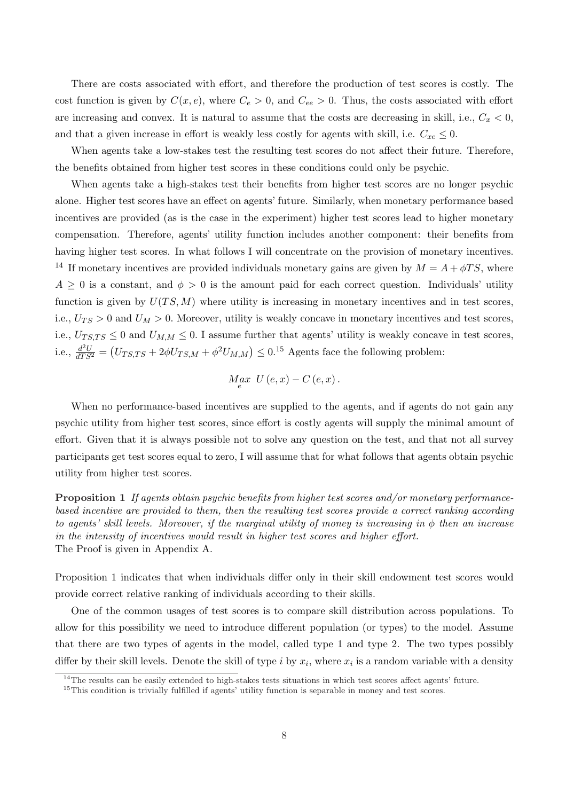There are costs associated with effort, and therefore the production of test scores is costly. The cost function is given by  $C(x, e)$ , where  $C_e > 0$ , and  $C_{ee} > 0$ . Thus, the costs associated with effort are increasing and convex. It is natural to assume that the costs are decreasing in skill, i.e.,  $C_x < 0$ , and that a given increase in effort is weakly less costly for agents with skill, i.e.  $C_{xe} \leq 0$ .

When agents take a low-stakes test the resulting test scores do not affect their future. Therefore, the benefits obtained from higher test scores in these conditions could only be psychic.

When agents take a high-stakes test their benefits from higher test scores are no longer psychic alone. Higher test scores have an effect on agents' future. Similarly, when monetary performance based incentives are provided (as is the case in the experiment) higher test scores lead to higher monetary compensation. Therefore, agents' utility function includes another component: their benefits from having higher test scores. In what follows I will concentrate on the provision of monetary incentives. <sup>14</sup> If monetary incentives are provided individuals monetary gains are given by  $M = A + \phi T S$ , where  $A \geq 0$  is a constant, and  $\phi > 0$  is the amount paid for each correct question. Individuals' utility function is given by  $U(TS, M)$  where utility is increasing in monetary incentives and in test scores, i.e.,  $U_{TS} > 0$  and  $U_M > 0$ . Moreover, utility is weakly concave in monetary incentives and test scores, i.e.,  $U_{TS,TS} \leq 0$  and  $U_{M,M} \leq 0$ . I assume further that agents' utility is weakly concave in test scores, i.e.,  $\frac{d^2U}{dTS^2}$  = ¡  $U_{T S, T S} + 2\phi U_{T S, M} + \phi^2 U_{M, M}$ )  $\leq 0.15$  Agents face the following problem:

$$
M_{e}ax \ U(e,x) - C(e,x).
$$

When no performance-based incentives are supplied to the agents, and if agents do not gain any psychic utility from higher test scores, since effort is costly agents will supply the minimal amount of effort. Given that it is always possible not to solve any question on the test, and that not all survey participants get test scores equal to zero, I will assume that for what follows that agents obtain psychic utility from higher test scores.

Proposition 1 If agents obtain psychic benefits from higher test scores and/or monetary performancebased incentive are provided to them, then the resulting test scores provide a correct ranking according to agents' skill levels. Moreover, if the marginal utility of money is increasing in  $\phi$  then an increase in the intensity of incentives would result in higher test scores and higher effort. The Proof is given in Appendix A.

Proposition 1 indicates that when individuals differ only in their skill endowment test scores would provide correct relative ranking of individuals according to their skills.

One of the common usages of test scores is to compare skill distribution across populations. To allow for this possibility we need to introduce different population (or types) to the model. Assume that there are two types of agents in the model, called type 1 and type 2. The two types possibly differ by their skill levels. Denote the skill of type i by  $x_i$ , where  $x_i$  is a random variable with a density

<sup>&</sup>lt;sup>14</sup>The results can be easily extended to high-stakes tests situations in which test scores affect agents' future.

<sup>&</sup>lt;sup>15</sup>This condition is trivially fulfilled if agents' utility function is separable in money and test scores.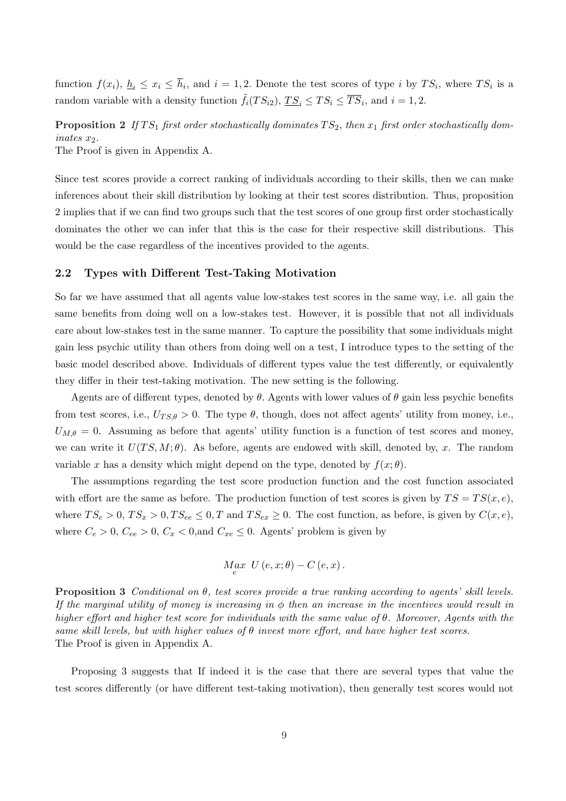function  $f(x_i)$ ,  $\underline{h}_i \leq x_i \leq \overline{h}_i$ , and  $i = 1, 2$ . Denote the test scores of type i by  $TS_i$ , where  $TS_i$  is a random variable with a density function  $\tilde{f}_i(TS_{i2}), T S_i \leq TS_i \leq \overline{TS}_i$ , and  $i = 1, 2$ .

**Proposition 2** If TS<sub>1</sub> first order stochastically dominates  $TS_2$ , then  $x_1$  first order stochastically dom $inates x_2$ .

The Proof is given in Appendix A.

Since test scores provide a correct ranking of individuals according to their skills, then we can make inferences about their skill distribution by looking at their test scores distribution. Thus, proposition 2 implies that if we can find two groups such that the test scores of one group first order stochastically dominates the other we can infer that this is the case for their respective skill distributions. This would be the case regardless of the incentives provided to the agents.

## 2.2 Types with Different Test-Taking Motivation

So far we have assumed that all agents value low-stakes test scores in the same way, i.e. all gain the same benefits from doing well on a low-stakes test. However, it is possible that not all individuals care about low-stakes test in the same manner. To capture the possibility that some individuals might gain less psychic utility than others from doing well on a test, I introduce types to the setting of the basic model described above. Individuals of different types value the test differently, or equivalently they differ in their test-taking motivation. The new setting is the following.

Agents are of different types, denoted by  $\theta$ . Agents with lower values of  $\theta$  gain less psychic benefits from test scores, i.e.,  $U_{TS,\theta} > 0$ . The type  $\theta$ , though, does not affect agents' utility from money, i.e.,  $U_{M,\theta} = 0$ . Assuming as before that agents' utility function is a function of test scores and money, we can write it  $U(TS, M; \theta)$ . As before, agents are endowed with skill, denoted by, x. The random variable x has a density which might depend on the type, denoted by  $f(x; \theta)$ .

The assumptions regarding the test score production function and the cost function associated with effort are the same as before. The production function of test scores is given by  $TS = TS(x, e)$ , where  $TS_e > 0$ ,  $TS_x > 0$ ,  $TS_{ee} \leq 0$ , T and  $TS_{ex} \geq 0$ . The cost function, as before, is given by  $C(x, e)$ , where  $C_e > 0$ ,  $C_{ee} > 0$ ,  $C_x < 0$ , and  $C_{xe} \le 0$ . Agents' problem is given by

$$
M_{e}ax \ U\left(e, x; \theta\right) - C\left(e, x\right).
$$

**Proposition 3** Conditional on  $\theta$ , test scores provide a true ranking according to agents' skill levels. If the marginal utility of money is increasing in  $\phi$  then an increase in the incentives would result in higher effort and higher test score for individuals with the same value of θ. Moreover, Agents with the same skill levels, but with higher values of  $\theta$  invest more effort, and have higher test scores. The Proof is given in Appendix A.

Proposing 3 suggests that If indeed it is the case that there are several types that value the test scores differently (or have different test-taking motivation), then generally test scores would not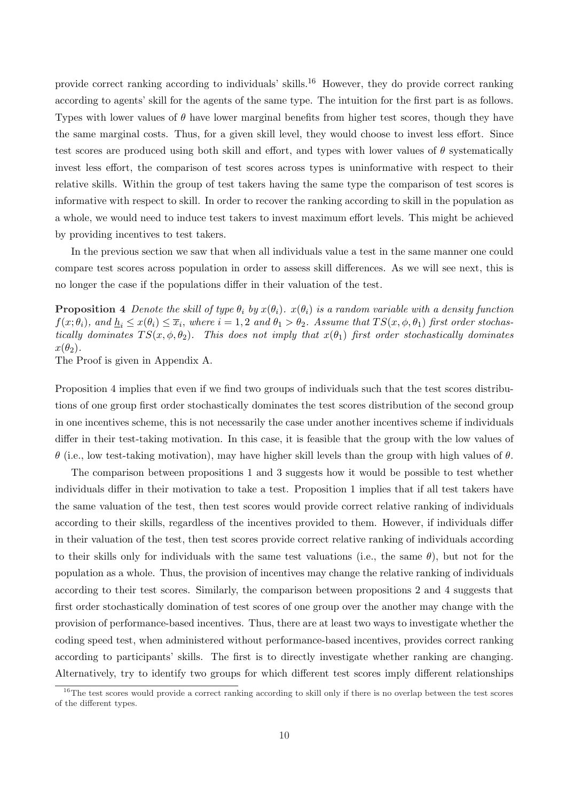provide correct ranking according to individuals' skills.<sup>16</sup> However, they do provide correct ranking according to agents' skill for the agents of the same type. The intuition for the first part is as follows. Types with lower values of  $\theta$  have lower marginal benefits from higher test scores, though they have the same marginal costs. Thus, for a given skill level, they would choose to invest less effort. Since test scores are produced using both skill and effort, and types with lower values of  $\theta$  systematically invest less effort, the comparison of test scores across types is uninformative with respect to their relative skills. Within the group of test takers having the same type the comparison of test scores is informative with respect to skill. In order to recover the ranking according to skill in the population as a whole, we would need to induce test takers to invest maximum effort levels. This might be achieved by providing incentives to test takers.

In the previous section we saw that when all individuals value a test in the same manner one could compare test scores across population in order to assess skill differences. As we will see next, this is no longer the case if the populations differ in their valuation of the test.

**Proposition 4** Denote the skill of type  $\theta_i$  by  $x(\theta_i)$ .  $x(\theta_i)$  is a random variable with a density function  $f(x; \theta_i)$ , and  $\underline{h}_i \leq x(\theta_i) \leq \overline{x}_i$ , where  $i = 1, 2$  and  $\theta_1 > \theta_2$ . Assume that  $TS(x, \phi, \theta_1)$  first order stochastically dominates  $TS(x, \phi, \theta_2)$ . This does not imply that  $x(\theta_1)$  first order stochastically dominates  $x(\theta_2)$ .

The Proof is given in Appendix A.

Proposition 4 implies that even if we find two groups of individuals such that the test scores distributions of one group first order stochastically dominates the test scores distribution of the second group in one incentives scheme, this is not necessarily the case under another incentives scheme if individuals differ in their test-taking motivation. In this case, it is feasible that the group with the low values of θ (i.e., low test-taking motivation), may have higher skill levels than the group with high values of θ.

The comparison between propositions 1 and 3 suggests how it would be possible to test whether individuals differ in their motivation to take a test. Proposition 1 implies that if all test takers have the same valuation of the test, then test scores would provide correct relative ranking of individuals according to their skills, regardless of the incentives provided to them. However, if individuals differ in their valuation of the test, then test scores provide correct relative ranking of individuals according to their skills only for individuals with the same test valuations (i.e., the same  $\theta$ ), but not for the population as a whole. Thus, the provision of incentives may change the relative ranking of individuals according to their test scores. Similarly, the comparison between propositions 2 and 4 suggests that first order stochastically domination of test scores of one group over the another may change with the provision of performance-based incentives. Thus, there are at least two ways to investigate whether the coding speed test, when administered without performance-based incentives, provides correct ranking according to participants' skills. The first is to directly investigate whether ranking are changing. Alternatively, try to identify two groups for which different test scores imply different relationships

 $16$ The test scores would provide a correct ranking according to skill only if there is no overlap between the test scores of the different types.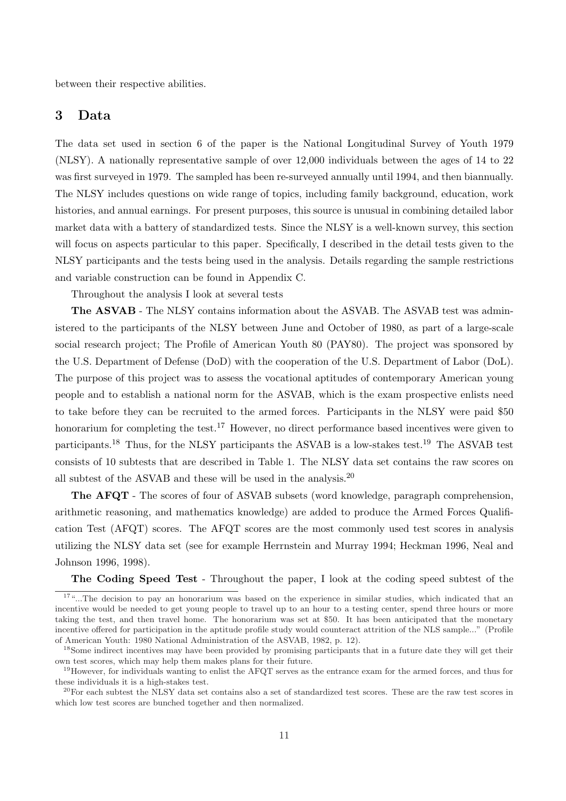between their respective abilities.

# 3 Data

The data set used in section 6 of the paper is the National Longitudinal Survey of Youth 1979 (NLSY). A nationally representative sample of over 12,000 individuals between the ages of 14 to 22 was first surveyed in 1979. The sampled has been re-surveyed annually until 1994, and then biannually. The NLSY includes questions on wide range of topics, including family background, education, work histories, and annual earnings. For present purposes, this source is unusual in combining detailed labor market data with a battery of standardized tests. Since the NLSY is a well-known survey, this section will focus on aspects particular to this paper. Specifically, I described in the detail tests given to the NLSY participants and the tests being used in the analysis. Details regarding the sample restrictions and variable construction can be found in Appendix C.

Throughout the analysis I look at several tests

The ASVAB - The NLSY contains information about the ASVAB. The ASVAB test was administered to the participants of the NLSY between June and October of 1980, as part of a large-scale social research project; The Profile of American Youth 80 (PAY80). The project was sponsored by the U.S. Department of Defense (DoD) with the cooperation of the U.S. Department of Labor (DoL). The purpose of this project was to assess the vocational aptitudes of contemporary American young people and to establish a national norm for the ASVAB, which is the exam prospective enlists need to take before they can be recruited to the armed forces. Participants in the NLSY were paid \$50 honorarium for completing the test.<sup>17</sup> However, no direct performance based incentives were given to participants.<sup>18</sup> Thus, for the NLSY participants the ASVAB is a low-stakes test.<sup>19</sup> The ASVAB test consists of 10 subtests that are described in Table 1. The NLSY data set contains the raw scores on all subtest of the ASVAB and these will be used in the analysis.<sup>20</sup>

The AFQT - The scores of four of ASVAB subsets (word knowledge, paragraph comprehension, arithmetic reasoning, and mathematics knowledge) are added to produce the Armed Forces Qualification Test (AFQT) scores. The AFQT scores are the most commonly used test scores in analysis utilizing the NLSY data set (see for example Herrnstein and Murray 1994; Heckman 1996, Neal and Johnson 1996, 1998).

The Coding Speed Test - Throughout the paper, I look at the coding speed subtest of the

<sup>&</sup>lt;sup>17"</sup>...The decision to pay an honorarium was based on the experience in similar studies, which indicated that an incentive would be needed to get young people to travel up to an hour to a testing center, spend three hours or more taking the test, and then travel home. The honorarium was set at \$50. It has been anticipated that the monetary incentive offered for participation in the aptitude profile study would counteract attrition of the NLS sample..." (Profile of American Youth: 1980 National Administration of the ASVAB, 1982, p. 12).

<sup>&</sup>lt;sup>18</sup>Some indirect incentives may have been provided by promising participants that in a future date they will get their own test scores, which may help them makes plans for their future.

<sup>&</sup>lt;sup>19</sup>However, for individuals wanting to enlist the AFQT serves as the entrance exam for the armed forces, and thus for these individuals it is a high-stakes test.

 $^{20}$ For each subtest the NLSY data set contains also a set of standardized test scores. These are the raw test scores in which low test scores are bunched together and then normalized.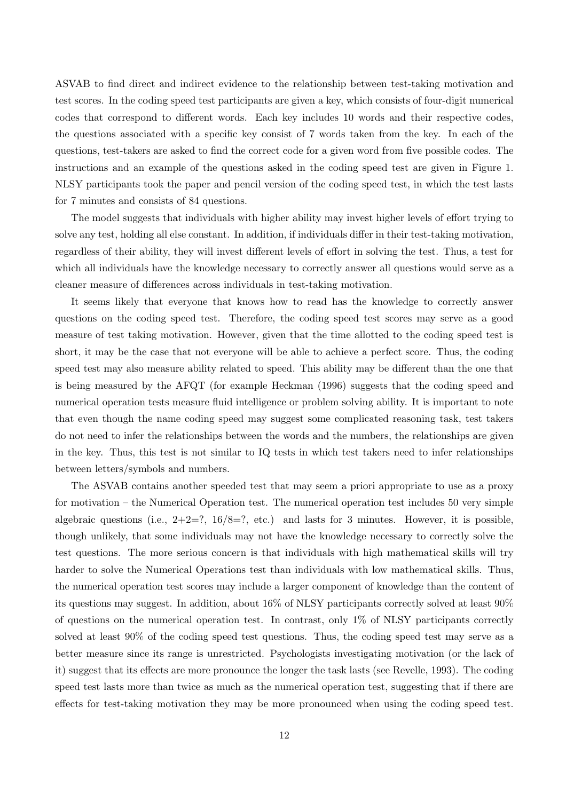ASVAB to find direct and indirect evidence to the relationship between test-taking motivation and test scores. In the coding speed test participants are given a key, which consists of four-digit numerical codes that correspond to different words. Each key includes 10 words and their respective codes, the questions associated with a specific key consist of 7 words taken from the key. In each of the questions, test-takers are asked to find the correct code for a given word from five possible codes. The instructions and an example of the questions asked in the coding speed test are given in Figure 1. NLSY participants took the paper and pencil version of the coding speed test, in which the test lasts for 7 minutes and consists of 84 questions.

The model suggests that individuals with higher ability may invest higher levels of effort trying to solve any test, holding all else constant. In addition, if individuals differ in their test-taking motivation, regardless of their ability, they will invest different levels of effort in solving the test. Thus, a test for which all individuals have the knowledge necessary to correctly answer all questions would serve as a cleaner measure of differences across individuals in test-taking motivation.

It seems likely that everyone that knows how to read has the knowledge to correctly answer questions on the coding speed test. Therefore, the coding speed test scores may serve as a good measure of test taking motivation. However, given that the time allotted to the coding speed test is short, it may be the case that not everyone will be able to achieve a perfect score. Thus, the coding speed test may also measure ability related to speed. This ability may be different than the one that is being measured by the AFQT (for example Heckman (1996) suggests that the coding speed and numerical operation tests measure fluid intelligence or problem solving ability. It is important to note that even though the name coding speed may suggest some complicated reasoning task, test takers do not need to infer the relationships between the words and the numbers, the relationships are given in the key. Thus, this test is not similar to IQ tests in which test takers need to infer relationships between letters/symbols and numbers.

The ASVAB contains another speeded test that may seem a priori appropriate to use as a proxy for motivation – the Numerical Operation test. The numerical operation test includes 50 very simple algebraic questions (i.e.,  $2+2=$ ?,  $16/8=$ ?, etc.) and lasts for 3 minutes. However, it is possible, though unlikely, that some individuals may not have the knowledge necessary to correctly solve the test questions. The more serious concern is that individuals with high mathematical skills will try harder to solve the Numerical Operations test than individuals with low mathematical skills. Thus, the numerical operation test scores may include a larger component of knowledge than the content of its questions may suggest. In addition, about 16% of NLSY participants correctly solved at least 90% of questions on the numerical operation test. In contrast, only 1% of NLSY participants correctly solved at least 90% of the coding speed test questions. Thus, the coding speed test may serve as a better measure since its range is unrestricted. Psychologists investigating motivation (or the lack of it) suggest that its effects are more pronounce the longer the task lasts (see Revelle, 1993). The coding speed test lasts more than twice as much as the numerical operation test, suggesting that if there are effects for test-taking motivation they may be more pronounced when using the coding speed test.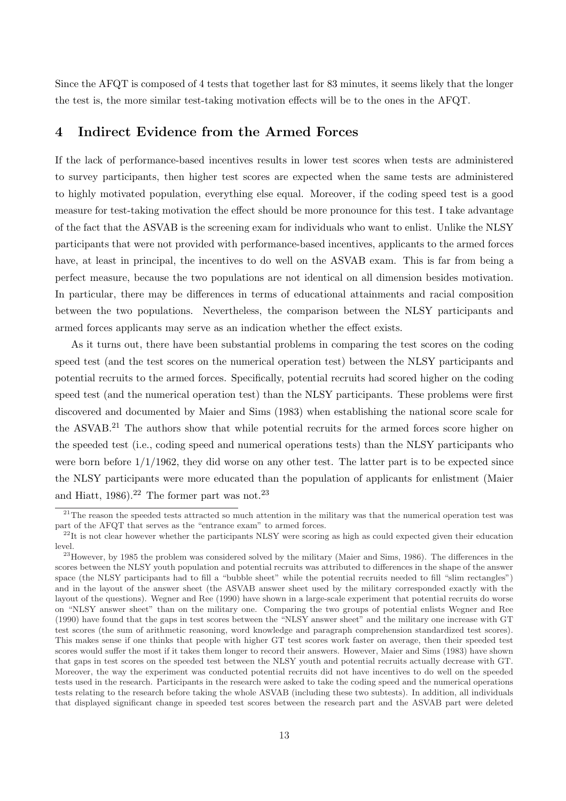Since the AFQT is composed of 4 tests that together last for 83 minutes, it seems likely that the longer the test is, the more similar test-taking motivation effects will be to the ones in the AFQT.

# 4 Indirect Evidence from the Armed Forces

If the lack of performance-based incentives results in lower test scores when tests are administered to survey participants, then higher test scores are expected when the same tests are administered to highly motivated population, everything else equal. Moreover, if the coding speed test is a good measure for test-taking motivation the effect should be more pronounce for this test. I take advantage of the fact that the ASVAB is the screening exam for individuals who want to enlist. Unlike the NLSY participants that were not provided with performance-based incentives, applicants to the armed forces have, at least in principal, the incentives to do well on the ASVAB exam. This is far from being a perfect measure, because the two populations are not identical on all dimension besides motivation. In particular, there may be differences in terms of educational attainments and racial composition between the two populations. Nevertheless, the comparison between the NLSY participants and armed forces applicants may serve as an indication whether the effect exists.

As it turns out, there have been substantial problems in comparing the test scores on the coding speed test (and the test scores on the numerical operation test) between the NLSY participants and potential recruits to the armed forces. Specifically, potential recruits had scored higher on the coding speed test (and the numerical operation test) than the NLSY participants. These problems were first discovered and documented by Maier and Sims (1983) when establishing the national score scale for the ASVAB.<sup>21</sup> The authors show that while potential recruits for the armed forces score higher on the speeded test (i.e., coding speed and numerical operations tests) than the NLSY participants who were born before  $1/1/1962$ , they did worse on any other test. The latter part is to be expected since the NLSY participants were more educated than the population of applicants for enlistment (Maier and Hiatt,  $1986$ ).<sup>22</sup> The former part was not.<sup>23</sup>

 $21$ The reason the speeded tests attracted so much attention in the military was that the numerical operation test was part of the AFQT that serves as the "entrance exam" to armed forces.

 $^{22}$ It is not clear however whether the participants NLSY were scoring as high as could expected given their education level.

<sup>&</sup>lt;sup>23</sup>However, by 1985 the problem was considered solved by the military (Maier and Sims, 1986). The differences in the scores between the NLSY youth population and potential recruits was attributed to differences in the shape of the answer space (the NLSY participants had to fill a "bubble sheet" while the potential recruits needed to fill "slim rectangles") and in the layout of the answer sheet (the ASVAB answer sheet used by the military corresponded exactly with the layout of the questions). Wegner and Ree (1990) have shown in a large-scale experiment that potential recruits do worse on "NLSY answer sheet" than on the military one. Comparing the two groups of potential enlists Wegner and Ree (1990) have found that the gaps in test scores between the "NLSY answer sheet" and the military one increase with GT test scores (the sum of arithmetic reasoning, word knowledge and paragraph comprehension standardized test scores). This makes sense if one thinks that people with higher GT test scores work faster on average, then their speeded test scores would suffer the most if it takes them longer to record their answers. However, Maier and Sims (1983) have shown that gaps in test scores on the speeded test between the NLSY youth and potential recruits actually decrease with GT. Moreover, the way the experiment was conducted potential recruits did not have incentives to do well on the speeded tests used in the research. Participants in the research were asked to take the coding speed and the numerical operations tests relating to the research before taking the whole ASVAB (including these two subtests). In addition, all individuals that displayed significant change in speeded test scores between the research part and the ASVAB part were deleted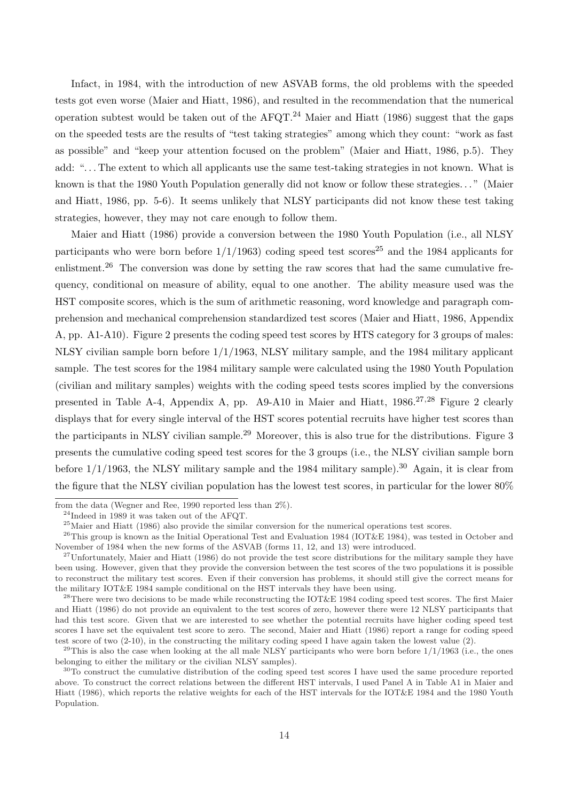Infact, in 1984, with the introduction of new ASVAB forms, the old problems with the speeded tests got even worse (Maier and Hiatt, 1986), and resulted in the recommendation that the numerical operation subtest would be taken out of the AFQT.<sup>24</sup> Maier and Hiatt (1986) suggest that the gaps on the speeded tests are the results of "test taking strategies" among which they count: "work as fast as possible" and "keep your attention focused on the problem" (Maier and Hiatt, 1986, p.5). They add: ". . . The extent to which all applicants use the same test-taking strategies in not known. What is known is that the 1980 Youth Population generally did not know or follow these strategies. . . " (Maier and Hiatt, 1986, pp. 5-6). It seems unlikely that NLSY participants did not know these test taking strategies, however, they may not care enough to follow them.

Maier and Hiatt (1986) provide a conversion between the 1980 Youth Population (i.e., all NLSY participants who were born before  $1/1/1963$  coding speed test scores<sup>25</sup> and the 1984 applicants for enlistment.<sup>26</sup> The conversion was done by setting the raw scores that had the same cumulative frequency, conditional on measure of ability, equal to one another. The ability measure used was the HST composite scores, which is the sum of arithmetic reasoning, word knowledge and paragraph comprehension and mechanical comprehension standardized test scores (Maier and Hiatt, 1986, Appendix A, pp. A1-A10). Figure 2 presents the coding speed test scores by HTS category for 3 groups of males: NLSY civilian sample born before 1/1/1963, NLSY military sample, and the 1984 military applicant sample. The test scores for the 1984 military sample were calculated using the 1980 Youth Population (civilian and military samples) weights with the coding speed tests scores implied by the conversions presented in Table A-4, Appendix A, pp. A9-A10 in Maier and Hiatt, 1986.<sup>27,28</sup> Figure 2 clearly displays that for every single interval of the HST scores potential recruits have higher test scores than the participants in NLSY civilian sample.<sup>29</sup> Moreover, this is also true for the distributions. Figure 3 presents the cumulative coding speed test scores for the 3 groups (i.e., the NLSY civilian sample born before  $1/1/1963$ , the NLSY military sample and the 1984 military sample).<sup>30</sup> Again, it is clear from the figure that the NLSY civilian population has the lowest test scores, in particular for the lower 80%

from the data (Wegner and Ree, 1990 reported less than 2%).

<sup>24</sup>Indeed in 1989 it was taken out of the AFQT.

<sup>25</sup>Maier and Hiatt (1986) also provide the similar conversion for the numerical operations test scores.

<sup>&</sup>lt;sup>26</sup>This group is known as the Initial Operational Test and Evaluation 1984 (IOT&E 1984), was tested in October and November of 1984 when the new forms of the ASVAB (forms 11, 12, and 13) were introduced.

 $^{27}$ Unfortunately, Maier and Hiatt (1986) do not provide the test score distributions for the military sample they have been using. However, given that they provide the conversion between the test scores of the two populations it is possible to reconstruct the military test scores. Even if their conversion has problems, it should still give the correct means for the military IOT&E 1984 sample conditional on the HST intervals they have been using.

<sup>&</sup>lt;sup>28</sup>There were two decisions to be made while reconstructing the IOT&E 1984 coding speed test scores. The first Maier and Hiatt (1986) do not provide an equivalent to the test scores of zero, however there were 12 NLSY participants that had this test score. Given that we are interested to see whether the potential recruits have higher coding speed test scores I have set the equivalent test score to zero. The second, Maier and Hiatt (1986) report a range for coding speed test score of two (2-10), in the constructing the military coding speed I have again taken the lowest value (2).

 $^{29}$ This is also the case when looking at the all male NLSY participants who were born before  $1/1/1963$  (i.e., the ones belonging to either the military or the civilian NLSY samples).

 $30T<sub>o</sub>$  construct the cumulative distribution of the coding speed test scores I have used the same procedure reported above. To construct the correct relations between the different HST intervals, I used Panel A in Table A1 in Maier and Hiatt (1986), which reports the relative weights for each of the HST intervals for the IOT&E 1984 and the 1980 Youth Population.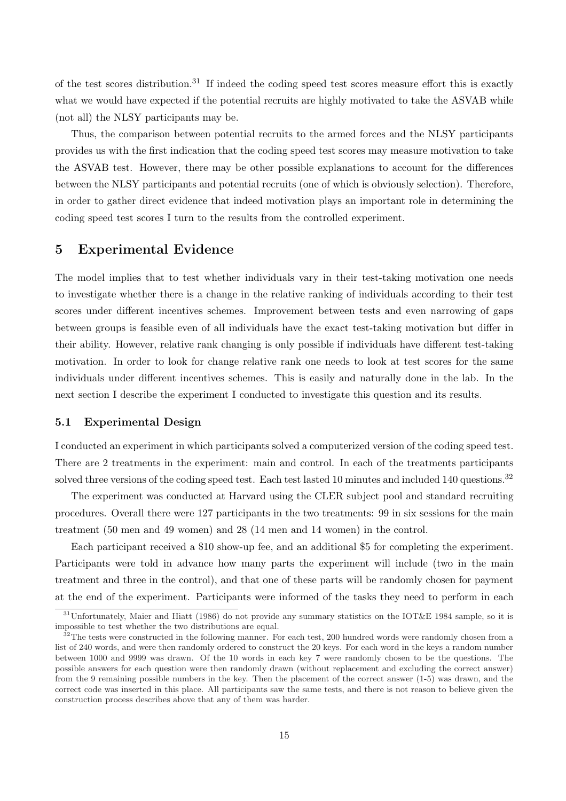of the test scores distribution.<sup>31</sup> If indeed the coding speed test scores measure effort this is exactly what we would have expected if the potential recruits are highly motivated to take the ASVAB while (not all) the NLSY participants may be.

Thus, the comparison between potential recruits to the armed forces and the NLSY participants provides us with the first indication that the coding speed test scores may measure motivation to take the ASVAB test. However, there may be other possible explanations to account for the differences between the NLSY participants and potential recruits (one of which is obviously selection). Therefore, in order to gather direct evidence that indeed motivation plays an important role in determining the coding speed test scores I turn to the results from the controlled experiment.

# 5 Experimental Evidence

The model implies that to test whether individuals vary in their test-taking motivation one needs to investigate whether there is a change in the relative ranking of individuals according to their test scores under different incentives schemes. Improvement between tests and even narrowing of gaps between groups is feasible even of all individuals have the exact test-taking motivation but differ in their ability. However, relative rank changing is only possible if individuals have different test-taking motivation. In order to look for change relative rank one needs to look at test scores for the same individuals under different incentives schemes. This is easily and naturally done in the lab. In the next section I describe the experiment I conducted to investigate this question and its results.

## 5.1 Experimental Design

I conducted an experiment in which participants solved a computerized version of the coding speed test. There are 2 treatments in the experiment: main and control. In each of the treatments participants solved three versions of the coding speed test. Each test lasted 10 minutes and included 140 questions.<sup>32</sup>

The experiment was conducted at Harvard using the CLER subject pool and standard recruiting procedures. Overall there were 127 participants in the two treatments: 99 in six sessions for the main treatment (50 men and 49 women) and 28 (14 men and 14 women) in the control.

Each participant received a \$10 show-up fee, and an additional \$5 for completing the experiment. Participants were told in advance how many parts the experiment will include (two in the main treatment and three in the control), and that one of these parts will be randomly chosen for payment at the end of the experiment. Participants were informed of the tasks they need to perform in each

 $31$ Unfortunately, Maier and Hiatt (1986) do not provide any summary statistics on the IOT&E 1984 sample, so it is impossible to test whether the two distributions are equal.

 $32$ The tests were constructed in the following manner. For each test, 200 hundred words were randomly chosen from a list of 240 words, and were then randomly ordered to construct the 20 keys. For each word in the keys a random number between 1000 and 9999 was drawn. Of the 10 words in each key 7 were randomly chosen to be the questions. The possible answers for each question were then randomly drawn (without replacement and excluding the correct answer) from the 9 remaining possible numbers in the key. Then the placement of the correct answer (1-5) was drawn, and the correct code was inserted in this place. All participants saw the same tests, and there is not reason to believe given the construction process describes above that any of them was harder.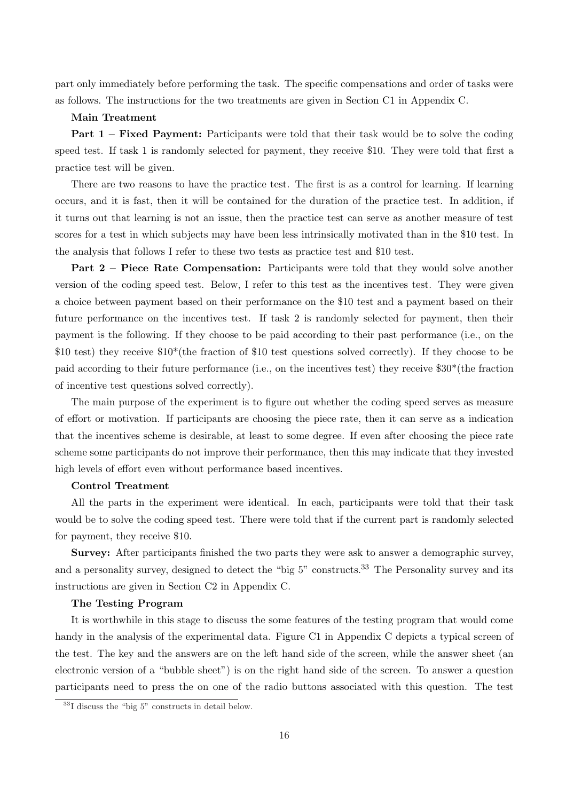part only immediately before performing the task. The specific compensations and order of tasks were as follows. The instructions for the two treatments are given in Section C1 in Appendix C.

#### Main Treatment

Part 1 – Fixed Payment: Participants were told that their task would be to solve the coding speed test. If task 1 is randomly selected for payment, they receive \$10. They were told that first a practice test will be given.

There are two reasons to have the practice test. The first is as a control for learning. If learning occurs, and it is fast, then it will be contained for the duration of the practice test. In addition, if it turns out that learning is not an issue, then the practice test can serve as another measure of test scores for a test in which subjects may have been less intrinsically motivated than in the \$10 test. In the analysis that follows I refer to these two tests as practice test and \$10 test.

Part 2 – Piece Rate Compensation: Participants were told that they would solve another version of the coding speed test. Below, I refer to this test as the incentives test. They were given a choice between payment based on their performance on the \$10 test and a payment based on their future performance on the incentives test. If task 2 is randomly selected for payment, then their payment is the following. If they choose to be paid according to their past performance (i.e., on the \$10 test) they receive \$10\*(the fraction of \$10 test questions solved correctly). If they choose to be paid according to their future performance (i.e., on the incentives test) they receive \$30\*(the fraction of incentive test questions solved correctly).

The main purpose of the experiment is to figure out whether the coding speed serves as measure of effort or motivation. If participants are choosing the piece rate, then it can serve as a indication that the incentives scheme is desirable, at least to some degree. If even after choosing the piece rate scheme some participants do not improve their performance, then this may indicate that they invested high levels of effort even without performance based incentives.

## Control Treatment

All the parts in the experiment were identical. In each, participants were told that their task would be to solve the coding speed test. There were told that if the current part is randomly selected for payment, they receive \$10.

Survey: After participants finished the two parts they were ask to answer a demographic survey, and a personality survey, designed to detect the "big 5" constructs.<sup>33</sup> The Personality survey and its instructions are given in Section C2 in Appendix C.

#### The Testing Program

It is worthwhile in this stage to discuss the some features of the testing program that would come handy in the analysis of the experimental data. Figure C1 in Appendix C depicts a typical screen of the test. The key and the answers are on the left hand side of the screen, while the answer sheet (an electronic version of a "bubble sheet") is on the right hand side of the screen. To answer a question participants need to press the on one of the radio buttons associated with this question. The test

 $33$ I discuss the "big  $5$ " constructs in detail below.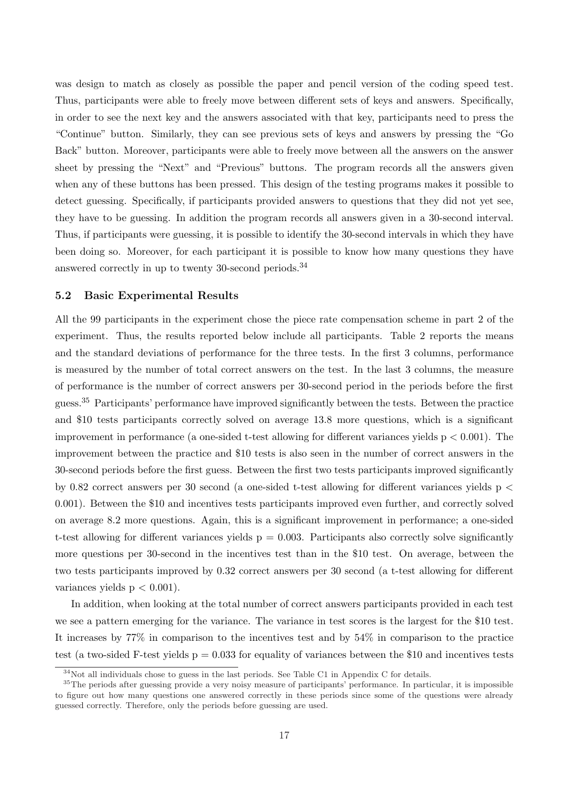was design to match as closely as possible the paper and pencil version of the coding speed test. Thus, participants were able to freely move between different sets of keys and answers. Specifically, in order to see the next key and the answers associated with that key, participants need to press the "Continue" button. Similarly, they can see previous sets of keys and answers by pressing the "Go Back" button. Moreover, participants were able to freely move between all the answers on the answer sheet by pressing the "Next" and "Previous" buttons. The program records all the answers given when any of these buttons has been pressed. This design of the testing programs makes it possible to detect guessing. Specifically, if participants provided answers to questions that they did not yet see, they have to be guessing. In addition the program records all answers given in a 30-second interval. Thus, if participants were guessing, it is possible to identify the 30-second intervals in which they have been doing so. Moreover, for each participant it is possible to know how many questions they have answered correctly in up to twenty 30-second periods.<sup>34</sup>

#### 5.2 Basic Experimental Results

All the 99 participants in the experiment chose the piece rate compensation scheme in part 2 of the experiment. Thus, the results reported below include all participants. Table 2 reports the means and the standard deviations of performance for the three tests. In the first 3 columns, performance is measured by the number of total correct answers on the test. In the last 3 columns, the measure of performance is the number of correct answers per 30-second period in the periods before the first guess.<sup>35</sup> Participants' performance have improved significantly between the tests. Between the practice and \$10 tests participants correctly solved on average 13.8 more questions, which is a significant improvement in performance (a one-sided t-test allowing for different variances yields  $p < 0.001$ ). The improvement between the practice and \$10 tests is also seen in the number of correct answers in the 30-second periods before the first guess. Between the first two tests participants improved significantly by 0.82 correct answers per 30 second (a one-sided t-test allowing for different variances yields p < 0.001). Between the \$10 and incentives tests participants improved even further, and correctly solved on average 8.2 more questions. Again, this is a significant improvement in performance; a one-sided t-test allowing for different variances yields  $p = 0.003$ . Participants also correctly solve significantly more questions per 30-second in the incentives test than in the \$10 test. On average, between the two tests participants improved by 0.32 correct answers per 30 second (a t-test allowing for different variances yields  $p < 0.001$ ).

In addition, when looking at the total number of correct answers participants provided in each test we see a pattern emerging for the variance. The variance in test scores is the largest for the \$10 test. It increases by 77% in comparison to the incentives test and by 54% in comparison to the practice test (a two-sided F-test yields  $p = 0.033$  for equality of variances between the \$10 and incentives tests

 $34$ Not all individuals chose to guess in the last periods. See Table C1 in Appendix C for details.

<sup>&</sup>lt;sup>35</sup>The periods after guessing provide a very noisy measure of participants' performance. In particular, it is impossible to figure out how many questions one answered correctly in these periods since some of the questions were already guessed correctly. Therefore, only the periods before guessing are used.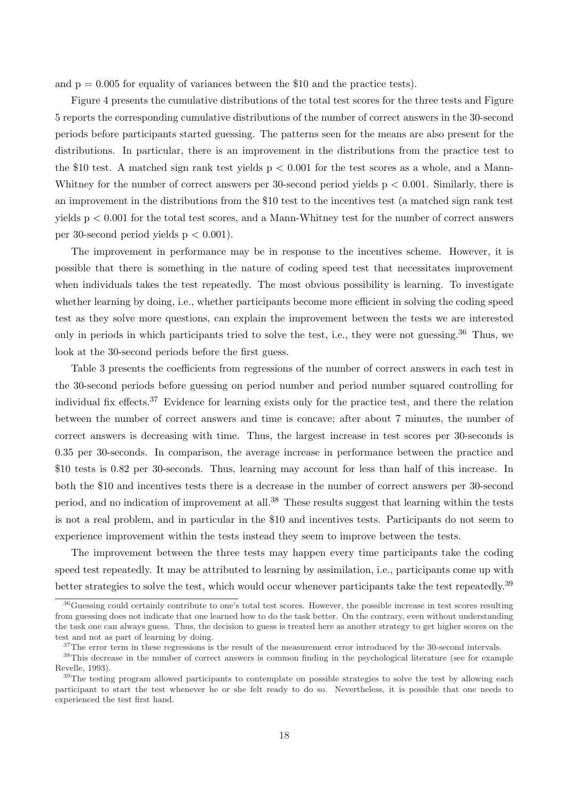and  $p = 0.005$  for equality of variances between the \$10 and the practice tests).

Figure 4 presents the cumulative distributions of the total test scores for the three tests and Figure 5 reports the corresponding cumulative distributions of the number of correct answers in the 30-second periods before participants started guessing. The patterns seen for the means are also present for the distributions. In particular, there is an improvement in the distributions from the practice test to the \$10 test. A matched sign rank test yields  $p < 0.001$  for the test scores as a whole, and a Mann-Whitney for the number of correct answers per 30-second period yields  $p < 0.001$ . Similarly, there is an improvement in the distributions from the \$10 test to the incentives test (a matched sign rank test yields p < 0.001 for the total test scores, and a Mann-Whitney test for the number of correct answers per 30-second period yields  $p < 0.001$ .

The improvement in performance may be in response to the incentives scheme. However, it is possible that there is something in the nature of coding speed test that necessitates improvement when individuals takes the test repeatedly. The most obvious possibility is learning. To investigate whether learning by doing, i.e., whether participants become more efficient in solving the coding speed test as they solve more questions, can explain the improvement between the tests we are interested only in periods in which participants tried to solve the test, i.e., they were not guessing.<sup>36</sup> Thus, we look at the 30-second periods before the first guess.

Table 3 presents the coefficients from regressions of the number of correct answers in each test in the 30-second periods before guessing on period number and period number squared controlling for individual fix effects.<sup>37</sup> Evidence for learning exists only for the practice test, and there the relation between the number of correct answers and time is concave; after about 7 minutes, the number of correct answers is decreasing with time. Thus, the largest increase in test scores per 30-seconds is 0.35 per 30-seconds. In comparison, the average increase in performance between the practice and \$10 tests is 0.82 per 30-seconds. Thus, learning may account for less than half of this increase. In both the \$10 and incentives tests there is a decrease in the number of correct answers per 30-second period, and no indication of improvement at all.<sup>38</sup> These results suggest that learning within the tests is not a real problem, and in particular in the \$10 and incentives tests. Participants do not seem to experience improvement within the tests instead they seem to improve between the tests.

The improvement between the three tests may happen every time participants take the coding speed test repeatedly. It may be attributed to learning by assimilation, i.e., participants come up with better strategies to solve the test, which would occur whenever participants take the test repeatedly.<sup>39</sup>

<sup>36</sup>Guessing could certainly contribute to one's total test scores. However, the possible increase in test scores resulting from guessing does not indicate that one learned how to do the task better. On the contrary, even without understanding the task one can always guess. Thus, the decision to guess is treated here as another strategy to get higher scores on the test and not as part of learning by doing.

 $37$ The error term in these regressions is the result of the measurement error introduced by the 30-second intervals.

<sup>&</sup>lt;sup>38</sup>This decrease in the number of correct answers is common finding in the psychological literature (see for example Revelle, 1993).

<sup>&</sup>lt;sup>39</sup>The testing program allowed participants to contemplate on possible strategies to solve the test by allowing each participant to start the test whenever he or she felt ready to do so. Nevertheless, it is possible that one needs to experienced the test first hand.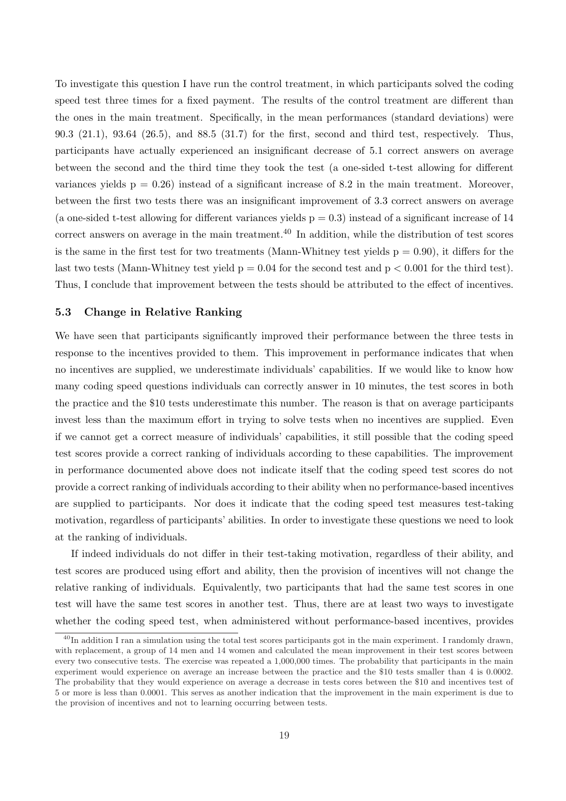To investigate this question I have run the control treatment, in which participants solved the coding speed test three times for a fixed payment. The results of the control treatment are different than the ones in the main treatment. Specifically, in the mean performances (standard deviations) were 90.3 (21.1), 93.64 (26.5), and 88.5 (31.7) for the first, second and third test, respectively. Thus, participants have actually experienced an insignificant decrease of 5.1 correct answers on average between the second and the third time they took the test (a one-sided t-test allowing for different variances yields  $p = 0.26$ ) instead of a significant increase of 8.2 in the main treatment. Moreover, between the first two tests there was an insignificant improvement of 3.3 correct answers on average (a one-sided t-test allowing for different variances yields  $p = 0.3$ ) instead of a significant increase of 14 correct answers on average in the main treatment.<sup>40</sup> In addition, while the distribution of test scores is the same in the first test for two treatments (Mann-Whitney test yields  $p = 0.90$ ), it differs for the last two tests (Mann-Whitney test yield  $p = 0.04$  for the second test and  $p < 0.001$  for the third test). Thus, I conclude that improvement between the tests should be attributed to the effect of incentives.

## 5.3 Change in Relative Ranking

We have seen that participants significantly improved their performance between the three tests in response to the incentives provided to them. This improvement in performance indicates that when no incentives are supplied, we underestimate individuals' capabilities. If we would like to know how many coding speed questions individuals can correctly answer in 10 minutes, the test scores in both the practice and the \$10 tests underestimate this number. The reason is that on average participants invest less than the maximum effort in trying to solve tests when no incentives are supplied. Even if we cannot get a correct measure of individuals' capabilities, it still possible that the coding speed test scores provide a correct ranking of individuals according to these capabilities. The improvement in performance documented above does not indicate itself that the coding speed test scores do not provide a correct ranking of individuals according to their ability when no performance-based incentives are supplied to participants. Nor does it indicate that the coding speed test measures test-taking motivation, regardless of participants' abilities. In order to investigate these questions we need to look at the ranking of individuals.

If indeed individuals do not differ in their test-taking motivation, regardless of their ability, and test scores are produced using effort and ability, then the provision of incentives will not change the relative ranking of individuals. Equivalently, two participants that had the same test scores in one test will have the same test scores in another test. Thus, there are at least two ways to investigate whether the coding speed test, when administered without performance-based incentives, provides

 $^{40}$ In addition I ran a simulation using the total test scores participants got in the main experiment. I randomly drawn, with replacement, a group of 14 men and 14 women and calculated the mean improvement in their test scores between every two consecutive tests. The exercise was repeated a 1,000,000 times. The probability that participants in the main experiment would experience on average an increase between the practice and the \$10 tests smaller than 4 is 0.0002. The probability that they would experience on average a decrease in tests cores between the \$10 and incentives test of 5 or more is less than 0.0001. This serves as another indication that the improvement in the main experiment is due to the provision of incentives and not to learning occurring between tests.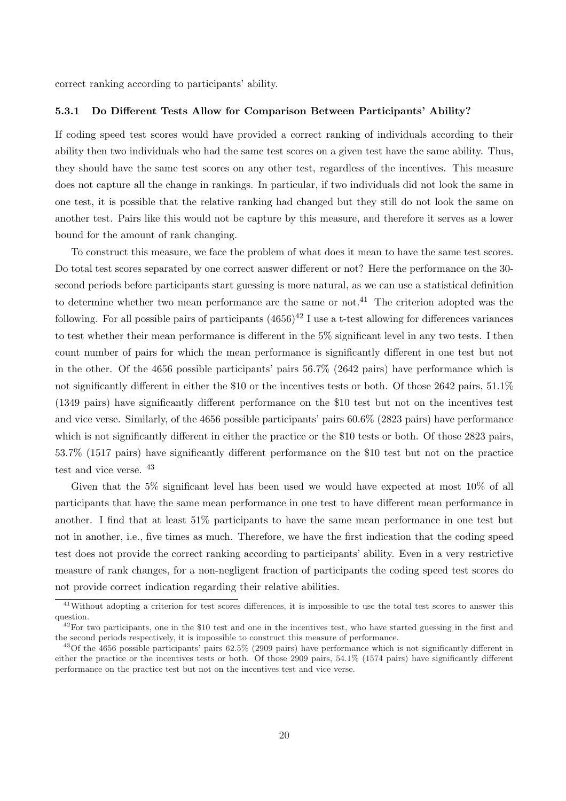correct ranking according to participants' ability.

#### 5.3.1 Do Different Tests Allow for Comparison Between Participants' Ability?

If coding speed test scores would have provided a correct ranking of individuals according to their ability then two individuals who had the same test scores on a given test have the same ability. Thus, they should have the same test scores on any other test, regardless of the incentives. This measure does not capture all the change in rankings. In particular, if two individuals did not look the same in one test, it is possible that the relative ranking had changed but they still do not look the same on another test. Pairs like this would not be capture by this measure, and therefore it serves as a lower bound for the amount of rank changing.

To construct this measure, we face the problem of what does it mean to have the same test scores. Do total test scores separated by one correct answer different or not? Here the performance on the 30 second periods before participants start guessing is more natural, as we can use a statistical definition to determine whether two mean performance are the same or not.<sup>41</sup> The criterion adopted was the following. For all possible pairs of participants  $(4656)^{42}$  I use a t-test allowing for differences variances to test whether their mean performance is different in the 5% significant level in any two tests. I then count number of pairs for which the mean performance is significantly different in one test but not in the other. Of the 4656 possible participants' pairs 56.7% (2642 pairs) have performance which is not significantly different in either the \$10 or the incentives tests or both. Of those 2642 pairs, 51.1% (1349 pairs) have significantly different performance on the \$10 test but not on the incentives test and vice verse. Similarly, of the 4656 possible participants' pairs 60.6% (2823 pairs) have performance which is not significantly different in either the practice or the \$10 tests or both. Of those 2823 pairs, 53.7% (1517 pairs) have significantly different performance on the \$10 test but not on the practice test and vice verse. <sup>43</sup>

Given that the 5% significant level has been used we would have expected at most 10% of all participants that have the same mean performance in one test to have different mean performance in another. I find that at least 51% participants to have the same mean performance in one test but not in another, i.e., five times as much. Therefore, we have the first indication that the coding speed test does not provide the correct ranking according to participants' ability. Even in a very restrictive measure of rank changes, for a non-negligent fraction of participants the coding speed test scores do not provide correct indication regarding their relative abilities.

<sup>&</sup>lt;sup>41</sup>Without adopting a criterion for test scores differences, it is impossible to use the total test scores to answer this question.

 $42$ For two participants, one in the \$10 test and one in the incentives test, who have started guessing in the first and the second periods respectively, it is impossible to construct this measure of performance.

<sup>&</sup>lt;sup>43</sup>Of the 4656 possible participants' pairs  $62.5\%$  (2909 pairs) have performance which is not significantly different in either the practice or the incentives tests or both. Of those 2909 pairs, 54.1% (1574 pairs) have significantly different performance on the practice test but not on the incentives test and vice verse.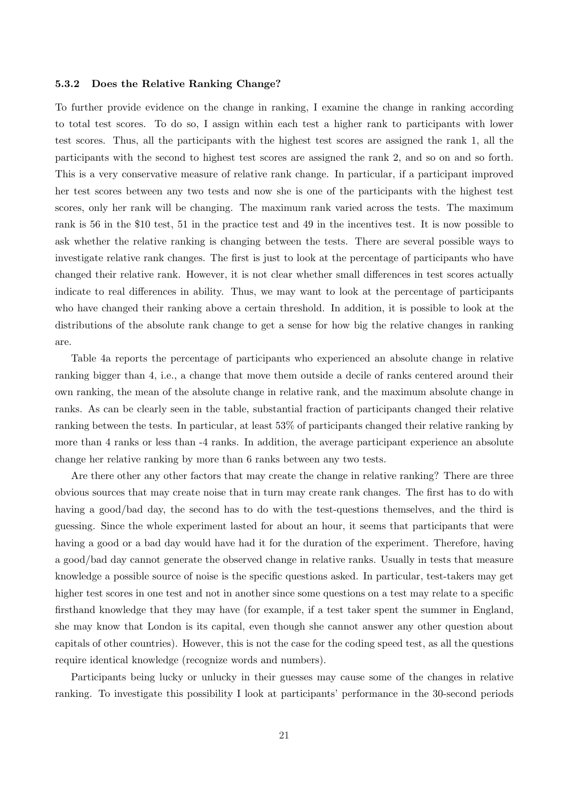#### 5.3.2 Does the Relative Ranking Change?

To further provide evidence on the change in ranking, I examine the change in ranking according to total test scores. To do so, I assign within each test a higher rank to participants with lower test scores. Thus, all the participants with the highest test scores are assigned the rank 1, all the participants with the second to highest test scores are assigned the rank 2, and so on and so forth. This is a very conservative measure of relative rank change. In particular, if a participant improved her test scores between any two tests and now she is one of the participants with the highest test scores, only her rank will be changing. The maximum rank varied across the tests. The maximum rank is 56 in the \$10 test, 51 in the practice test and 49 in the incentives test. It is now possible to ask whether the relative ranking is changing between the tests. There are several possible ways to investigate relative rank changes. The first is just to look at the percentage of participants who have changed their relative rank. However, it is not clear whether small differences in test scores actually indicate to real differences in ability. Thus, we may want to look at the percentage of participants who have changed their ranking above a certain threshold. In addition, it is possible to look at the distributions of the absolute rank change to get a sense for how big the relative changes in ranking are.

Table 4a reports the percentage of participants who experienced an absolute change in relative ranking bigger than 4, i.e., a change that move them outside a decile of ranks centered around their own ranking, the mean of the absolute change in relative rank, and the maximum absolute change in ranks. As can be clearly seen in the table, substantial fraction of participants changed their relative ranking between the tests. In particular, at least 53% of participants changed their relative ranking by more than 4 ranks or less than -4 ranks. In addition, the average participant experience an absolute change her relative ranking by more than 6 ranks between any two tests.

Are there other any other factors that may create the change in relative ranking? There are three obvious sources that may create noise that in turn may create rank changes. The first has to do with having a good/bad day, the second has to do with the test-questions themselves, and the third is guessing. Since the whole experiment lasted for about an hour, it seems that participants that were having a good or a bad day would have had it for the duration of the experiment. Therefore, having a good/bad day cannot generate the observed change in relative ranks. Usually in tests that measure knowledge a possible source of noise is the specific questions asked. In particular, test-takers may get higher test scores in one test and not in another since some questions on a test may relate to a specific firsthand knowledge that they may have (for example, if a test taker spent the summer in England, she may know that London is its capital, even though she cannot answer any other question about capitals of other countries). However, this is not the case for the coding speed test, as all the questions require identical knowledge (recognize words and numbers).

Participants being lucky or unlucky in their guesses may cause some of the changes in relative ranking. To investigate this possibility I look at participants' performance in the 30-second periods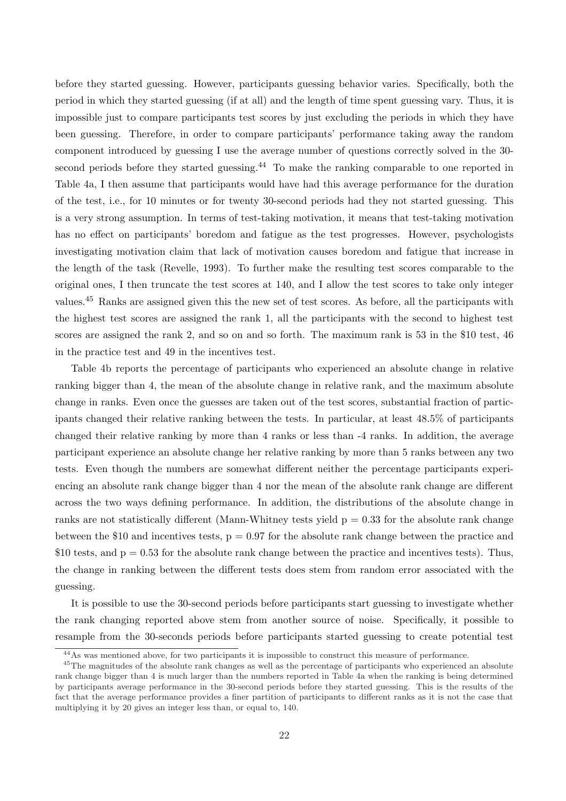before they started guessing. However, participants guessing behavior varies. Specifically, both the period in which they started guessing (if at all) and the length of time spent guessing vary. Thus, it is impossible just to compare participants test scores by just excluding the periods in which they have been guessing. Therefore, in order to compare participants' performance taking away the random component introduced by guessing I use the average number of questions correctly solved in the 30 second periods before they started guessing.<sup>44</sup> To make the ranking comparable to one reported in Table 4a, I then assume that participants would have had this average performance for the duration of the test, i.e., for 10 minutes or for twenty 30-second periods had they not started guessing. This is a very strong assumption. In terms of test-taking motivation, it means that test-taking motivation has no effect on participants' boredom and fatigue as the test progresses. However, psychologists investigating motivation claim that lack of motivation causes boredom and fatigue that increase in the length of the task (Revelle, 1993). To further make the resulting test scores comparable to the original ones, I then truncate the test scores at 140, and I allow the test scores to take only integer values.<sup>45</sup> Ranks are assigned given this the new set of test scores. As before, all the participants with the highest test scores are assigned the rank 1, all the participants with the second to highest test scores are assigned the rank 2, and so on and so forth. The maximum rank is 53 in the \$10 test, 46 in the practice test and 49 in the incentives test.

Table 4b reports the percentage of participants who experienced an absolute change in relative ranking bigger than 4, the mean of the absolute change in relative rank, and the maximum absolute change in ranks. Even once the guesses are taken out of the test scores, substantial fraction of participants changed their relative ranking between the tests. In particular, at least 48.5% of participants changed their relative ranking by more than 4 ranks or less than -4 ranks. In addition, the average participant experience an absolute change her relative ranking by more than 5 ranks between any two tests. Even though the numbers are somewhat different neither the percentage participants experiencing an absolute rank change bigger than 4 nor the mean of the absolute rank change are different across the two ways defining performance. In addition, the distributions of the absolute change in ranks are not statistically different (Mann-Whitney tests yield  $p = 0.33$  for the absolute rank change between the \$10 and incentives tests,  $p = 0.97$  for the absolute rank change between the practice and  $$10$  tests, and  $p = 0.53$  for the absolute rank change between the practice and incentives tests). Thus, the change in ranking between the different tests does stem from random error associated with the guessing.

It is possible to use the 30-second periods before participants start guessing to investigate whether the rank changing reported above stem from another source of noise. Specifically, it possible to resample from the 30-seconds periods before participants started guessing to create potential test

<sup>44</sup>As was mentioned above, for two participants it is impossible to construct this measure of performance.

<sup>&</sup>lt;sup>45</sup>The magnitudes of the absolute rank changes as well as the percentage of participants who experienced an absolute rank change bigger than 4 is much larger than the numbers reported in Table 4a when the ranking is being determined by participants average performance in the 30-second periods before they started guessing. This is the results of the fact that the average performance provides a finer partition of participants to different ranks as it is not the case that multiplying it by 20 gives an integer less than, or equal to, 140.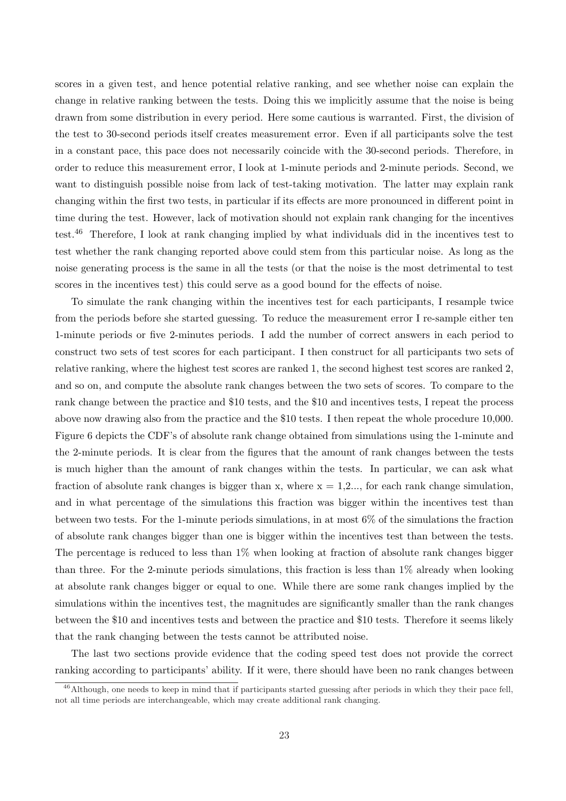scores in a given test, and hence potential relative ranking, and see whether noise can explain the change in relative ranking between the tests. Doing this we implicitly assume that the noise is being drawn from some distribution in every period. Here some cautious is warranted. First, the division of the test to 30-second periods itself creates measurement error. Even if all participants solve the test in a constant pace, this pace does not necessarily coincide with the 30-second periods. Therefore, in order to reduce this measurement error, I look at 1-minute periods and 2-minute periods. Second, we want to distinguish possible noise from lack of test-taking motivation. The latter may explain rank changing within the first two tests, in particular if its effects are more pronounced in different point in time during the test. However, lack of motivation should not explain rank changing for the incentives test.<sup>46</sup> Therefore, I look at rank changing implied by what individuals did in the incentives test to test whether the rank changing reported above could stem from this particular noise. As long as the noise generating process is the same in all the tests (or that the noise is the most detrimental to test scores in the incentives test) this could serve as a good bound for the effects of noise.

To simulate the rank changing within the incentives test for each participants, I resample twice from the periods before she started guessing. To reduce the measurement error I re-sample either ten 1-minute periods or five 2-minutes periods. I add the number of correct answers in each period to construct two sets of test scores for each participant. I then construct for all participants two sets of relative ranking, where the highest test scores are ranked 1, the second highest test scores are ranked 2, and so on, and compute the absolute rank changes between the two sets of scores. To compare to the rank change between the practice and \$10 tests, and the \$10 and incentives tests, I repeat the process above now drawing also from the practice and the \$10 tests. I then repeat the whole procedure 10,000. Figure 6 depicts the CDF's of absolute rank change obtained from simulations using the 1-minute and the 2-minute periods. It is clear from the figures that the amount of rank changes between the tests is much higher than the amount of rank changes within the tests. In particular, we can ask what fraction of absolute rank changes is bigger than x, where  $x = 1, 2, \ldots$ , for each rank change simulation, and in what percentage of the simulations this fraction was bigger within the incentives test than between two tests. For the 1-minute periods simulations, in at most 6% of the simulations the fraction of absolute rank changes bigger than one is bigger within the incentives test than between the tests. The percentage is reduced to less than 1% when looking at fraction of absolute rank changes bigger than three. For the 2-minute periods simulations, this fraction is less than 1% already when looking at absolute rank changes bigger or equal to one. While there are some rank changes implied by the simulations within the incentives test, the magnitudes are significantly smaller than the rank changes between the \$10 and incentives tests and between the practice and \$10 tests. Therefore it seems likely that the rank changing between the tests cannot be attributed noise.

The last two sections provide evidence that the coding speed test does not provide the correct ranking according to participants' ability. If it were, there should have been no rank changes between

 $^{46}$ Although, one needs to keep in mind that if participants started guessing after periods in which they their pace fell, not all time periods are interchangeable, which may create additional rank changing.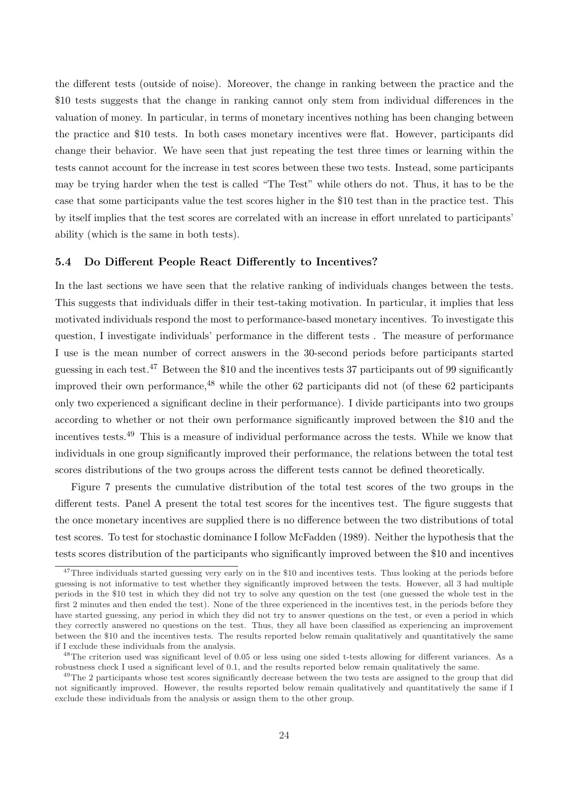the different tests (outside of noise). Moreover, the change in ranking between the practice and the \$10 tests suggests that the change in ranking cannot only stem from individual differences in the valuation of money. In particular, in terms of monetary incentives nothing has been changing between the practice and \$10 tests. In both cases monetary incentives were flat. However, participants did change their behavior. We have seen that just repeating the test three times or learning within the tests cannot account for the increase in test scores between these two tests. Instead, some participants may be trying harder when the test is called "The Test" while others do not. Thus, it has to be the case that some participants value the test scores higher in the \$10 test than in the practice test. This by itself implies that the test scores are correlated with an increase in effort unrelated to participants' ability (which is the same in both tests).

#### 5.4 Do Different People React Differently to Incentives?

In the last sections we have seen that the relative ranking of individuals changes between the tests. This suggests that individuals differ in their test-taking motivation. In particular, it implies that less motivated individuals respond the most to performance-based monetary incentives. To investigate this question, I investigate individuals' performance in the different tests . The measure of performance I use is the mean number of correct answers in the 30-second periods before participants started guessing in each test.<sup>47</sup> Between the \$10 and the incentives tests 37 participants out of 99 significantly improved their own performance,  $48$  while the other 62 participants did not (of these 62 participants only two experienced a significant decline in their performance). I divide participants into two groups according to whether or not their own performance significantly improved between the \$10 and the incentives tests.<sup>49</sup> This is a measure of individual performance across the tests. While we know that individuals in one group significantly improved their performance, the relations between the total test scores distributions of the two groups across the different tests cannot be defined theoretically.

Figure 7 presents the cumulative distribution of the total test scores of the two groups in the different tests. Panel A present the total test scores for the incentives test. The figure suggests that the once monetary incentives are supplied there is no difference between the two distributions of total test scores. To test for stochastic dominance I follow McFadden (1989). Neither the hypothesis that the tests scores distribution of the participants who significantly improved between the \$10 and incentives

<sup>&</sup>lt;sup>47</sup>Three individuals started guessing very early on in the \$10 and incentives tests. Thus looking at the periods before guessing is not informative to test whether they significantly improved between the tests. However, all 3 had multiple periods in the \$10 test in which they did not try to solve any question on the test (one guessed the whole test in the first 2 minutes and then ended the test). None of the three experienced in the incentives test, in the periods before they have started guessing, any period in which they did not try to answer questions on the test, or even a period in which they correctly answered no questions on the test. Thus, they all have been classified as experiencing an improvement between the \$10 and the incentives tests. The results reported below remain qualitatively and quantitatively the same if I exclude these individuals from the analysis.

<sup>&</sup>lt;sup>48</sup>The criterion used was significant level of 0.05 or less using one sided t-tests allowing for different variances. As a robustness check I used a significant level of 0.1, and the results reported below remain qualitatively the same.

<sup>&</sup>lt;sup>49</sup>The 2 participants whose test scores significantly decrease between the two tests are assigned to the group that did not significantly improved. However, the results reported below remain qualitatively and quantitatively the same if I exclude these individuals from the analysis or assign them to the other group.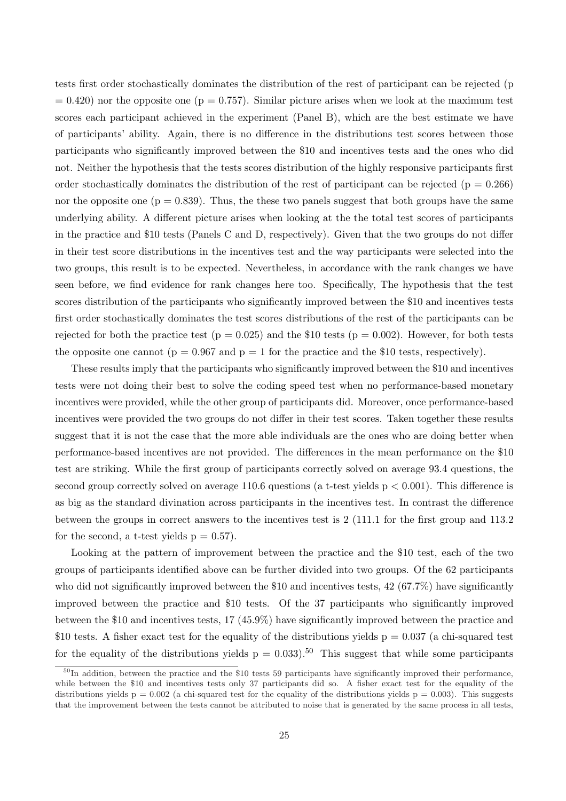tests first order stochastically dominates the distribution of the rest of participant can be rejected (p  $= 0.420$ ) nor the opposite one (p  $= 0.757$ ). Similar picture arises when we look at the maximum test scores each participant achieved in the experiment (Panel B), which are the best estimate we have of participants' ability. Again, there is no difference in the distributions test scores between those participants who significantly improved between the \$10 and incentives tests and the ones who did not. Neither the hypothesis that the tests scores distribution of the highly responsive participants first order stochastically dominates the distribution of the rest of participant can be rejected ( $p = 0.266$ ) nor the opposite one  $(p = 0.839)$ . Thus, the these two panels suggest that both groups have the same underlying ability. A different picture arises when looking at the the total test scores of participants in the practice and \$10 tests (Panels C and D, respectively). Given that the two groups do not differ in their test score distributions in the incentives test and the way participants were selected into the two groups, this result is to be expected. Nevertheless, in accordance with the rank changes we have seen before, we find evidence for rank changes here too. Specifically, The hypothesis that the test scores distribution of the participants who significantly improved between the \$10 and incentives tests first order stochastically dominates the test scores distributions of the rest of the participants can be rejected for both the practice test ( $p = 0.025$ ) and the \$10 tests ( $p = 0.002$ ). However, for both tests the opposite one cannot ( $p = 0.967$  and  $p = 1$  for the practice and the \$10 tests, respectively).

These results imply that the participants who significantly improved between the \$10 and incentives tests were not doing their best to solve the coding speed test when no performance-based monetary incentives were provided, while the other group of participants did. Moreover, once performance-based incentives were provided the two groups do not differ in their test scores. Taken together these results suggest that it is not the case that the more able individuals are the ones who are doing better when performance-based incentives are not provided. The differences in the mean performance on the \$10 test are striking. While the first group of participants correctly solved on average 93.4 questions, the second group correctly solved on average 110.6 questions (a t-test yields  $p < 0.001$ ). This difference is as big as the standard divination across participants in the incentives test. In contrast the difference between the groups in correct answers to the incentives test is 2 (111.1 for the first group and 113.2 for the second, a t-test yields  $p = 0.57$ .

Looking at the pattern of improvement between the practice and the \$10 test, each of the two groups of participants identified above can be further divided into two groups. Of the 62 participants who did not significantly improved between the \$10 and incentives tests, 42 (67.7%) have significantly improved between the practice and \$10 tests. Of the 37 participants who significantly improved between the \$10 and incentives tests, 17 (45.9%) have significantly improved between the practice and \$10 tests. A fisher exact test for the equality of the distributions yields  $p = 0.037$  (a chi-squared test for the equality of the distributions yields  $p = 0.033$ .<sup>50</sup> This suggest that while some participants

 $50$ In addition, between the practice and the \$10 tests 59 participants have significantly improved their performance, while between the \$10 and incentives tests only 37 participants did so. A fisher exact test for the equality of the distributions yields  $p = 0.002$  (a chi-squared test for the equality of the distributions yields  $p = 0.003$ ). This suggests that the improvement between the tests cannot be attributed to noise that is generated by the same process in all tests,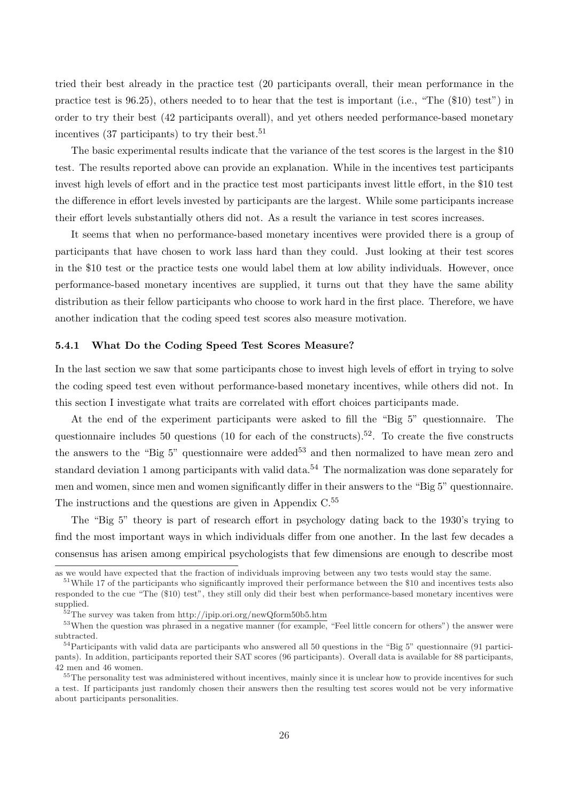tried their best already in the practice test (20 participants overall, their mean performance in the practice test is 96.25), others needed to to hear that the test is important (i.e., "The (\$10) test") in order to try their best (42 participants overall), and yet others needed performance-based monetary incentives  $(37$  participants) to try their best.<sup>51</sup>

The basic experimental results indicate that the variance of the test scores is the largest in the \$10 test. The results reported above can provide an explanation. While in the incentives test participants invest high levels of effort and in the practice test most participants invest little effort, in the \$10 test the difference in effort levels invested by participants are the largest. While some participants increase their effort levels substantially others did not. As a result the variance in test scores increases.

It seems that when no performance-based monetary incentives were provided there is a group of participants that have chosen to work lass hard than they could. Just looking at their test scores in the \$10 test or the practice tests one would label them at low ability individuals. However, once performance-based monetary incentives are supplied, it turns out that they have the same ability distribution as their fellow participants who choose to work hard in the first place. Therefore, we have another indication that the coding speed test scores also measure motivation.

#### 5.4.1 What Do the Coding Speed Test Scores Measure?

In the last section we saw that some participants chose to invest high levels of effort in trying to solve the coding speed test even without performance-based monetary incentives, while others did not. In this section I investigate what traits are correlated with effort choices participants made.

At the end of the experiment participants were asked to fill the "Big 5" questionnaire. The questionnaire includes 50 questions (10 for each of the constructs).<sup>52</sup>. To create the five constructs the answers to the "Big 5" questionnaire were added<sup>53</sup> and then normalized to have mean zero and standard deviation 1 among participants with valid data.<sup>54</sup> The normalization was done separately for men and women, since men and women significantly differ in their answers to the "Big 5" questionnaire. The instructions and the questions are given in Appendix C.<sup>55</sup>

The "Big 5" theory is part of research effort in psychology dating back to the 1930's trying to find the most important ways in which individuals differ from one another. In the last few decades a consensus has arisen among empirical psychologists that few dimensions are enough to describe most

as we would have expected that the fraction of individuals improving between any two tests would stay the same.

<sup>&</sup>lt;sup>51</sup>While 17 of the participants who significantly improved their performance between the \$10 and incentives tests also responded to the cue "The (\$10) test", they still only did their best when performance-based monetary incentives were supplied.

 $52$ The survey was taken from http://ipip.ori.org/newQform50b5.htm

<sup>&</sup>lt;sup>53</sup>When the question was phrased in a negative manner (for example, "Feel little concern for others") the answer were subtracted.

 $54$ Participants with valid data are participants who answered all 50 questions in the "Big 5" questionnaire (91 participants). In addition, participants reported their SAT scores (96 participants). Overall data is available for 88 participants, 42 men and 46 women.

<sup>&</sup>lt;sup>55</sup>The personality test was administered without incentives, mainly since it is unclear how to provide incentives for such a test. If participants just randomly chosen their answers then the resulting test scores would not be very informative about participants personalities.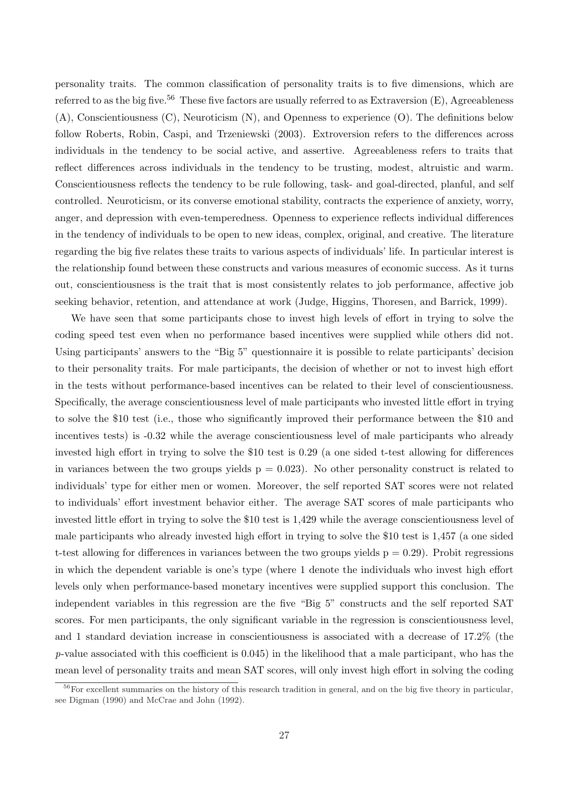personality traits. The common classification of personality traits is to five dimensions, which are referred to as the big five.<sup>56</sup> These five factors are usually referred to as Extraversion  $(E)$ , Agreeableness (A), Conscientiousness (C), Neuroticism (N), and Openness to experience (O). The definitions below follow Roberts, Robin, Caspi, and Trzeniewski (2003). Extroversion refers to the differences across individuals in the tendency to be social active, and assertive. Agreeableness refers to traits that reflect differences across individuals in the tendency to be trusting, modest, altruistic and warm. Conscientiousness reflects the tendency to be rule following, task- and goal-directed, planful, and self controlled. Neuroticism, or its converse emotional stability, contracts the experience of anxiety, worry, anger, and depression with even-temperedness. Openness to experience reflects individual differences in the tendency of individuals to be open to new ideas, complex, original, and creative. The literature regarding the big five relates these traits to various aspects of individuals' life. In particular interest is the relationship found between these constructs and various measures of economic success. As it turns out, conscientiousness is the trait that is most consistently relates to job performance, affective job seeking behavior, retention, and attendance at work (Judge, Higgins, Thoresen, and Barrick, 1999).

We have seen that some participants chose to invest high levels of effort in trying to solve the coding speed test even when no performance based incentives were supplied while others did not. Using participants' answers to the "Big 5" questionnaire it is possible to relate participants' decision to their personality traits. For male participants, the decision of whether or not to invest high effort in the tests without performance-based incentives can be related to their level of conscientiousness. Specifically, the average conscientiousness level of male participants who invested little effort in trying to solve the \$10 test (i.e., those who significantly improved their performance between the \$10 and incentives tests) is -0.32 while the average conscientiousness level of male participants who already invested high effort in trying to solve the \$10 test is 0.29 (a one sided t-test allowing for differences in variances between the two groups yields  $p = 0.023$ ). No other personality construct is related to individuals' type for either men or women. Moreover, the self reported SAT scores were not related to individuals' effort investment behavior either. The average SAT scores of male participants who invested little effort in trying to solve the \$10 test is 1,429 while the average conscientiousness level of male participants who already invested high effort in trying to solve the \$10 test is 1,457 (a one sided t-test allowing for differences in variances between the two groups yields  $p = 0.29$ ). Probit regressions in which the dependent variable is one's type (where 1 denote the individuals who invest high effort levels only when performance-based monetary incentives were supplied support this conclusion. The independent variables in this regression are the five "Big 5" constructs and the self reported SAT scores. For men participants, the only significant variable in the regression is conscientiousness level, and 1 standard deviation increase in conscientiousness is associated with a decrease of 17.2% (the  $p$ -value associated with this coefficient is 0.045) in the likelihood that a male participant, who has the mean level of personality traits and mean SAT scores, will only invest high effort in solving the coding

 $56$  For excellent summaries on the history of this research tradition in general, and on the big five theory in particular, see Digman (1990) and McCrae and John (1992).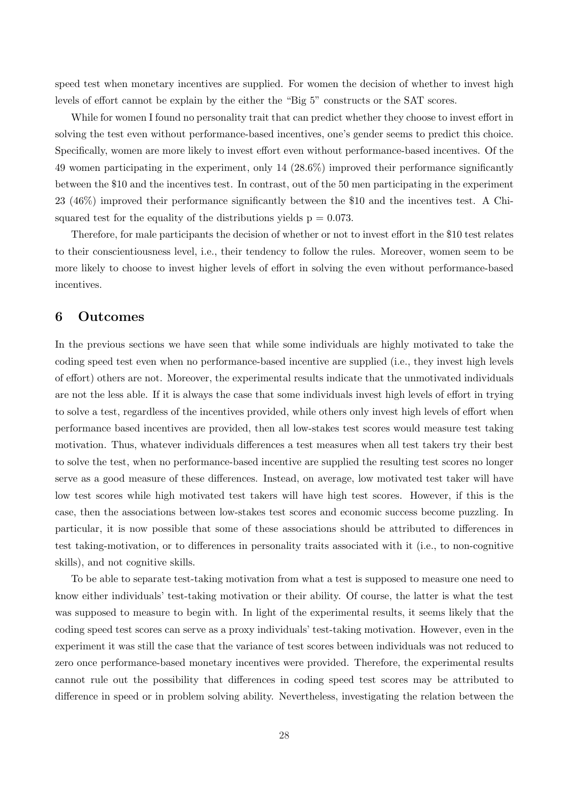speed test when monetary incentives are supplied. For women the decision of whether to invest high levels of effort cannot be explain by the either the "Big 5" constructs or the SAT scores.

While for women I found no personality trait that can predict whether they choose to invest effort in solving the test even without performance-based incentives, one's gender seems to predict this choice. Specifically, women are more likely to invest effort even without performance-based incentives. Of the 49 women participating in the experiment, only 14 (28.6%) improved their performance significantly between the \$10 and the incentives test. In contrast, out of the 50 men participating in the experiment 23 (46%) improved their performance significantly between the \$10 and the incentives test. A Chisquared test for the equality of the distributions yields  $p = 0.073$ .

Therefore, for male participants the decision of whether or not to invest effort in the \$10 test relates to their conscientiousness level, i.e., their tendency to follow the rules. Moreover, women seem to be more likely to choose to invest higher levels of effort in solving the even without performance-based incentives.

# 6 Outcomes

In the previous sections we have seen that while some individuals are highly motivated to take the coding speed test even when no performance-based incentive are supplied (i.e., they invest high levels of effort) others are not. Moreover, the experimental results indicate that the unmotivated individuals are not the less able. If it is always the case that some individuals invest high levels of effort in trying to solve a test, regardless of the incentives provided, while others only invest high levels of effort when performance based incentives are provided, then all low-stakes test scores would measure test taking motivation. Thus, whatever individuals differences a test measures when all test takers try their best to solve the test, when no performance-based incentive are supplied the resulting test scores no longer serve as a good measure of these differences. Instead, on average, low motivated test taker will have low test scores while high motivated test takers will have high test scores. However, if this is the case, then the associations between low-stakes test scores and economic success become puzzling. In particular, it is now possible that some of these associations should be attributed to differences in test taking-motivation, or to differences in personality traits associated with it (i.e., to non-cognitive skills), and not cognitive skills.

To be able to separate test-taking motivation from what a test is supposed to measure one need to know either individuals' test-taking motivation or their ability. Of course, the latter is what the test was supposed to measure to begin with. In light of the experimental results, it seems likely that the coding speed test scores can serve as a proxy individuals' test-taking motivation. However, even in the experiment it was still the case that the variance of test scores between individuals was not reduced to zero once performance-based monetary incentives were provided. Therefore, the experimental results cannot rule out the possibility that differences in coding speed test scores may be attributed to difference in speed or in problem solving ability. Nevertheless, investigating the relation between the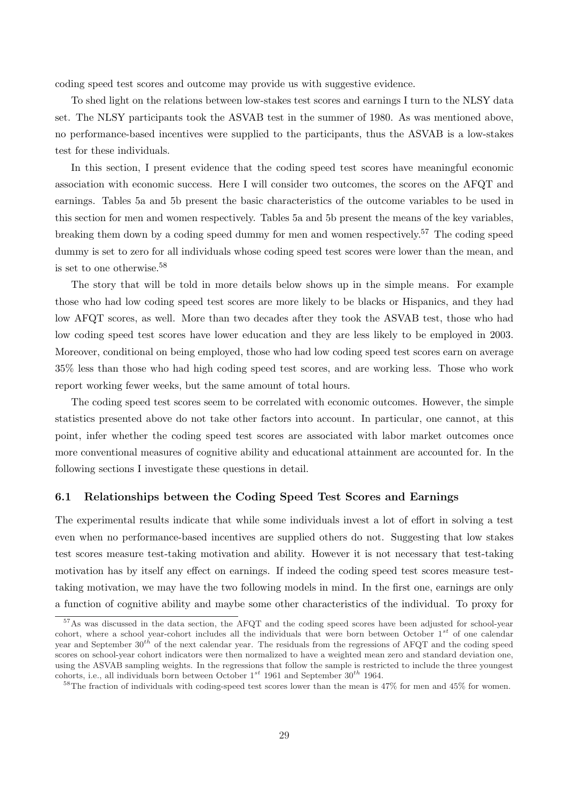coding speed test scores and outcome may provide us with suggestive evidence.

To shed light on the relations between low-stakes test scores and earnings I turn to the NLSY data set. The NLSY participants took the ASVAB test in the summer of 1980. As was mentioned above, no performance-based incentives were supplied to the participants, thus the ASVAB is a low-stakes test for these individuals.

In this section, I present evidence that the coding speed test scores have meaningful economic association with economic success. Here I will consider two outcomes, the scores on the AFQT and earnings. Tables 5a and 5b present the basic characteristics of the outcome variables to be used in this section for men and women respectively. Tables 5a and 5b present the means of the key variables, breaking them down by a coding speed dummy for men and women respectively.<sup>57</sup> The coding speed dummy is set to zero for all individuals whose coding speed test scores were lower than the mean, and is set to one otherwise.<sup>58</sup>

The story that will be told in more details below shows up in the simple means. For example those who had low coding speed test scores are more likely to be blacks or Hispanics, and they had low AFQT scores, as well. More than two decades after they took the ASVAB test, those who had low coding speed test scores have lower education and they are less likely to be employed in 2003. Moreover, conditional on being employed, those who had low coding speed test scores earn on average 35% less than those who had high coding speed test scores, and are working less. Those who work report working fewer weeks, but the same amount of total hours.

The coding speed test scores seem to be correlated with economic outcomes. However, the simple statistics presented above do not take other factors into account. In particular, one cannot, at this point, infer whether the coding speed test scores are associated with labor market outcomes once more conventional measures of cognitive ability and educational attainment are accounted for. In the following sections I investigate these questions in detail.

#### 6.1 Relationships between the Coding Speed Test Scores and Earnings

The experimental results indicate that while some individuals invest a lot of effort in solving a test even when no performance-based incentives are supplied others do not. Suggesting that low stakes test scores measure test-taking motivation and ability. However it is not necessary that test-taking motivation has by itself any effect on earnings. If indeed the coding speed test scores measure testtaking motivation, we may have the two following models in mind. In the first one, earnings are only a function of cognitive ability and maybe some other characteristics of the individual. To proxy for

<sup>57</sup>As was discussed in the data section, the AFQT and the coding speed scores have been adjusted for school-year cohort, where a school year-cohort includes all the individuals that were born between October  $1^{st}$  of one calendar year and September  $30^{th}$  of the next calendar year. The residuals from the regressions of AFQT and the coding speed scores on school-year cohort indicators were then normalized to have a weighted mean zero and standard deviation one, using the ASVAB sampling weights. In the regressions that follow the sample is restricted to include the three youngest cohorts, i.e., all individuals born between October  $1^{st}$  1961 and September 30<sup>th</sup> 1964.

<sup>&</sup>lt;sup>58</sup>The fraction of individuals with coding-speed test scores lower than the mean is  $47\%$  for men and  $45\%$  for women.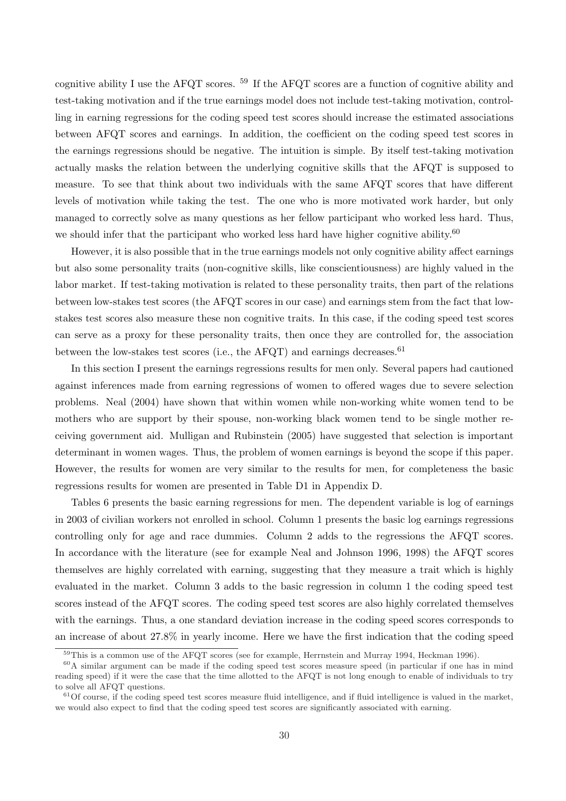cognitive ability I use the AFQT scores. <sup>59</sup> If the AFQT scores are a function of cognitive ability and test-taking motivation and if the true earnings model does not include test-taking motivation, controlling in earning regressions for the coding speed test scores should increase the estimated associations between AFQT scores and earnings. In addition, the coefficient on the coding speed test scores in the earnings regressions should be negative. The intuition is simple. By itself test-taking motivation actually masks the relation between the underlying cognitive skills that the AFQT is supposed to measure. To see that think about two individuals with the same AFQT scores that have different levels of motivation while taking the test. The one who is more motivated work harder, but only managed to correctly solve as many questions as her fellow participant who worked less hard. Thus, we should infer that the participant who worked less hard have higher cognitive ability.<sup>60</sup>

However, it is also possible that in the true earnings models not only cognitive ability affect earnings but also some personality traits (non-cognitive skills, like conscientiousness) are highly valued in the labor market. If test-taking motivation is related to these personality traits, then part of the relations between low-stakes test scores (the AFQT scores in our case) and earnings stem from the fact that lowstakes test scores also measure these non cognitive traits. In this case, if the coding speed test scores can serve as a proxy for these personality traits, then once they are controlled for, the association between the low-stakes test scores (i.e., the AFQT) and earnings decreases.  $61$ 

In this section I present the earnings regressions results for men only. Several papers had cautioned against inferences made from earning regressions of women to offered wages due to severe selection problems. Neal (2004) have shown that within women while non-working white women tend to be mothers who are support by their spouse, non-working black women tend to be single mother receiving government aid. Mulligan and Rubinstein (2005) have suggested that selection is important determinant in women wages. Thus, the problem of women earnings is beyond the scope if this paper. However, the results for women are very similar to the results for men, for completeness the basic regressions results for women are presented in Table D1 in Appendix D.

Tables 6 presents the basic earning regressions for men. The dependent variable is log of earnings in 2003 of civilian workers not enrolled in school. Column 1 presents the basic log earnings regressions controlling only for age and race dummies. Column 2 adds to the regressions the AFQT scores. In accordance with the literature (see for example Neal and Johnson 1996, 1998) the AFQT scores themselves are highly correlated with earning, suggesting that they measure a trait which is highly evaluated in the market. Column 3 adds to the basic regression in column 1 the coding speed test scores instead of the AFQT scores. The coding speed test scores are also highly correlated themselves with the earnings. Thus, a one standard deviation increase in the coding speed scores corresponds to an increase of about 27.8% in yearly income. Here we have the first indication that the coding speed

<sup>59</sup>This is a common use of the AFQT scores (see for example, Herrnstein and Murray 1994, Heckman 1996).

<sup>60</sup>A similar argument can be made if the coding speed test scores measure speed (in particular if one has in mind reading speed) if it were the case that the time allotted to the AFQT is not long enough to enable of individuals to try to solve all AFQT questions.

 $61$ Of course, if the coding speed test scores measure fluid intelligence, and if fluid intelligence is valued in the market. we would also expect to find that the coding speed test scores are significantly associated with earning.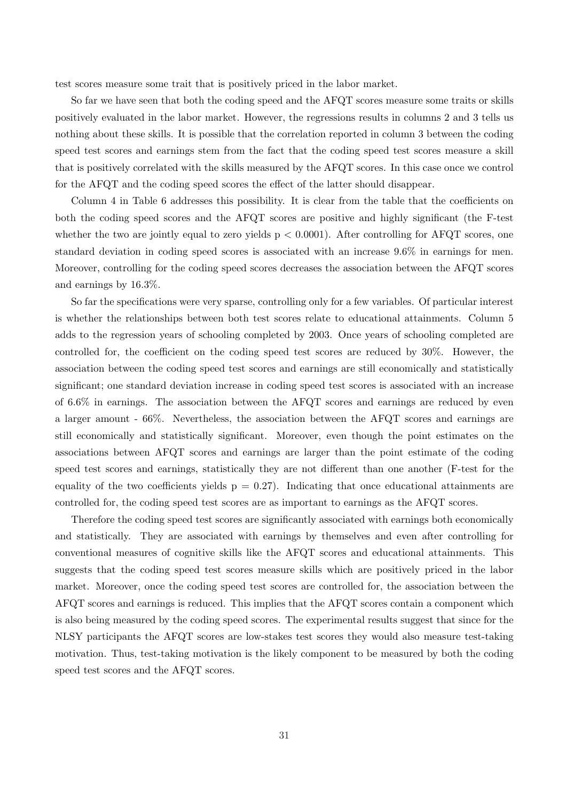test scores measure some trait that is positively priced in the labor market.

So far we have seen that both the coding speed and the AFQT scores measure some traits or skills positively evaluated in the labor market. However, the regressions results in columns 2 and 3 tells us nothing about these skills. It is possible that the correlation reported in column 3 between the coding speed test scores and earnings stem from the fact that the coding speed test scores measure a skill that is positively correlated with the skills measured by the AFQT scores. In this case once we control for the AFQT and the coding speed scores the effect of the latter should disappear.

Column 4 in Table 6 addresses this possibility. It is clear from the table that the coefficients on both the coding speed scores and the AFQT scores are positive and highly significant (the F-test whether the two are jointly equal to zero yields  $p < 0.0001$ ). After controlling for AFQT scores, one standard deviation in coding speed scores is associated with an increase 9.6% in earnings for men. Moreover, controlling for the coding speed scores decreases the association between the AFQT scores and earnings by 16.3%.

So far the specifications were very sparse, controlling only for a few variables. Of particular interest is whether the relationships between both test scores relate to educational attainments. Column 5 adds to the regression years of schooling completed by 2003. Once years of schooling completed are controlled for, the coefficient on the coding speed test scores are reduced by 30%. However, the association between the coding speed test scores and earnings are still economically and statistically significant; one standard deviation increase in coding speed test scores is associated with an increase of 6.6% in earnings. The association between the AFQT scores and earnings are reduced by even a larger amount - 66%. Nevertheless, the association between the AFQT scores and earnings are still economically and statistically significant. Moreover, even though the point estimates on the associations between AFQT scores and earnings are larger than the point estimate of the coding speed test scores and earnings, statistically they are not different than one another (F-test for the equality of the two coefficients yields  $p = 0.27$ . Indicating that once educational attainments are controlled for, the coding speed test scores are as important to earnings as the AFQT scores.

Therefore the coding speed test scores are significantly associated with earnings both economically and statistically. They are associated with earnings by themselves and even after controlling for conventional measures of cognitive skills like the AFQT scores and educational attainments. This suggests that the coding speed test scores measure skills which are positively priced in the labor market. Moreover, once the coding speed test scores are controlled for, the association between the AFQT scores and earnings is reduced. This implies that the AFQT scores contain a component which is also being measured by the coding speed scores. The experimental results suggest that since for the NLSY participants the AFQT scores are low-stakes test scores they would also measure test-taking motivation. Thus, test-taking motivation is the likely component to be measured by both the coding speed test scores and the AFQT scores.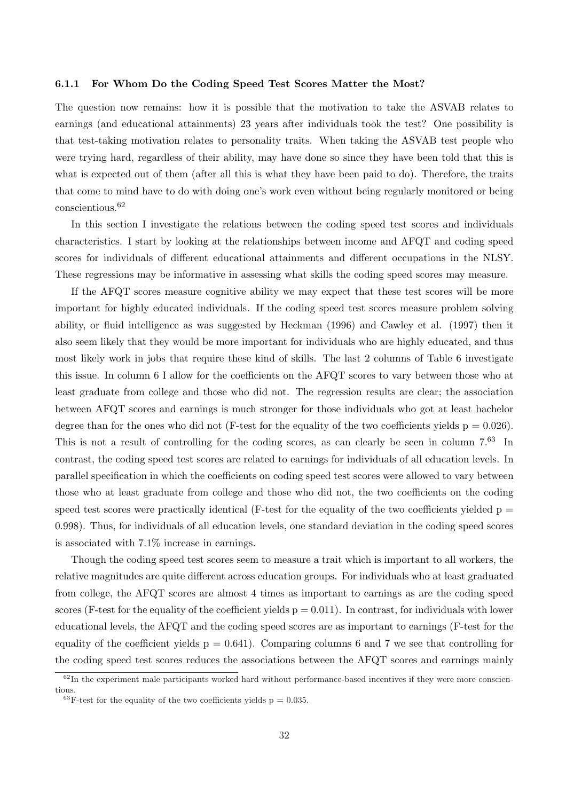#### 6.1.1 For Whom Do the Coding Speed Test Scores Matter the Most?

The question now remains: how it is possible that the motivation to take the ASVAB relates to earnings (and educational attainments) 23 years after individuals took the test? One possibility is that test-taking motivation relates to personality traits. When taking the ASVAB test people who were trying hard, regardless of their ability, may have done so since they have been told that this is what is expected out of them (after all this is what they have been paid to do). Therefore, the traits that come to mind have to do with doing one's work even without being regularly monitored or being conscientious.<sup>62</sup>

In this section I investigate the relations between the coding speed test scores and individuals characteristics. I start by looking at the relationships between income and AFQT and coding speed scores for individuals of different educational attainments and different occupations in the NLSY. These regressions may be informative in assessing what skills the coding speed scores may measure.

If the AFQT scores measure cognitive ability we may expect that these test scores will be more important for highly educated individuals. If the coding speed test scores measure problem solving ability, or fluid intelligence as was suggested by Heckman (1996) and Cawley et al. (1997) then it also seem likely that they would be more important for individuals who are highly educated, and thus most likely work in jobs that require these kind of skills. The last 2 columns of Table 6 investigate this issue. In column 6 I allow for the coefficients on the AFQT scores to vary between those who at least graduate from college and those who did not. The regression results are clear; the association between AFQT scores and earnings is much stronger for those individuals who got at least bachelor degree than for the ones who did not (F-test for the equality of the two coefficients yields  $p = 0.026$ ). This is not a result of controlling for the coding scores, as can clearly be seen in column 7.<sup>63</sup> In contrast, the coding speed test scores are related to earnings for individuals of all education levels. In parallel specification in which the coefficients on coding speed test scores were allowed to vary between those who at least graduate from college and those who did not, the two coefficients on the coding speed test scores were practically identical (F-test for the equality of the two coefficients yielded  $p =$ 0.998). Thus, for individuals of all education levels, one standard deviation in the coding speed scores is associated with 7.1% increase in earnings.

Though the coding speed test scores seem to measure a trait which is important to all workers, the relative magnitudes are quite different across education groups. For individuals who at least graduated from college, the AFQT scores are almost 4 times as important to earnings as are the coding speed scores (F-test for the equality of the coefficient yields  $p = 0.011$ ). In contrast, for individuals with lower educational levels, the AFQT and the coding speed scores are as important to earnings (F-test for the equality of the coefficient yields  $p = 0.641$ . Comparing columns 6 and 7 we see that controlling for the coding speed test scores reduces the associations between the AFQT scores and earnings mainly

 $62$ In the experiment male participants worked hard without performance-based incentives if they were more conscientious.

<sup>&</sup>lt;sup>63</sup>F-test for the equality of the two coefficients yields  $p = 0.035$ .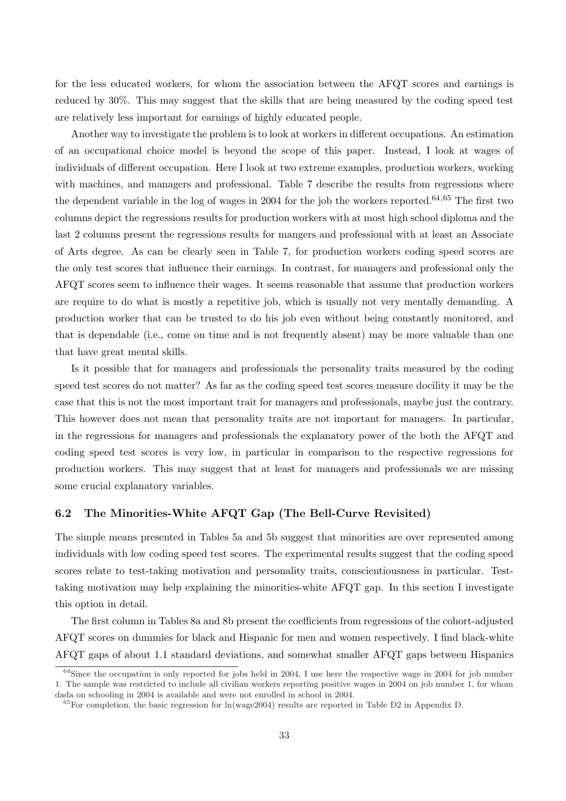for the less educated workers, for whom the association between the AFQT scores and earnings is reduced by 30%. This may suggest that the skills that are being measured by the coding speed test are relatively less important for earnings of highly educated people.

Another way to investigate the problem is to look at workers in different occupations. An estimation of an occupational choice model is beyond the scope of this paper. Instead, I look at wages of individuals of different occupation. Here I look at two extreme examples, production workers, working with machines, and managers and professional. Table 7 describe the results from regressions where the dependent variable in the log of wages in 2004 for the job the workers reported.<sup>64,65</sup> The first two columns depict the regressions results for production workers with at most high school diploma and the last 2 columns present the regressions results for mangers and professional with at least an Associate of Arts degree. As can be clearly seen in Table 7, for production workers coding speed scores are the only test scores that influence their earnings. In contrast, for managers and professional only the AFQT scores seem to influence their wages. It seems reasonable that assume that production workers are require to do what is mostly a repetitive job, which is usually not very mentally demanding. A production worker that can be trusted to do his job even without being constantly monitored, and that is dependable (i.e., come on time and is not frequently absent) may be more valuable than one that have great mental skills.

Is it possible that for managers and professionals the personality traits measured by the coding speed test scores do not matter? As far as the coding speed test scores measure docility it may be the case that this is not the most important trait for managers and professionals, maybe just the contrary. This however does not mean that personality traits are not important for managers. In particular, in the regressions for managers and professionals the explanatory power of the both the AFQT and coding speed test scores is very low, in particular in comparison to the respective regressions for production workers. This may suggest that at least for managers and professionals we are missing some crucial explanatory variables.

## 6.2 The Minorities-White AFQT Gap (The Bell-Curve Revisited)

The simple means presented in Tables 5a and 5b suggest that minorities are over represented among individuals with low coding speed test scores. The experimental results suggest that the coding speed scores relate to test-taking motivation and personality traits, conscientiousness in particular. Testtaking motivation may help explaining the minorities-white AFQT gap. In this section I investigate this option in detail.

The first column in Tables 8a and 8b present the coefficients from regressions of the cohort-adjusted AFQT scores on dummies for black and Hispanic for men and women respectively. I find black-white AFQT gaps of about 1.1 standard deviations, and somewhat smaller AFQT gaps between Hispanics

 $64$ Since the occupation is only reported for jobs held in 2004, I use here the respective wage in 2004 for job number 1. The sample was restricted to include all civilian workers reporting positive wages in 2004 on job number 1, for whom dada on schooling in 2004 is available and were not enrolled in school in 2004.

 $65$  For completion, the basic regression for ln(wage2004) results are reported in Table D2 in Appendix D.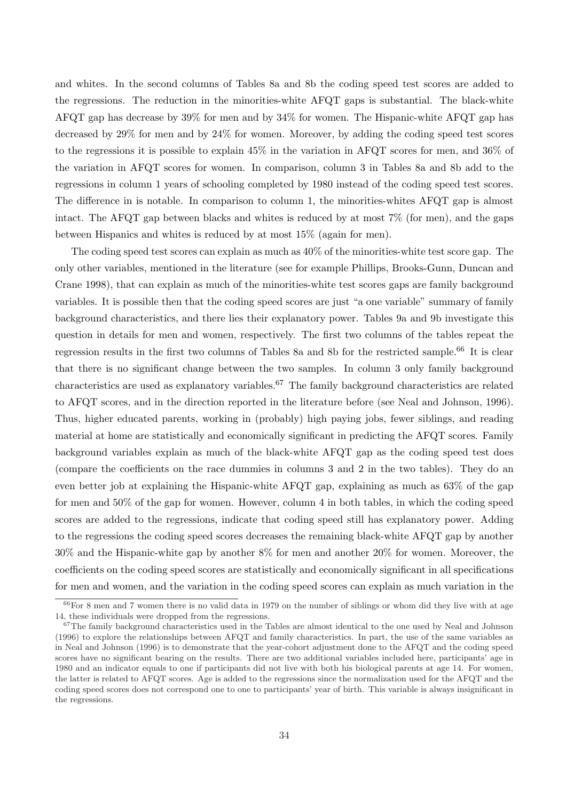and whites. In the second columns of Tables 8a and 8b the coding speed test scores are added to the regressions. The reduction in the minorities-white AFQT gaps is substantial. The black-white AFQT gap has decrease by 39% for men and by 34% for women. The Hispanic-white AFQT gap has decreased by 29% for men and by 24% for women. Moreover, by adding the coding speed test scores to the regressions it is possible to explain 45% in the variation in AFQT scores for men, and 36% of the variation in AFQT scores for women. In comparison, column 3 in Tables 8a and 8b add to the regressions in column 1 years of schooling completed by 1980 instead of the coding speed test scores. The difference in is notable. In comparison to column 1, the minorities-whites AFQT gap is almost intact. The AFQT gap between blacks and whites is reduced by at most 7% (for men), and the gaps between Hispanics and whites is reduced by at most 15% (again for men).

The coding speed test scores can explain as much as 40% of the minorities-white test score gap. The only other variables, mentioned in the literature (see for example Phillips, Brooks-Gunn, Duncan and Crane 1998), that can explain as much of the minorities-white test scores gaps are family background variables. It is possible then that the coding speed scores are just "a one variable" summary of family background characteristics, and there lies their explanatory power. Tables 9a and 9b investigate this question in details for men and women, respectively. The first two columns of the tables repeat the regression results in the first two columns of Tables 8a and 8b for the restricted sample.<sup>66</sup> It is clear that there is no significant change between the two samples. In column 3 only family background characteristics are used as explanatory variables.<sup>67</sup> The family background characteristics are related to AFQT scores, and in the direction reported in the literature before (see Neal and Johnson, 1996). Thus, higher educated parents, working in (probably) high paying jobs, fewer siblings, and reading material at home are statistically and economically significant in predicting the AFQT scores. Family background variables explain as much of the black-white AFQT gap as the coding speed test does (compare the coefficients on the race dummies in columns 3 and 2 in the two tables). They do an even better job at explaining the Hispanic-white AFQT gap, explaining as much as 63% of the gap for men and 50% of the gap for women. However, column 4 in both tables, in which the coding speed scores are added to the regressions, indicate that coding speed still has explanatory power. Adding to the regressions the coding speed scores decreases the remaining black-white AFQT gap by another 30% and the Hispanic-white gap by another 8% for men and another 20% for women. Moreover, the coefficients on the coding speed scores are statistically and economically significant in all specifications for men and women, and the variation in the coding speed scores can explain as much variation in the

 $66$  For 8 men and 7 women there is no valid data in 1979 on the number of siblings or whom did they live with at age 14, these individuals were dropped from the regressions.

 $67$ The family background characteristics used in the Tables are almost identical to the one used by Neal and Johnson (1996) to explore the relationships between AFQT and family characteristics. In part, the use of the same variables as in Neal and Johnson (1996) is to demonstrate that the year-cohort adjustment done to the AFQT and the coding speed scores have no significant bearing on the results. There are two additional variables included here, participants' age in 1980 and an indicator equals to one if participants did not live with both his biological parents at age 14. For women, the latter is related to AFQT scores. Age is added to the regressions since the normalization used for the AFQT and the coding speed scores does not correspond one to one to participants' year of birth. This variable is always insignificant in the regressions.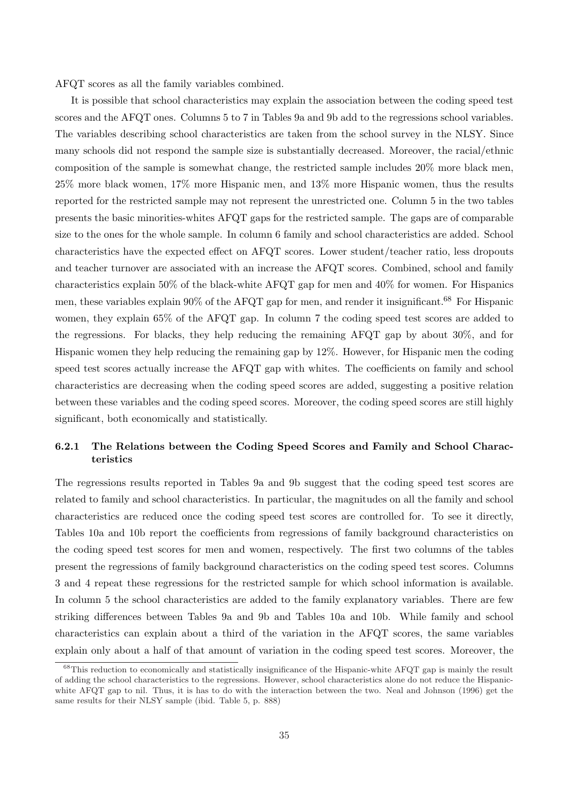AFQT scores as all the family variables combined.

It is possible that school characteristics may explain the association between the coding speed test scores and the AFQT ones. Columns 5 to 7 in Tables 9a and 9b add to the regressions school variables. The variables describing school characteristics are taken from the school survey in the NLSY. Since many schools did not respond the sample size is substantially decreased. Moreover, the racial/ethnic composition of the sample is somewhat change, the restricted sample includes 20% more black men, 25% more black women, 17% more Hispanic men, and 13% more Hispanic women, thus the results reported for the restricted sample may not represent the unrestricted one. Column 5 in the two tables presents the basic minorities-whites AFQT gaps for the restricted sample. The gaps are of comparable size to the ones for the whole sample. In column 6 family and school characteristics are added. School characteristics have the expected effect on AFQT scores. Lower student/teacher ratio, less dropouts and teacher turnover are associated with an increase the AFQT scores. Combined, school and family characteristics explain 50% of the black-white AFQT gap for men and 40% for women. For Hispanics men, these variables explain 90% of the AFQT gap for men, and render it insignificant.<sup>68</sup> For Hispanic women, they explain 65% of the AFQT gap. In column 7 the coding speed test scores are added to the regressions. For blacks, they help reducing the remaining AFQT gap by about 30%, and for Hispanic women they help reducing the remaining gap by 12%. However, for Hispanic men the coding speed test scores actually increase the AFQT gap with whites. The coefficients on family and school characteristics are decreasing when the coding speed scores are added, suggesting a positive relation between these variables and the coding speed scores. Moreover, the coding speed scores are still highly significant, both economically and statistically.

# 6.2.1 The Relations between the Coding Speed Scores and Family and School Characteristics

The regressions results reported in Tables 9a and 9b suggest that the coding speed test scores are related to family and school characteristics. In particular, the magnitudes on all the family and school characteristics are reduced once the coding speed test scores are controlled for. To see it directly, Tables 10a and 10b report the coefficients from regressions of family background characteristics on the coding speed test scores for men and women, respectively. The first two columns of the tables present the regressions of family background characteristics on the coding speed test scores. Columns 3 and 4 repeat these regressions for the restricted sample for which school information is available. In column 5 the school characteristics are added to the family explanatory variables. There are few striking differences between Tables 9a and 9b and Tables 10a and 10b. While family and school characteristics can explain about a third of the variation in the AFQT scores, the same variables explain only about a half of that amount of variation in the coding speed test scores. Moreover, the

<sup>&</sup>lt;sup>68</sup>This reduction to economically and statistically insignificance of the Hispanic-white AFQT gap is mainly the result of adding the school characteristics to the regressions. However, school characteristics alone do not reduce the Hispanicwhite AFQT gap to nil. Thus, it is has to do with the interaction between the two. Neal and Johnson (1996) get the same results for their NLSY sample (ibid. Table 5, p. 888)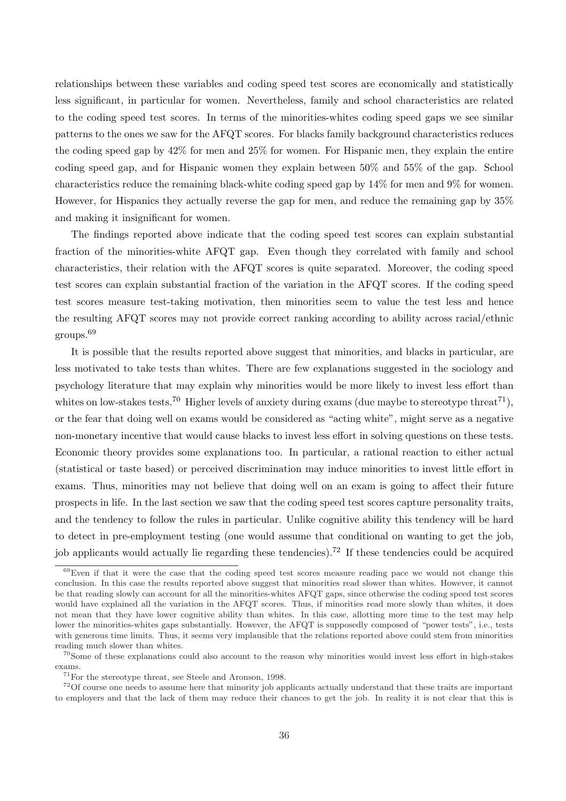relationships between these variables and coding speed test scores are economically and statistically less significant, in particular for women. Nevertheless, family and school characteristics are related to the coding speed test scores. In terms of the minorities-whites coding speed gaps we see similar patterns to the ones we saw for the AFQT scores. For blacks family background characteristics reduces the coding speed gap by 42% for men and 25% for women. For Hispanic men, they explain the entire coding speed gap, and for Hispanic women they explain between 50% and 55% of the gap. School characteristics reduce the remaining black-white coding speed gap by 14% for men and 9% for women. However, for Hispanics they actually reverse the gap for men, and reduce the remaining gap by 35% and making it insignificant for women.

The findings reported above indicate that the coding speed test scores can explain substantial fraction of the minorities-white AFQT gap. Even though they correlated with family and school characteristics, their relation with the AFQT scores is quite separated. Moreover, the coding speed test scores can explain substantial fraction of the variation in the AFQT scores. If the coding speed test scores measure test-taking motivation, then minorities seem to value the test less and hence the resulting AFQT scores may not provide correct ranking according to ability across racial/ethnic groups.<sup>69</sup>

It is possible that the results reported above suggest that minorities, and blacks in particular, are less motivated to take tests than whites. There are few explanations suggested in the sociology and psychology literature that may explain why minorities would be more likely to invest less effort than whites on low-stakes tests.<sup>70</sup> Higher levels of anxiety during exams (due maybe to stereotype threat<sup>71</sup>), or the fear that doing well on exams would be considered as "acting white", might serve as a negative non-monetary incentive that would cause blacks to invest less effort in solving questions on these tests. Economic theory provides some explanations too. In particular, a rational reaction to either actual (statistical or taste based) or perceived discrimination may induce minorities to invest little effort in exams. Thus, minorities may not believe that doing well on an exam is going to affect their future prospects in life. In the last section we saw that the coding speed test scores capture personality traits, and the tendency to follow the rules in particular. Unlike cognitive ability this tendency will be hard to detect in pre-employment testing (one would assume that conditional on wanting to get the job, job applicants would actually lie regarding these tendencies).<sup>72</sup> If these tendencies could be acquired

 $69$ Even if that it were the case that the coding speed test scores measure reading pace we would not change this conclusion. In this case the results reported above suggest that minorities read slower than whites. However, it cannot be that reading slowly can account for all the minorities-whites AFQT gaps, since otherwise the coding speed test scores would have explained all the variation in the AFQT scores. Thus, if minorities read more slowly than whites, it does not mean that they have lower cognitive ability than whites. In this case, allotting more time to the test may help lower the minorities-whites gaps substantially. However, the AFQT is supposedly composed of "power tests", i.e., tests with generous time limits. Thus, it seems very implausible that the relations reported above could stem from minorities reading much slower than whites.

<sup>70</sup>Some of these explanations could also account to the reason why minorities would invest less effort in high-stakes exams.

 $^{71}\rm{For}$  the stereotype threat, see Steele and Aronson, 1998.

<sup>72</sup>Of course one needs to assume here that minority job applicants actually understand that these traits are important to employers and that the lack of them may reduce their chances to get the job. In reality it is not clear that this is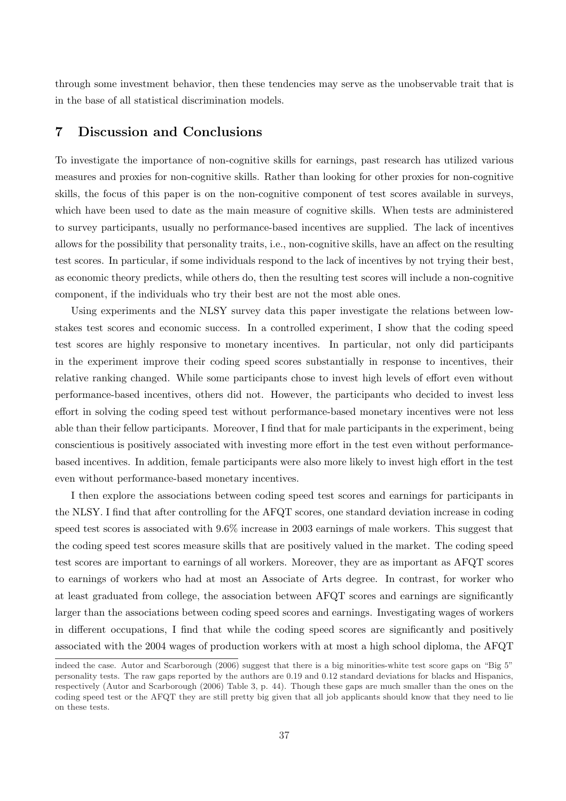through some investment behavior, then these tendencies may serve as the unobservable trait that is in the base of all statistical discrimination models.

# 7 Discussion and Conclusions

To investigate the importance of non-cognitive skills for earnings, past research has utilized various measures and proxies for non-cognitive skills. Rather than looking for other proxies for non-cognitive skills, the focus of this paper is on the non-cognitive component of test scores available in surveys, which have been used to date as the main measure of cognitive skills. When tests are administered to survey participants, usually no performance-based incentives are supplied. The lack of incentives allows for the possibility that personality traits, i.e., non-cognitive skills, have an affect on the resulting test scores. In particular, if some individuals respond to the lack of incentives by not trying their best, as economic theory predicts, while others do, then the resulting test scores will include a non-cognitive component, if the individuals who try their best are not the most able ones.

Using experiments and the NLSY survey data this paper investigate the relations between lowstakes test scores and economic success. In a controlled experiment, I show that the coding speed test scores are highly responsive to monetary incentives. In particular, not only did participants in the experiment improve their coding speed scores substantially in response to incentives, their relative ranking changed. While some participants chose to invest high levels of effort even without performance-based incentives, others did not. However, the participants who decided to invest less effort in solving the coding speed test without performance-based monetary incentives were not less able than their fellow participants. Moreover, I find that for male participants in the experiment, being conscientious is positively associated with investing more effort in the test even without performancebased incentives. In addition, female participants were also more likely to invest high effort in the test even without performance-based monetary incentives.

I then explore the associations between coding speed test scores and earnings for participants in the NLSY. I find that after controlling for the AFQT scores, one standard deviation increase in coding speed test scores is associated with 9.6% increase in 2003 earnings of male workers. This suggest that the coding speed test scores measure skills that are positively valued in the market. The coding speed test scores are important to earnings of all workers. Moreover, they are as important as AFQT scores to earnings of workers who had at most an Associate of Arts degree. In contrast, for worker who at least graduated from college, the association between AFQT scores and earnings are significantly larger than the associations between coding speed scores and earnings. Investigating wages of workers in different occupations, I find that while the coding speed scores are significantly and positively associated with the 2004 wages of production workers with at most a high school diploma, the AFQT

indeed the case. Autor and Scarborough (2006) suggest that there is a big minorities-white test score gaps on "Big 5" personality tests. The raw gaps reported by the authors are 0.19 and 0.12 standard deviations for blacks and Hispanics, respectively (Autor and Scarborough (2006) Table 3, p. 44). Though these gaps are much smaller than the ones on the coding speed test or the AFQT they are still pretty big given that all job applicants should know that they need to lie on these tests.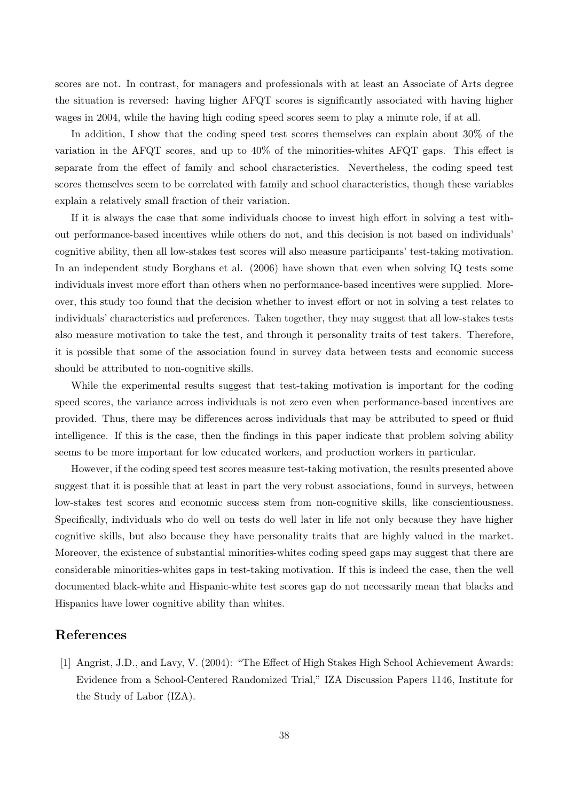scores are not. In contrast, for managers and professionals with at least an Associate of Arts degree the situation is reversed: having higher AFQT scores is significantly associated with having higher wages in 2004, while the having high coding speed scores seem to play a minute role, if at all.

In addition, I show that the coding speed test scores themselves can explain about 30% of the variation in the AFQT scores, and up to 40% of the minorities-whites AFQT gaps. This effect is separate from the effect of family and school characteristics. Nevertheless, the coding speed test scores themselves seem to be correlated with family and school characteristics, though these variables explain a relatively small fraction of their variation.

If it is always the case that some individuals choose to invest high effort in solving a test without performance-based incentives while others do not, and this decision is not based on individuals' cognitive ability, then all low-stakes test scores will also measure participants' test-taking motivation. In an independent study Borghans et al. (2006) have shown that even when solving IQ tests some individuals invest more effort than others when no performance-based incentives were supplied. Moreover, this study too found that the decision whether to invest effort or not in solving a test relates to individuals' characteristics and preferences. Taken together, they may suggest that all low-stakes tests also measure motivation to take the test, and through it personality traits of test takers. Therefore, it is possible that some of the association found in survey data between tests and economic success should be attributed to non-cognitive skills.

While the experimental results suggest that test-taking motivation is important for the coding speed scores, the variance across individuals is not zero even when performance-based incentives are provided. Thus, there may be differences across individuals that may be attributed to speed or fluid intelligence. If this is the case, then the findings in this paper indicate that problem solving ability seems to be more important for low educated workers, and production workers in particular.

However, if the coding speed test scores measure test-taking motivation, the results presented above suggest that it is possible that at least in part the very robust associations, found in surveys, between low-stakes test scores and economic success stem from non-cognitive skills, like conscientiousness. Specifically, individuals who do well on tests do well later in life not only because they have higher cognitive skills, but also because they have personality traits that are highly valued in the market. Moreover, the existence of substantial minorities-whites coding speed gaps may suggest that there are considerable minorities-whites gaps in test-taking motivation. If this is indeed the case, then the well documented black-white and Hispanic-white test scores gap do not necessarily mean that blacks and Hispanics have lower cognitive ability than whites.

# References

[1] Angrist, J.D., and Lavy, V. (2004): "The Effect of High Stakes High School Achievement Awards: Evidence from a School-Centered Randomized Trial," IZA Discussion Papers 1146, Institute for the Study of Labor (IZA).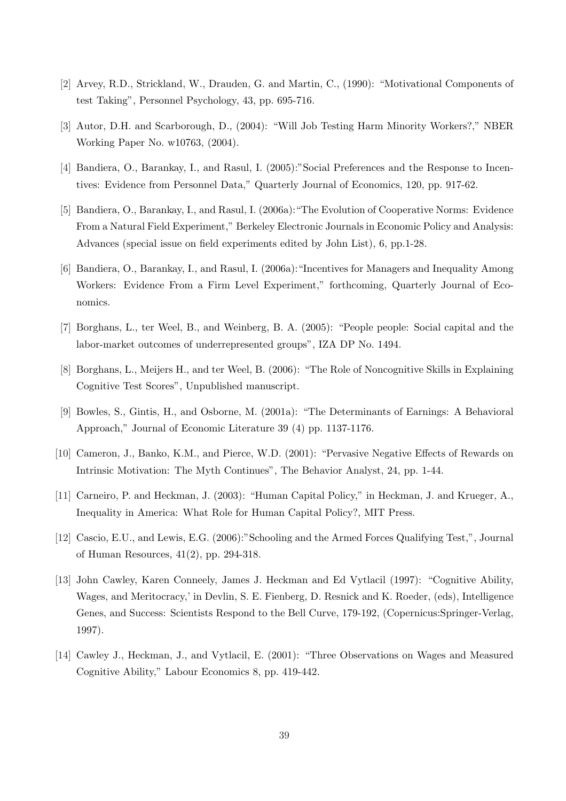- [2] Arvey, R.D., Strickland, W., Drauden, G. and Martin, C., (1990): "Motivational Components of test Taking", Personnel Psychology, 43, pp. 695-716.
- [3] Autor, D.H. and Scarborough, D., (2004): "Will Job Testing Harm Minority Workers?," NBER Working Paper No. w10763, (2004).
- [4] Bandiera, O., Barankay, I., and Rasul, I. (2005):"Social Preferences and the Response to Incentives: Evidence from Personnel Data," Quarterly Journal of Economics, 120, pp. 917-62.
- [5] Bandiera, O., Barankay, I., and Rasul, I. (2006a):"The Evolution of Cooperative Norms: Evidence From a Natural Field Experiment," Berkeley Electronic Journals in Economic Policy and Analysis: Advances (special issue on field experiments edited by John List), 6, pp.1-28.
- [6] Bandiera, O., Barankay, I., and Rasul, I. (2006a):"Incentives for Managers and Inequality Among Workers: Evidence From a Firm Level Experiment," forthcoming, Quarterly Journal of Economics.
- [7] Borghans, L., ter Weel, B., and Weinberg, B. A. (2005): "People people: Social capital and the labor-market outcomes of underrepresented groups", IZA DP No. 1494.
- [8] Borghans, L., Meijers H., and ter Weel, B. (2006): "The Role of Noncognitive Skills in Explaining Cognitive Test Scores", Unpublished manuscript.
- [9] Bowles, S., Gintis, H., and Osborne, M. (2001a): "The Determinants of Earnings: A Behavioral Approach," Journal of Economic Literature 39 (4) pp. 1137-1176.
- [10] Cameron, J., Banko, K.M., and Pierce, W.D. (2001): "Pervasive Negative Effects of Rewards on Intrinsic Motivation: The Myth Continues", The Behavior Analyst, 24, pp. 1-44.
- [11] Carneiro, P. and Heckman, J. (2003): "Human Capital Policy," in Heckman, J. and Krueger, A., Inequality in America: What Role for Human Capital Policy?, MIT Press.
- [12] Cascio, E.U., and Lewis, E.G. (2006):"Schooling and the Armed Forces Qualifying Test,", Journal of Human Resources, 41(2), pp. 294-318.
- [13] John Cawley, Karen Conneely, James J. Heckman and Ed Vytlacil (1997): "Cognitive Ability, Wages, and Meritocracy,' in Devlin, S. E. Fienberg, D. Resnick and K. Roeder, (eds), Intelligence Genes, and Success: Scientists Respond to the Bell Curve, 179-192, (Copernicus:Springer-Verlag, 1997).
- [14] Cawley J., Heckman, J., and Vytlacil, E. (2001): "Three Observations on Wages and Measured Cognitive Ability," Labour Economics 8, pp. 419-442.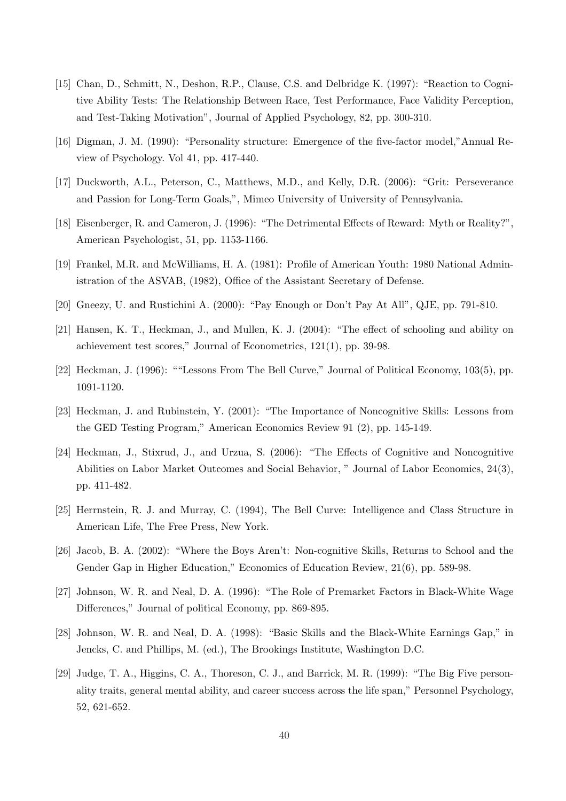- [15] Chan, D., Schmitt, N., Deshon, R.P., Clause, C.S. and Delbridge K. (1997): "Reaction to Cognitive Ability Tests: The Relationship Between Race, Test Performance, Face Validity Perception, and Test-Taking Motivation", Journal of Applied Psychology, 82, pp. 300-310.
- [16] Digman, J. M. (1990): "Personality structure: Emergence of the five-factor model,"Annual Review of Psychology. Vol 41, pp. 417-440.
- [17] Duckworth, A.L., Peterson, C., Matthews, M.D., and Kelly, D.R. (2006): "Grit: Perseverance and Passion for Long-Term Goals,", Mimeo University of University of Pennsylvania.
- [18] Eisenberger, R. and Cameron, J. (1996): "The Detrimental Effects of Reward: Myth or Reality?", American Psychologist, 51, pp. 1153-1166.
- [19] Frankel, M.R. and McWilliams, H. A. (1981): Profile of American Youth: 1980 National Administration of the ASVAB, (1982), Office of the Assistant Secretary of Defense.
- [20] Gneezy, U. and Rustichini A. (2000): "Pay Enough or Don't Pay At All", QJE, pp. 791-810.
- [21] Hansen, K. T., Heckman, J., and Mullen, K. J. (2004): "The effect of schooling and ability on achievement test scores," Journal of Econometrics, 121(1), pp. 39-98.
- [22] Heckman, J. (1996): ""Lessons From The Bell Curve," Journal of Political Economy, 103(5), pp. 1091-1120.
- [23] Heckman, J. and Rubinstein, Y. (2001): "The Importance of Noncognitive Skills: Lessons from the GED Testing Program," American Economics Review 91 (2), pp. 145-149.
- [24] Heckman, J., Stixrud, J., and Urzua, S. (2006): "The Effects of Cognitive and Noncognitive Abilities on Labor Market Outcomes and Social Behavior, " Journal of Labor Economics, 24(3), pp. 411-482.
- [25] Herrnstein, R. J. and Murray, C. (1994), The Bell Curve: Intelligence and Class Structure in American Life, The Free Press, New York.
- [26] Jacob, B. A. (2002): "Where the Boys Aren't: Non-cognitive Skills, Returns to School and the Gender Gap in Higher Education," Economics of Education Review, 21(6), pp. 589-98.
- [27] Johnson, W. R. and Neal, D. A. (1996): "The Role of Premarket Factors in Black-White Wage Differences," Journal of political Economy, pp. 869-895.
- [28] Johnson, W. R. and Neal, D. A. (1998): "Basic Skills and the Black-White Earnings Gap," in Jencks, C. and Phillips, M. (ed.), The Brookings Institute, Washington D.C.
- [29] Judge, T. A., Higgins, C. A., Thoreson, C. J., and Barrick, M. R. (1999): "The Big Five personality traits, general mental ability, and career success across the life span," Personnel Psychology, 52, 621-652.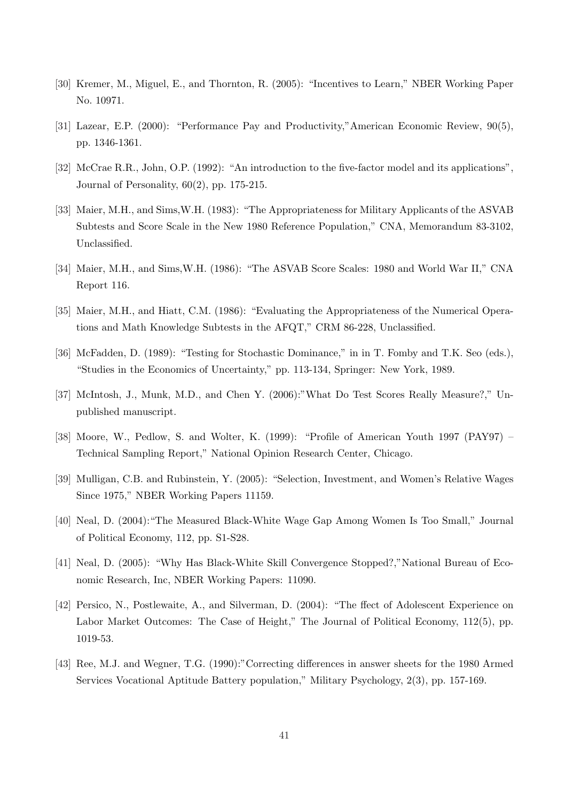- [30] Kremer, M., Miguel, E., and Thornton, R. (2005): "Incentives to Learn," NBER Working Paper No. 10971.
- [31] Lazear, E.P. (2000): "Performance Pay and Productivity,"American Economic Review, 90(5), pp. 1346-1361.
- [32] McCrae R.R., John, O.P. (1992): "An introduction to the five-factor model and its applications", Journal of Personality, 60(2), pp. 175-215.
- [33] Maier, M.H., and Sims,W.H. (1983): "The Appropriateness for Military Applicants of the ASVAB Subtests and Score Scale in the New 1980 Reference Population," CNA, Memorandum 83-3102, Unclassified.
- [34] Maier, M.H., and Sims,W.H. (1986): "The ASVAB Score Scales: 1980 and World War II," CNA Report 116.
- [35] Maier, M.H., and Hiatt, C.M. (1986): "Evaluating the Appropriateness of the Numerical Operations and Math Knowledge Subtests in the AFQT," CRM 86-228, Unclassified.
- [36] McFadden, D. (1989): "Testing for Stochastic Dominance," in in T. Fomby and T.K. Seo (eds.), "Studies in the Economics of Uncertainty," pp. 113-134, Springer: New York, 1989.
- [37] McIntosh, J., Munk, M.D., and Chen Y. (2006):"What Do Test Scores Really Measure?," Unpublished manuscript.
- [38] Moore, W., Pedlow, S. and Wolter, K. (1999): "Profile of American Youth 1997 (PAY97) Technical Sampling Report," National Opinion Research Center, Chicago.
- [39] Mulligan, C.B. and Rubinstein, Y. (2005): "Selection, Investment, and Women's Relative Wages Since 1975," NBER Working Papers 11159.
- [40] Neal, D. (2004):"The Measured Black-White Wage Gap Among Women Is Too Small," Journal of Political Economy, 112, pp. S1-S28.
- [41] Neal, D. (2005): "Why Has Black-White Skill Convergence Stopped?,"National Bureau of Economic Research, Inc, NBER Working Papers: 11090.
- [42] Persico, N., Postlewaite, A., and Silverman, D. (2004): "The ffect of Adolescent Experience on Labor Market Outcomes: The Case of Height," The Journal of Political Economy, 112(5), pp. 1019-53.
- [43] Ree, M.J. and Wegner, T.G. (1990):"Correcting differences in answer sheets for the 1980 Armed Services Vocational Aptitude Battery population," Military Psychology, 2(3), pp. 157-169.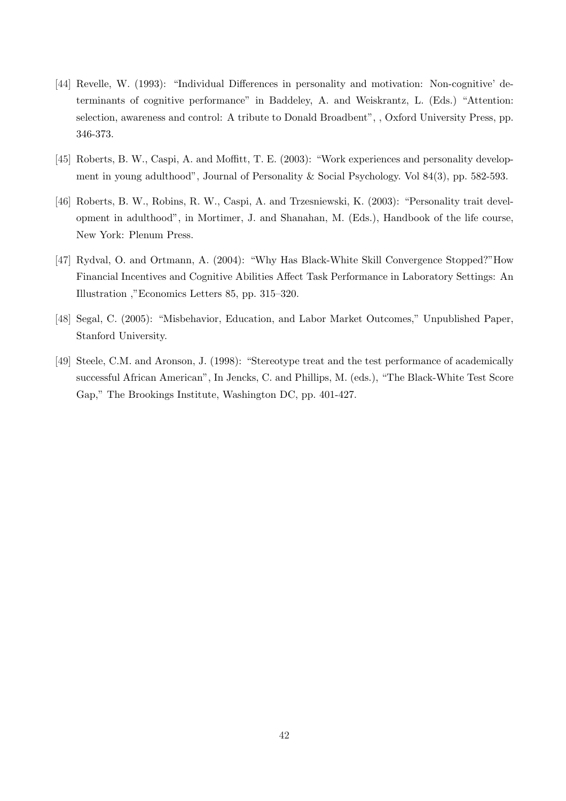- [44] Revelle, W. (1993): "Individual Differences in personality and motivation: Non-cognitive' determinants of cognitive performance" in Baddeley, A. and Weiskrantz, L. (Eds.) "Attention: selection, awareness and control: A tribute to Donald Broadbent", , Oxford University Press, pp. 346-373.
- [45] Roberts, B. W., Caspi, A. and Moffitt, T. E. (2003): "Work experiences and personality development in young adulthood", Journal of Personality & Social Psychology. Vol 84(3), pp. 582-593.
- [46] Roberts, B. W., Robins, R. W., Caspi, A. and Trzesniewski, K. (2003): "Personality trait development in adulthood", in Mortimer, J. and Shanahan, M. (Eds.), Handbook of the life course, New York: Plenum Press.
- [47] Rydval, O. and Ortmann, A. (2004): "Why Has Black-White Skill Convergence Stopped?"How Financial Incentives and Cognitive Abilities Affect Task Performance in Laboratory Settings: An Illustration ,"Economics Letters 85, pp. 315–320.
- [48] Segal, C. (2005): "Misbehavior, Education, and Labor Market Outcomes," Unpublished Paper, Stanford University.
- [49] Steele, C.M. and Aronson, J. (1998): "Stereotype treat and the test performance of academically successful African American", In Jencks, C. and Phillips, M. (eds.), "The Black-White Test Score Gap," The Brookings Institute, Washington DC, pp. 401-427.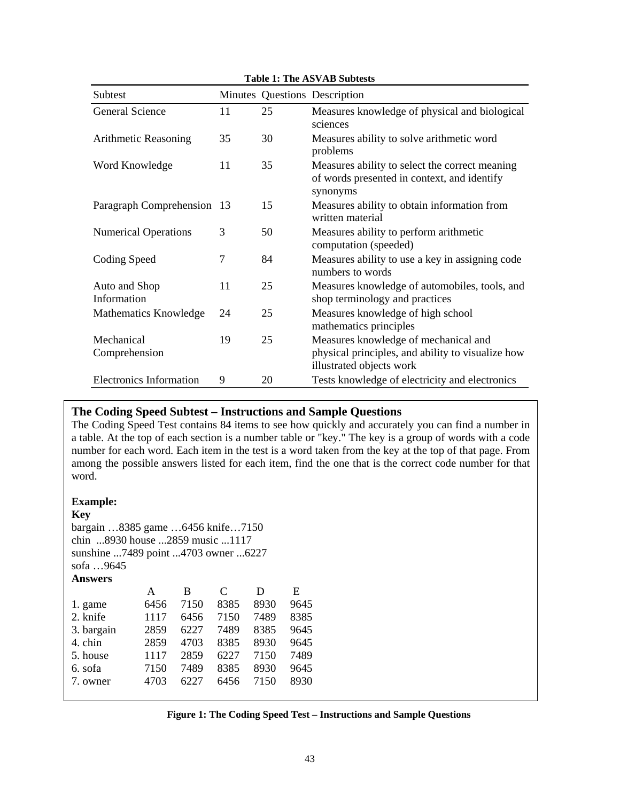| Subtest                        |    |    | Minutes Questions Description                                                                                         |
|--------------------------------|----|----|-----------------------------------------------------------------------------------------------------------------------|
| General Science                | 11 | 25 | Measures knowledge of physical and biological<br>sciences                                                             |
| Arithmetic Reasoning           | 35 | 30 | Measures ability to solve arithmetic word<br>problems                                                                 |
| Word Knowledge                 | 11 | 35 | Measures ability to select the correct meaning<br>of words presented in context, and identify<br>synonyms             |
| Paragraph Comprehension 13     |    | 15 | Measures ability to obtain information from<br>written material                                                       |
| <b>Numerical Operations</b>    | 3  | 50 | Measures ability to perform arithmetic<br>computation (speeded)                                                       |
| Coding Speed                   | 7  | 84 | Measures ability to use a key in assigning code<br>numbers to words                                                   |
| Auto and Shop<br>Information   | 11 | 25 | Measures knowledge of automobiles, tools, and<br>shop terminology and practices                                       |
| Mathematics Knowledge          | 24 | 25 | Measures knowledge of high school<br>mathematics principles                                                           |
| Mechanical<br>Comprehension    | 19 | 25 | Measures knowledge of mechanical and<br>physical principles, and ability to visualize how<br>illustrated objects work |
| <b>Electronics Information</b> | 9  | 20 | Tests knowledge of electricity and electronics                                                                        |

**Table 1: The ASVAB Subtests** 

# **The Coding Speed Subtest – Instructions and Sample Questions**

The Coding Speed Test contains 84 items to see how quickly and accurately you can find a number in a table. At the top of each section is a number table or "key." The key is a group of words with a code number for each word. Each item in the test is a word taken from the key at the top of that page. From among the possible answers listed for each item, find the one that is the correct code number for that word.

## **Example:**

## **Key**

bargain …8385 game …6456 knife…7150 chin ...8930 house ...2859 music ...1117 sunshine ...7489 point ...4703 owner ...6227 sofa …9645 **Answers** 

|            | А    | В    | C    | Ð    | Е    |
|------------|------|------|------|------|------|
| 1. game    | 6456 | 7150 | 8385 | 8930 | 9645 |
| 2. knife   | 1117 | 6456 | 7150 | 7489 | 8385 |
| 3. bargain | 2859 | 6227 | 7489 | 8385 | 9645 |
| 4. chin    | 2859 | 4703 | 8385 | 8930 | 9645 |
| 5. house   | 1117 | 2859 | 6227 | 7150 | 7489 |
| 6. sofa    | 7150 | 7489 | 8385 | 8930 | 9645 |
| 7. owner   | 4703 | 6227 | 6456 | 7150 | 8930 |
|            |      |      |      |      |      |

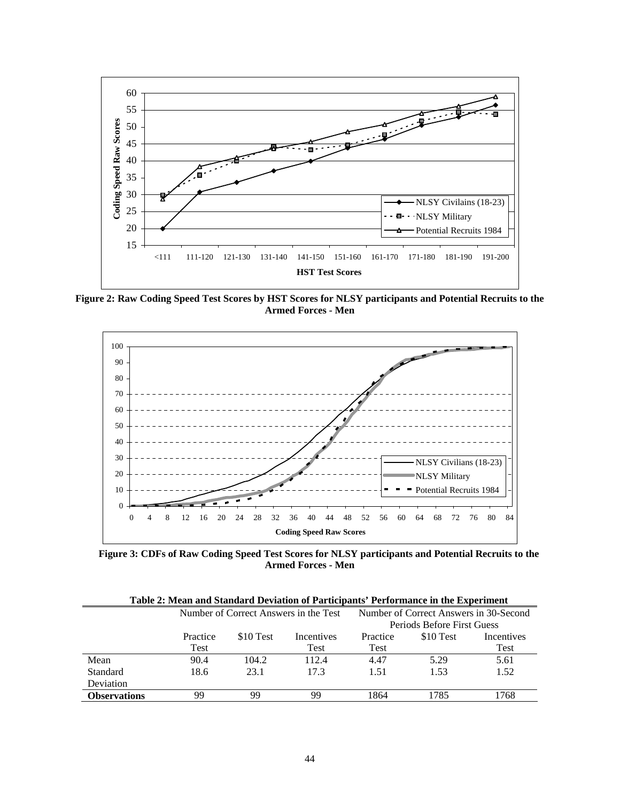

**Figure 2: Raw Coding Speed Test Scores by HST Scores for NLSY participants and Potential Recruits to the Armed Forces - Men** 



**Figure 3: CDFs of Raw Coding Speed Test Scores for NLSY participants and Potential Recruits to the Armed Forces - Men** 

| Table 2: Mean and Standard Deviation of Participants' Performance in the Experiment |          |           |                                       |          |                                        |                   |  |  |  |
|-------------------------------------------------------------------------------------|----------|-----------|---------------------------------------|----------|----------------------------------------|-------------------|--|--|--|
|                                                                                     |          |           | Number of Correct Answers in the Test |          | Number of Correct Answers in 30-Second |                   |  |  |  |
|                                                                                     |          |           |                                       |          | Periods Before First Guess             |                   |  |  |  |
|                                                                                     | Practice | \$10 Test | <b>Incentives</b>                     | Practice | \$10 Test                              | <b>Incentives</b> |  |  |  |
|                                                                                     | Test     |           | Test                                  | Test     |                                        | Test              |  |  |  |
| Mean                                                                                | 90.4     | 104.2     | 112.4                                 | 4.47     | 5.29                                   | 5.61              |  |  |  |
| Standard                                                                            | 18.6     | 23.1      | 17.3                                  | 1.51     | 1.53                                   | 1.52              |  |  |  |
| Deviation                                                                           |          |           |                                       |          |                                        |                   |  |  |  |
| <b>Observations</b>                                                                 | 99       | 99        | 99                                    | 1864     | 1785                                   | 1768              |  |  |  |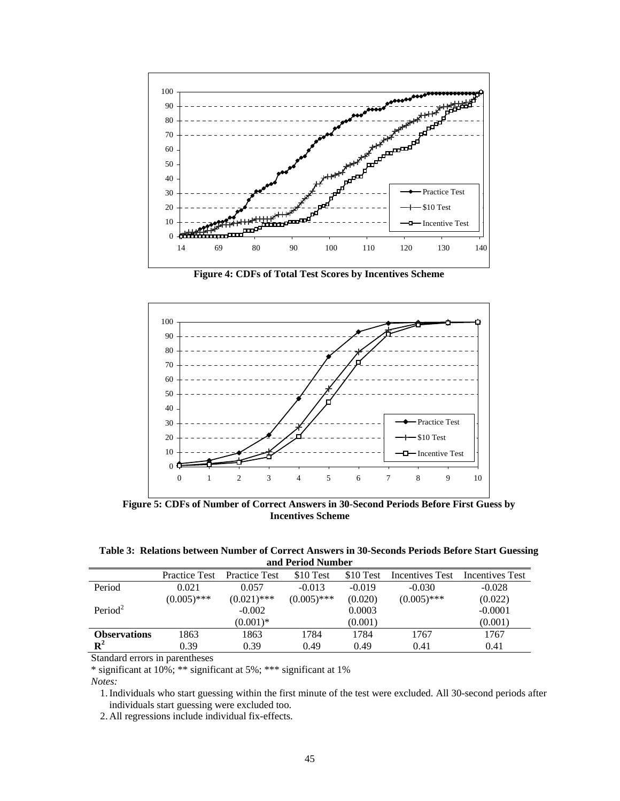

**Figure 4: CDFs of Total Test Scores by Incentives Scheme** 



**Figure 5: CDFs of Number of Correct Answers in 30-Second Periods Before First Guess by Incentives Scheme** 

| Table 3: Relations between Number of Correct Answers in 30-Seconds Periods Before Start Guessing |  |
|--------------------------------------------------------------------------------------------------|--|
| and Period Number                                                                                |  |

|                     | <b>Practice Test</b> | <b>Practice Test</b> | \$10 Test     | \$10 Test | Incentives Test | Incentives Test |
|---------------------|----------------------|----------------------|---------------|-----------|-----------------|-----------------|
| Period              | 0.021                | 0.057                | $-0.013$      | $-0.019$  | $-0.030$        | $-0.028$        |
|                     | $(0.005)$ ***        | $(0.021)$ ***        | $(0.005)$ *** | (0.020)   | $(0.005)$ ***   | (0.022)         |
| Period <sup>2</sup> |                      | $-0.002$             |               | 0.0003    |                 | $-0.0001$       |
|                     |                      | $(0.001)*$           |               | (0.001)   |                 | (0.001)         |
| <b>Observations</b> | 1863                 | 1863                 | 1784          | 1784      | 1767            | 1767            |
| $\mathbf{R}^2$      | 0.39                 | 0.39                 | 0.49          | 0.49      | 0.41            | 0.41            |

Standard errors in parentheses

\* significant at 10%; \*\* significant at 5%; \*\*\* significant at 1%

*Notes:*

1.Individuals who start guessing within the first minute of the test were excluded. All 30-second periods after individuals start guessing were excluded too.

2. All regressions include individual fix-effects.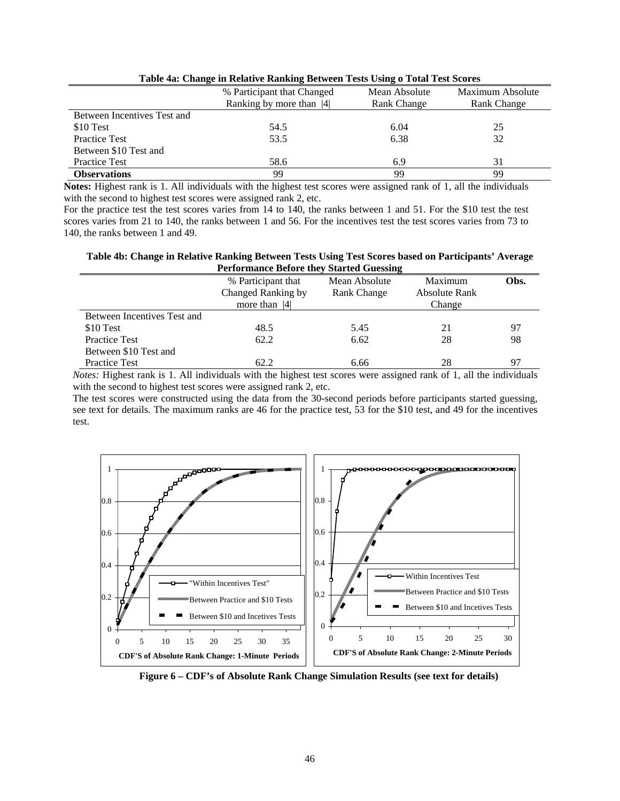|                             | % Participant that Changed | Mean Absolute | Maximum Absolute |
|-----------------------------|----------------------------|---------------|------------------|
|                             | Ranking by more than [4]   | Rank Change   | Rank Change      |
| Between Incentives Test and |                            |               |                  |
| \$10 Test                   | 54.5                       | 6.04          | 25               |
| <b>Practice Test</b>        | 53.5                       | 6.38          | 32               |
| Between \$10 Test and       |                            |               |                  |
| <b>Practice Test</b>        | 58.6                       | 6.9           | 31               |
| <b>Observations</b>         | 99                         | 99            | 99               |

**Table 4a: Change in Relative Ranking Between Tests Using o Total Test Scores** 

**Notes:** Highest rank is 1. All individuals with the highest test scores were assigned rank of 1, all the individuals with the second to highest test scores were assigned rank 2, etc.

For the practice test the test scores varies from 14 to 140, the ranks between 1 and 51. For the \$10 test the test scores varies from 21 to 140, the ranks between 1 and 56. For the incentives test the test scores varies from 73 to 140, the ranks between 1 and 49.

**Table 4b: Change in Relative Ranking Between Tests Using Test Scores based on Participants' Average Performance Before they Started Guessing** 

| I criormance Derore they bear few Gaessing |                    |               |               |      |  |  |  |  |
|--------------------------------------------|--------------------|---------------|---------------|------|--|--|--|--|
|                                            | % Participant that | Mean Absolute | Maximum       | Obs. |  |  |  |  |
|                                            | Changed Ranking by | Rank Change   | Absolute Rank |      |  |  |  |  |
|                                            | more than $ 4 $    |               | Change        |      |  |  |  |  |
| Between Incentives Test and                |                    |               |               |      |  |  |  |  |
| \$10 Test                                  | 48.5               | 5.45          | 21            | 97   |  |  |  |  |
| <b>Practice Test</b>                       | 62.2               | 6.62          | 28            | 98   |  |  |  |  |
| Between \$10 Test and                      |                    |               |               |      |  |  |  |  |
| <b>Practice Test</b>                       | 62.2               | 6.66          | 28            |      |  |  |  |  |

*Notes:* Highest rank is 1. All individuals with the highest test scores were assigned rank of 1, all the individuals with the second to highest test scores were assigned rank 2, etc.

The test scores were constructed using the data from the 30-second periods before participants started guessing, see text for details. The maximum ranks are 46 for the practice test, 53 for the \$10 test, and 49 for the incentives test.



**Figure 6 – CDF's of Absolute Rank Change Simulation Results (see text for details)**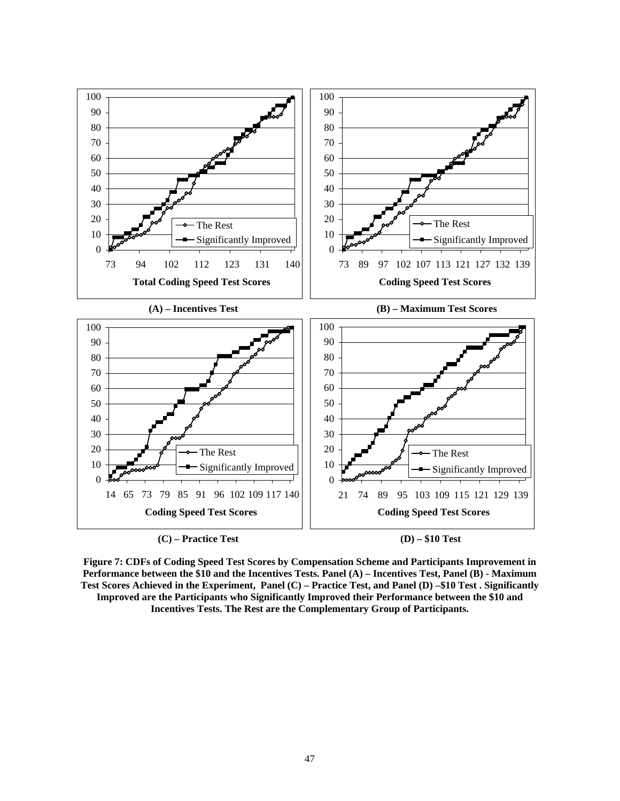

**Figure 7: CDFs of Coding Speed Test Scores by Compensation Scheme and Participants Improvement in Performance between the \$10 and the Incentives Tests. Panel (A) – Incentives Test, Panel (B) - Maximum Test Scores Achieved in the Experiment, Panel (C) – Practice Test, and Panel (D) –\$10 Test . Significantly** 

**Improved are the Participants who Significantly Improved their Performance between the \$10 and Incentives Tests. The Rest are the Complementary Group of Participants.**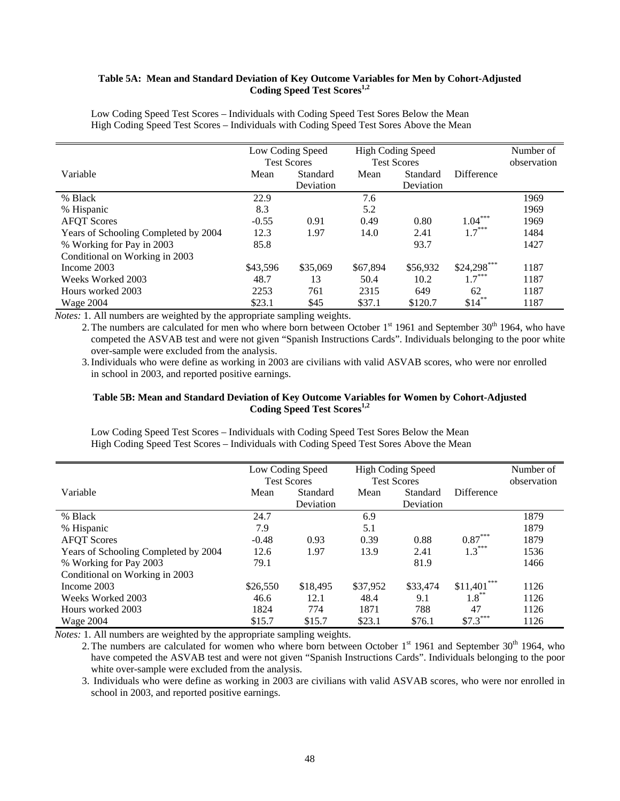## **Table 5A: Mean and Standard Deviation of Key Outcome Variables for Men by Cohort-Adjusted**  Coding Speed Test Scores<sup>1,2</sup>

|                                      | Low Coding Speed<br><b>Test Scores</b> |                       |          | <b>High Coding Speed</b><br><b>Test Scores</b> |               | Number of<br>observation |
|--------------------------------------|----------------------------------------|-----------------------|----------|------------------------------------------------|---------------|--------------------------|
| Variable                             | Mean                                   | Standard<br>Deviation | Mean     | Standard<br>Deviation                          | Difference    |                          |
| % Black                              | 22.9                                   |                       | 7.6      |                                                |               | 1969                     |
| % Hispanic                           | 8.3                                    |                       | 5.2      |                                                |               | 1969                     |
| <b>AFQT</b> Scores                   | $-0.55$                                | 0.91                  | 0.49     | 0.80                                           | $1.04***$     | 1969                     |
| Years of Schooling Completed by 2004 | 12.3                                   | 1.97                  | 14.0     | 2.41                                           | $1.7***$      | 1484                     |
| % Working for Pay in 2003            | 85.8                                   |                       |          | 93.7                                           |               | 1427                     |
| Conditional on Working in 2003       |                                        |                       |          |                                                |               |                          |
| Income 2003                          | \$43,596                               | \$35,069              | \$67,894 | \$56,932                                       | $$24,298$ *** | 1187                     |
| Weeks Worked 2003                    | 48.7                                   | 13                    | 50.4     | 10.2                                           | $1.7***$      | 1187                     |
| Hours worked 2003                    | 2253                                   | 761                   | 2315     | 649                                            | 62            | 1187                     |
| <b>Wage 2004</b>                     | \$23.1                                 | \$45                  | \$37.1   | \$120.7                                        | $$14$ **      | 1187                     |

Low Coding Speed Test Scores – Individuals with Coding Speed Test Sores Below the Mean High Coding Speed Test Scores – Individuals with Coding Speed Test Sores Above the Mean

*Notes:* 1. All numbers are weighted by the appropriate sampling weights.

2. The numbers are calculated for men who where born between October 1<sup>st</sup> 1961 and September 30<sup>th</sup> 1964, who have competed the ASVAB test and were not given "Spanish Instructions Cards". Individuals belonging to the poor white over-sample were excluded from the analysis.

3.Individuals who were define as working in 2003 are civilians with valid ASVAB scores, who were nor enrolled in school in 2003, and reported positive earnings.

## **Table 5B: Mean and Standard Deviation of Key Outcome Variables for Women by Cohort-Adjusted**  Coding Speed Test Scores<sup>1,2</sup>

Low Coding Speed Test Scores – Individuals with Coding Speed Test Sores Below the Mean High Coding Speed Test Scores – Individuals with Coding Speed Test Sores Above the Mean

|                                      | Low Coding Speed |                    |          | <b>High Coding Speed</b> |               | Number of   |
|--------------------------------------|------------------|--------------------|----------|--------------------------|---------------|-------------|
|                                      |                  | <b>Test Scores</b> |          | <b>Test Scores</b>       |               | observation |
| Variable                             | Mean             | Standard           | Mean     | Standard                 | Difference    |             |
|                                      |                  | Deviation          |          | Deviation                |               |             |
| % Black                              | 24.7             |                    | 6.9      |                          |               | 1879        |
| % Hispanic                           | 7.9              |                    | 5.1      |                          |               | 1879        |
| <b>AFQT</b> Scores                   | $-0.48$          | 0.93               | 0.39     | 0.88                     | $0.87***$     | 1879        |
| Years of Schooling Completed by 2004 | 12.6             | 1.97               | 13.9     | 2.41                     | $1.3***$      | 1536        |
| % Working for Pay 2003               | 79.1             |                    |          | 81.9                     |               | 1466        |
| Conditional on Working in 2003       |                  |                    |          |                          |               |             |
| Income 2003                          | \$26,550         | \$18,495           | \$37,952 | \$33,474                 | $$11,401$ *** | 1126        |
| Weeks Worked 2003                    | 46.6             | 12.1               | 48.4     | 9.1                      | $1.8***$      | 1126        |
| Hours worked 2003                    | 1824             | 774                | 1871     | 788                      | 47            | 1126        |
| <b>Wage 2004</b>                     | \$15.7           | \$15.7             | \$23.1   | \$76.1                   | $$7.3***$     | 1126        |

*Notes:* 1. All numbers are weighted by the appropriate sampling weights.

2. The numbers are calculated for women who where born between October  $1<sup>st</sup>$  1961 and September 30<sup>th</sup> 1964, who have competed the ASVAB test and were not given "Spanish Instructions Cards". Individuals belonging to the poor white over-sample were excluded from the analysis.

3. Individuals who were define as working in 2003 are civilians with valid ASVAB scores, who were nor enrolled in school in 2003, and reported positive earnings.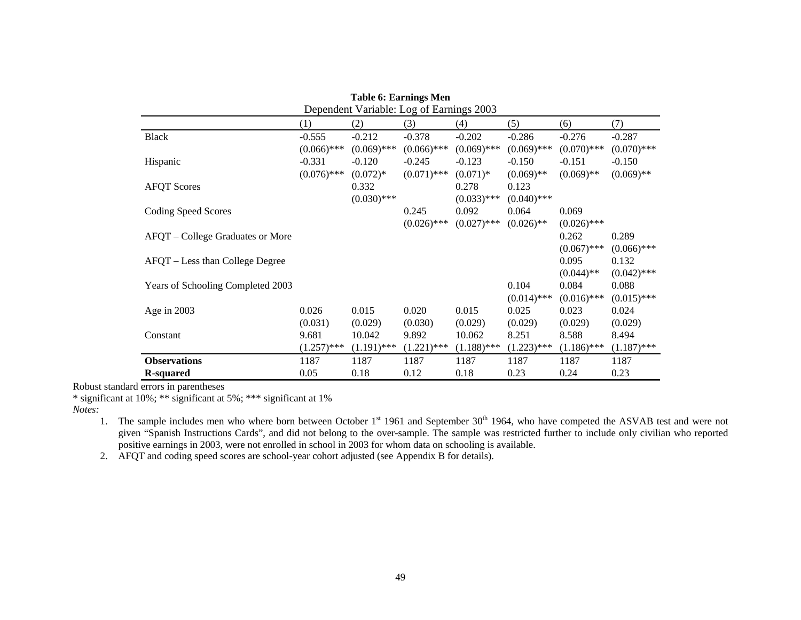|                                   | Dependent Variable: Log of Earnings 2003 |               |               |               |               |               |               |  |
|-----------------------------------|------------------------------------------|---------------|---------------|---------------|---------------|---------------|---------------|--|
|                                   | (1)                                      | (2)           | (3)           | (4)           | (5)           | (6)           | (7)           |  |
| <b>Black</b>                      | $-0.555$                                 | $-0.212$      | $-0.378$      | $-0.202$      | $-0.286$      | $-0.276$      | $-0.287$      |  |
|                                   | $(0.066)$ ***                            | $(0.069)$ *** | $(0.066)$ *** | $(0.069)$ *** | $(0.069)$ *** | $(0.070)$ *** | $(0.070)$ *** |  |
| Hispanic                          | $-0.331$                                 | $-0.120$      | $-0.245$      | $-0.123$      | $-0.150$      | $-0.151$      | $-0.150$      |  |
|                                   | $(0.076)$ ***                            | $(0.072)*$    | $(0.071)$ *** | $(0.071)*$    | $(0.069)$ **  | $(0.069)$ **  | $(0.069)$ **  |  |
| <b>AFQT</b> Scores                |                                          | 0.332         |               | 0.278         | 0.123         |               |               |  |
|                                   |                                          | $(0.030)$ *** |               | $(0.033)$ *** | $(0.040)$ *** |               |               |  |
| <b>Coding Speed Scores</b>        |                                          |               | 0.245         | 0.092         | 0.064         | 0.069         |               |  |
|                                   |                                          |               | $(0.026)$ *** | $(0.027)$ *** | $(0.026)$ **  | $(0.026)$ *** |               |  |
| AFQT – College Graduates or More  |                                          |               |               |               |               | 0.262         | 0.289         |  |
|                                   |                                          |               |               |               |               | $(0.067)$ *** | $(0.066)$ *** |  |
| AFQT – Less than College Degree   |                                          |               |               |               |               | 0.095         | 0.132         |  |
|                                   |                                          |               |               |               |               | $(0.044)$ **  | $(0.042)$ *** |  |
| Years of Schooling Completed 2003 |                                          |               |               |               | 0.104         | 0.084         | 0.088         |  |
|                                   |                                          |               |               |               | $(0.014)$ *** | $(0.016)$ *** | $(0.015)$ *** |  |
| Age in 2003                       | 0.026                                    | 0.015         | 0.020         | 0.015         | 0.025         | 0.023         | 0.024         |  |
|                                   | (0.031)                                  | (0.029)       | (0.030)       | (0.029)       | (0.029)       | (0.029)       | (0.029)       |  |
| Constant                          | 9.681                                    | 10.042        | 9.892         | 10.062        | 8.251         | 8.588         | 8.494         |  |
|                                   | $(1.257)$ ***                            | $(1.191)$ *** | $(1.221)$ *** | $(1.188)$ *** | $(1.223)$ *** | $(1.186)$ *** | $(1.187)$ *** |  |
| <b>Observations</b>               | 1187                                     | 1187          | 1187          | 1187          | 1187          | 1187          | 1187          |  |
| <b>R</b> -squared                 | 0.05                                     | 0.18          | 0.12          | 0.18          | 0.23          | 0.24          | 0.23          |  |

# **Table 6: Earnings Men**

Robust standard errors in parentheses

\* significant at 10%; \*\* significant at 5%; \*\*\* significant at 1%

*Notes:*

1. The sample includes men who where born between October 1<sup>st</sup> 1961 and September 30<sup>th</sup> 1964, who have competed the ASVAB test and were not given "Spanish Instructions Cards", and did not belong to the over-sample. The sample was restricted further to include only civilian who reported positive earnings in 2003, were not enrolled in school in 2003 for whom data on schooling is available.

2. AFQT and coding speed scores are school-year cohort adjusted (see Appendix B for details).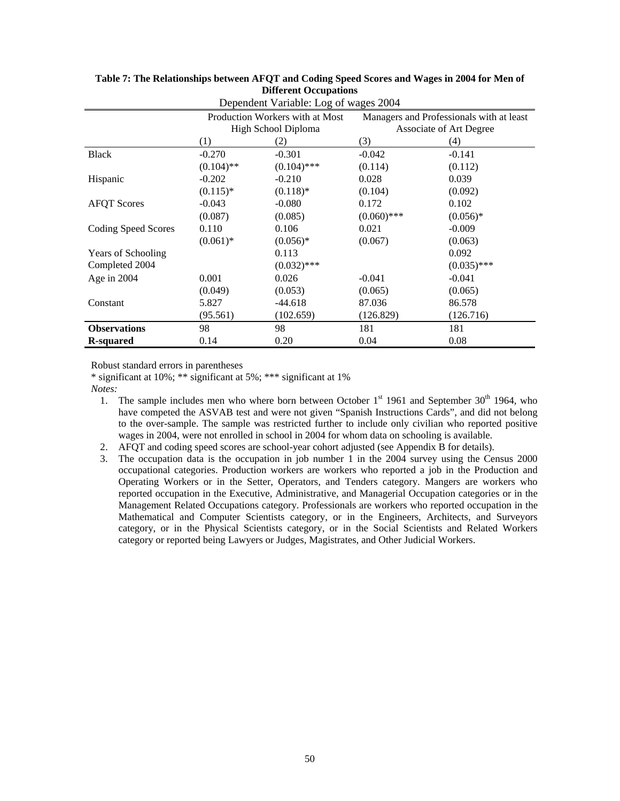|                           | Production Workers with at Most<br>High School Diploma |               |               | Managers and Professionals with at least<br>Associate of Art Degree |
|---------------------------|--------------------------------------------------------|---------------|---------------|---------------------------------------------------------------------|
|                           | (1)                                                    | $\rm(2)$      | (3)           | (4)                                                                 |
| <b>Black</b>              | $-0.270$                                               | $-0.301$      | $-0.042$      | $-0.141$                                                            |
|                           | $(0.104)$ **                                           | $(0.104)$ *** | (0.114)       | (0.112)                                                             |
| Hispanic                  | $-0.202$                                               | $-0.210$      | 0.028         | 0.039                                                               |
|                           | $(0.115)*$                                             | $(0.118)$ *   | (0.104)       | (0.092)                                                             |
| <b>AFQT</b> Scores        | $-0.043$                                               | $-0.080$      | 0.172         | 0.102                                                               |
|                           | (0.087)                                                | (0.085)       | $(0.060)$ *** | $(0.056)*$                                                          |
| Coding Speed Scores       | 0.110                                                  | 0.106         | 0.021         | $-0.009$                                                            |
|                           | $(0.061)*$                                             | $(0.056)*$    | (0.067)       | (0.063)                                                             |
| <b>Years of Schooling</b> |                                                        | 0.113         |               | 0.092                                                               |
| Completed 2004            |                                                        | $(0.032)$ *** |               | $(0.035)$ ***                                                       |
| Age in $2004$             | 0.001                                                  | 0.026         | $-0.041$      | $-0.041$                                                            |
|                           | (0.049)                                                | (0.053)       | (0.065)       | (0.065)                                                             |
| Constant                  | 5.827                                                  | $-44.618$     | 87.036        | 86.578                                                              |
|                           | (95.561)                                               | (102.659)     | (126.829)     | (126.716)                                                           |
| <b>Observations</b>       | 98                                                     | 98            | 181           | 181                                                                 |
| R-squared                 | 0.14                                                   | 0.20          | 0.04          | 0.08                                                                |

#### **Table 7: The Relationships between AFQT and Coding Speed Scores and Wages in 2004 for Men of Different Occupations**  Dependent Variable: Log of wages 2004

Robust standard errors in parentheses

\* significant at 10%; \*\* significant at 5%; \*\*\* significant at 1%

*Notes:*

- 1. The sample includes men who where born between October  $1<sup>st</sup>$  1961 and September 30<sup>th</sup> 1964, who have competed the ASVAB test and were not given "Spanish Instructions Cards", and did not belong to the over-sample. The sample was restricted further to include only civilian who reported positive wages in 2004, were not enrolled in school in 2004 for whom data on schooling is available.
- 2. AFQT and coding speed scores are school-year cohort adjusted (see Appendix B for details).
- 3. The occupation data is the occupation in job number 1 in the 2004 survey using the Census 2000 occupational categories. Production workers are workers who reported a job in the Production and Operating Workers or in the Setter, Operators, and Tenders category. Mangers are workers who reported occupation in the Executive, Administrative, and Managerial Occupation categories or in the Management Related Occupations category. Professionals are workers who reported occupation in the Mathematical and Computer Scientists category, or in the Engineers, Architects, and Surveyors category, or in the Physical Scientists category, or in the Social Scientists and Related Workers category or reported being Lawyers or Judges, Magistrates, and Other Judicial Workers.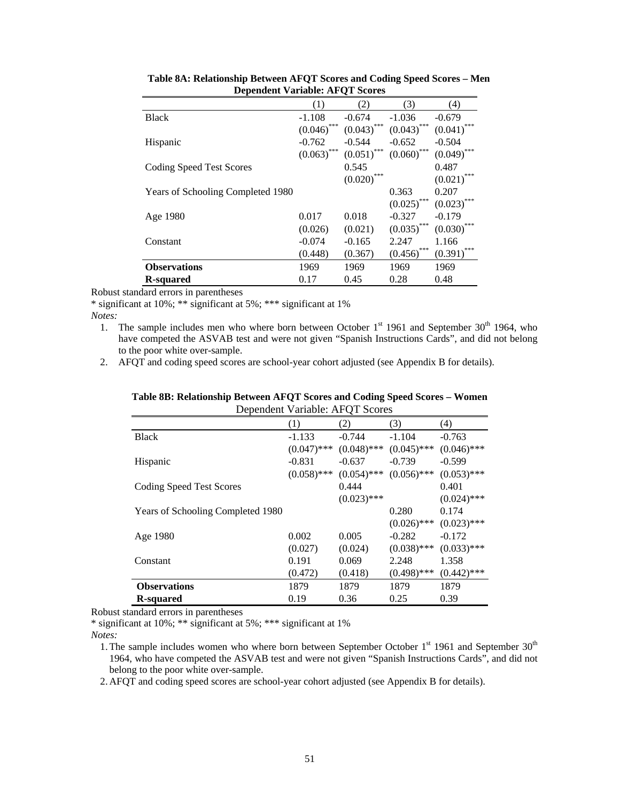| Dependent variable. Ar Q I beores |               |               |               |               |
|-----------------------------------|---------------|---------------|---------------|---------------|
|                                   | (1)           | (2)           | (3)           | (4)           |
| <b>Black</b>                      | $-1.108$      | $-0.674$      | $-1.036$      | $-0.679$      |
|                                   | $(0.046)$ *** | $(0.043)$ *** | $(0.043)$ *** | $(0.041)$ *** |
| Hispanic                          | $-0.762$      | $-0.544$      | $-0.652$      | $-0.504$      |
|                                   | $(0.063)$ *** | $(0.051)$ *** | $(0.060)$ *** | $(0.049)$ *** |
| Coding Speed Test Scores          |               | 0.545         |               | 0.487         |
|                                   |               | $(0.020)$ *** |               | $(0.021)$ *** |
| Years of Schooling Completed 1980 |               |               | 0.363         | 0.207         |
|                                   |               |               | $(0.025)$ *** | $(0.023)$ *** |
| Age 1980                          | 0.017         | 0.018         | $-0.327$      | $-0.179$      |
|                                   | (0.026)       | (0.021)       | $(0.035)$ *** | $(0.030)$ *** |
| Constant                          | $-0.074$      | $-0.165$      | 2.247         | 1.166         |
|                                   | (0.448)       | (0.367)       | $(0.456)$ *** | $(0.391)$ *** |
| <b>Observations</b>               | 1969          | 1969          | 1969          | 1969          |
| R-squared                         | 0.17          | 0.45          | 0.28          | 0.48          |

| Table 8A: Relationship Between AFQT Scores and Coding Speed Scores – Men |
|--------------------------------------------------------------------------|
| <b>Dependent Variable: AFQT Scores</b>                                   |

\* significant at 10%; \*\* significant at 5%; \*\*\* significant at 1%

*Notes:*

1. The sample includes men who where born between October  $1<sup>st</sup>$  1961 and September 30<sup>th</sup> 1964, who have competed the ASVAB test and were not given "Spanish Instructions Cards", and did not belong to the poor white over-sample.

2. AFQT and coding speed scores are school-year cohort adjusted (see Appendix B for details).

|                                   | Dependent variable: AFQ I Scores |               |               |               |
|-----------------------------------|----------------------------------|---------------|---------------|---------------|
|                                   | (1)                              | (2)           | (3)           | (4)           |
| <b>Black</b>                      | $-1.133$                         | $-0.744$      | $-1.104$      | $-0.763$      |
|                                   | $(0.047)$ ***                    | $(0.048)$ *** | $(0.045)$ *** | $(0.046)$ *** |
| Hispanic                          | $-0.831$                         | $-0.637$      | $-0.739$      | $-0.599$      |
|                                   | $(0.058)$ ***                    | $(0.054)$ *** | $(0.056)$ *** | $(0.053)$ *** |
| Coding Speed Test Scores          |                                  | 0.444         |               | 0.401         |
|                                   |                                  | $(0.023)$ *** |               | $(0.024)$ *** |
| Years of Schooling Completed 1980 |                                  |               | 0.280         | 0.174         |
|                                   |                                  |               | $(0.026)$ *** | $(0.023)$ *** |
| Age 1980                          | 0.002                            | 0.005         | $-0.282$      | $-0.172$      |
|                                   | (0.027)                          | (0.024)       | $(0.038)$ *** | $(0.033)$ *** |
| Constant                          | 0.191                            | 0.069         | 2.248         | 1.358         |
|                                   | (0.472)                          | (0.418)       | $(0.498)$ *** | $(0.442)$ *** |
| <b>Observations</b>               | 1879                             | 1879          | 1879          | 1879          |
| <b>R</b> -squared                 | 0.19                             | 0.36          | 0.25          | 0.39          |

**Table 8B: Relationship Between AFQT Scores and Coding Speed Scores – Women**  Dependent Variable: AFQT Scores

Robust standard errors in parentheses

\* significant at 10%; \*\* significant at 5%; \*\*\* significant at 1%

*Notes:*

1. The sample includes women who where born between September October 1<sup>st</sup> 1961 and September 30<sup>th</sup> 1964, who have competed the ASVAB test and were not given "Spanish Instructions Cards", and did not belong to the poor white over-sample.

2. AFQT and coding speed scores are school-year cohort adjusted (see Appendix B for details).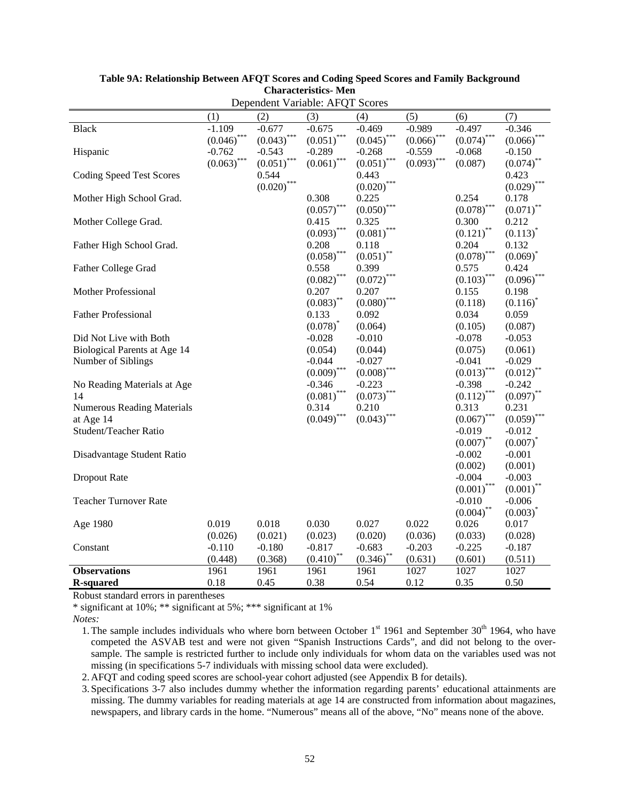|                                   |               | $D$ c $D$ chucht variable. The $Q$ T |               | ncorco            |               |                          |                        |
|-----------------------------------|---------------|--------------------------------------|---------------|-------------------|---------------|--------------------------|------------------------|
|                                   | (1)           | (2)                                  | (3)           | (4)               | (5)           | (6)                      | (7)                    |
| <b>Black</b>                      | $-1.109$      | $-0.677$                             | $-0.675$      | $-0.469$          | $-0.989$      | $-0.497$                 | $-0.346$               |
|                                   | $(0.046)$ *** | $(0.043)$ ***                        | $(0.051)$ *** | $(0.045)$ ***     | $(0.066)$ *** | $(0.074)$ ***            | $(0.066)^*$            |
| Hispanic                          | $-0.762$      | $-0.543$                             | $-0.289$      | $-0.268$          | $-0.559$      | $-0.068$                 | $-0.150$               |
|                                   | $(0.063)$ *** | $(0.051)$ ***                        | $(0.061)$ *** | ${(0.051)}^{***}$ | $(0.093)$ *** | (0.087)                  | $(0.074)^{*}$          |
| <b>Coding Speed Test Scores</b>   |               | 0.544                                |               | 0.443             |               |                          | 0.423                  |
|                                   |               | $(0.020)$ ***                        |               | $(0.020)$ ***     |               |                          | $(0.029)^{4}$          |
| Mother High School Grad.          |               |                                      | 0.308         | 0.225             |               | 0.254                    | 0.178                  |
|                                   |               |                                      | $(0.057)$ *** | $(0.050)$ **      |               | $(0.078)$ ***            | $(0.071)^{*}$          |
| Mother College Grad.              |               |                                      | 0.415         | 0.325             |               | 0.300                    | 0.212                  |
|                                   |               |                                      | $(0.093)$ *** | $(0.081)$ ***     |               | $(0.121)$ <sup>**</sup>  | $(0.113)^{*}$          |
| Father High School Grad.          |               |                                      | 0.208         | 0.118             |               | 0.204                    | 0.132                  |
|                                   |               |                                      | $(0.058)$ *** | $(0.051)$ **      |               | $(0.078)$ ***            | $(0.069)$ <sup>*</sup> |
| Father College Grad               |               |                                      | 0.558         | 0.399             |               | 0.575                    | 0.424                  |
|                                   |               |                                      | $(0.082)$ *** | (0.072)           |               | $(0.103)$ ***            | (0.096)                |
| Mother Professional               |               |                                      | 0.207         | 0.207             |               | 0.155                    | 0.198                  |
|                                   |               |                                      | $(0.083)$ **  | (0.080)           |               | (0.118)                  | $(0.116)^{*}$          |
| <b>Father Professional</b>        |               |                                      | 0.133         | 0.092             |               | 0.034                    | 0.059                  |
|                                   |               |                                      | $(0.078)^{*}$ | (0.064)           |               | (0.105)                  | (0.087)                |
| Did Not Live with Both            |               |                                      | $-0.028$      | $-0.010$          |               | $-0.078$                 | $-0.053$               |
| Biological Parents at Age 14      |               |                                      | (0.054)       | (0.044)           |               | (0.075)                  | (0.061)                |
| Number of Siblings                |               |                                      | $-0.044$      | $-0.027$          |               | $-0.041$                 | $-0.029$               |
|                                   |               |                                      | $(0.009)$ *** | $(0.008)$ ***     |               | $(0.013)$ ***            | (0.012)                |
| No Reading Materials at Age       |               |                                      | $-0.346$      | $-0.223$          |               | $-0.398$                 | $-0.242$               |
| 14                                |               |                                      | $(0.081)$ *** | $(0.073)$ ***     |               | $(0.112)$ <sup>***</sup> | $(0.097)$ <sup>*</sup> |
| <b>Numerous Reading Materials</b> |               |                                      | 0.314         | 0.210             |               | 0.313                    | 0.231                  |
| at Age 14                         |               |                                      | $(0.049)$ *** | (0.043)           |               | (0.067)                  | (0.059)                |
| Student/Teacher Ratio             |               |                                      |               |                   |               | $-0.019$                 | $-0.012$               |
|                                   |               |                                      |               |                   |               | $(0.007)$ **             | $(0.007)^*$            |
| Disadvantage Student Ratio        |               |                                      |               |                   |               | $-0.002$                 | $-0.001$               |
|                                   |               |                                      |               |                   |               | (0.002)                  | (0.001)                |
| Dropout Rate                      |               |                                      |               |                   |               | $-0.004$                 | $-0.003$               |
|                                   |               |                                      |               |                   |               | $(0.001)$ ***            | $(0.001)^{*}$          |
| <b>Teacher Turnover Rate</b>      |               |                                      |               |                   |               | $-0.010$                 | $-0.006$               |
|                                   |               |                                      |               |                   |               | ${(0.004)}^{**}$         | $(0.003)^*$            |
| Age 1980                          | 0.019         | 0.018                                | 0.030         | 0.027             | 0.022         | 0.026                    | 0.017                  |
|                                   | (0.026)       | (0.021)                              | (0.023)       | (0.020)           | (0.036)       | (0.033)                  | (0.028)                |
| Constant                          | $-0.110$      | $-0.180$                             | $-0.817$      | $-0.683$          | $-0.203$      | $-0.225$                 | $-0.187$               |
|                                   | (0.448)       | (0.368)                              | $(0.410)$ **  | $(0.346)$ **      | (0.631)       | (0.601)                  | (0.511)                |
| <b>Observations</b>               | 1961          | 1961                                 | 1961          | 1961              | 1027          | 1027                     | 1027                   |
| <b>R-squared</b>                  | 0.18          | 0.45                                 | 0.38          | 0.54              | 0.12          | 0.35                     | 0.50                   |

#### **Table 9A: Relationship Between AFQT Scores and Coding Speed Scores and Family Background Characteristics- Men**  Dependent Variable: AFQT Scores

Robust standard errors in parentheses

\* significant at 10%; \*\* significant at 5%; \*\*\* significant at 1%

*Notes:*

2. AFQT and coding speed scores are school-year cohort adjusted (see Appendix B for details).

3. Specifications 3-7 also includes dummy whether the information regarding parents' educational attainments are missing. The dummy variables for reading materials at age 14 are constructed from information about magazines, newspapers, and library cards in the home. "Numerous" means all of the above, "No" means none of the above.

<sup>1.</sup> The sample includes individuals who where born between October  $1<sup>st</sup>$  1961 and September 30<sup>th</sup> 1964, who have competed the ASVAB test and were not given "Spanish Instructions Cards", and did not belong to the oversample. The sample is restricted further to include only individuals for whom data on the variables used was not missing (in specifications 5-7 individuals with missing school data were excluded).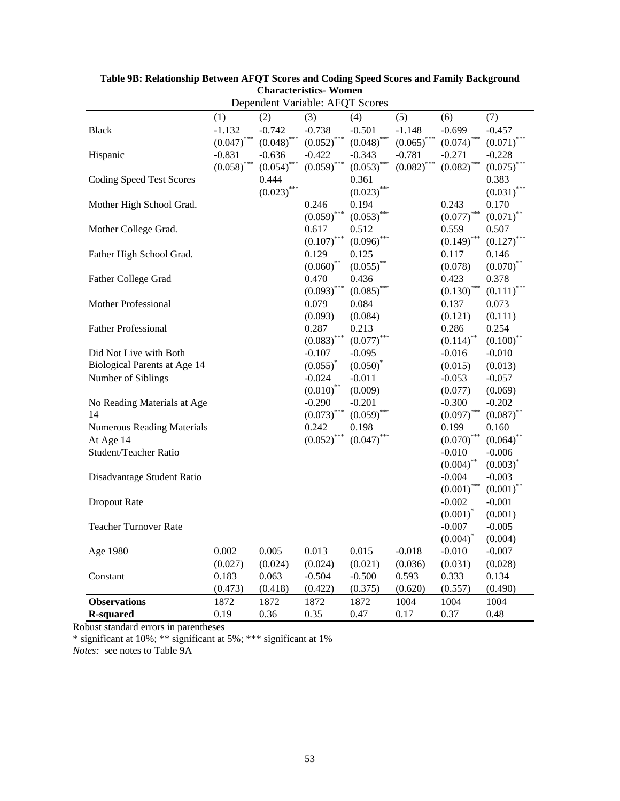|                                   |               |               | Dependent Variable: AFQT Scores |               |               |                        |                         |
|-----------------------------------|---------------|---------------|---------------------------------|---------------|---------------|------------------------|-------------------------|
|                                   | (1)           | (2)           | (3)                             | (4)           | (5)           | (6)                    | (7)                     |
| <b>Black</b>                      | $-1.132$      | $-0.742$      | $-0.738$                        | $-0.501$      | $-1.148$      | $-0.699$               | $-0.457$                |
|                                   | $(0.047)$ *** | $(0.048)$ *** | $(0.052)$ ***                   | $(0.048)$ *** | $(0.065)$ *** | $(0.074)$ ***          | $(0.071)^*$             |
| Hispanic                          | $-0.831$      | $-0.636$      | $-0.422$                        | $-0.343$      | $-0.781$      | $-0.271$               | $-0.228$                |
|                                   | $(0.058)$ *** | $(0.054)$ *** | $(0.059)$ ***                   | $(0.053)$ *** | $(0.082)$ *** | $(0.082)$ ***          | $(0.075)$ ***           |
| <b>Coding Speed Test Scores</b>   |               | 0.444         |                                 | 0.361         |               |                        | 0.383                   |
|                                   |               | $(0.023)$ *** |                                 | $(0.023)$ *** |               |                        | $(0.031)$ <sup>*</sup>  |
| Mother High School Grad.          |               |               | 0.246                           | 0.194         |               | 0.243                  | 0.170                   |
|                                   |               |               | $(0.059)$ ***                   | $(0.053)^{*}$ |               | (0.077)                | $(0.071)^{*}$           |
| Mother College Grad.              |               |               | 0.617                           | 0.512         |               | 0.559                  | 0.507                   |
|                                   |               |               | $(0.107)$ ***                   | $(0.096)$ *** |               | $(0.149)$ ***          | (0.127)                 |
| Father High School Grad.          |               |               | 0.129                           | 0.125         |               | 0.117                  | 0.146                   |
|                                   |               |               | $(0.060)$ **                    | $(0.055)$ **  |               | (0.078)                | $(0.070)$ <sup>**</sup> |
| Father College Grad               |               |               | 0.470                           | 0.436         |               | 0.423                  | 0.378                   |
|                                   |               |               | $(0.093)$ ***                   | $(0.085)$ *** |               | $(0.130)$ ***          | $(0.111)^{*}$           |
| Mother Professional               |               |               | 0.079                           | 0.084         |               | 0.137                  | 0.073                   |
|                                   |               |               | (0.093)                         | (0.084)       |               | (0.121)                | (0.111)                 |
| <b>Father Professional</b>        |               |               | 0.287                           | 0.213         |               | 0.286                  | 0.254                   |
|                                   |               |               | $(0.083)$ ***                   | $(0.077)^{*}$ |               | $(0.114)$ **           | $(0.100)^*$             |
| Did Not Live with Both            |               |               | $-0.107$                        | $-0.095$      |               | $-0.016$               | $-0.010$                |
| Biological Parents at Age 14      |               |               | $(0.055)^{*}$                   | $(0.050)^*$   |               | (0.015)                | (0.013)                 |
| Number of Siblings                |               |               | $-0.024$                        | $-0.011$      |               | $-0.053$               | $-0.057$                |
|                                   |               |               | $(0.010)$ **                    | (0.009)       |               | (0.077)                | (0.069)                 |
| No Reading Materials at Age       |               |               | $-0.290$                        | $-0.201$      |               | $-0.300$               | $-0.202$                |
| 14                                |               |               | $(0.073)$ ***                   | $(0.059)$ *** |               | $(0.097)$ ***          | $(0.087)$ **            |
| <b>Numerous Reading Materials</b> |               |               | 0.242                           | 0.198         |               | 0.199                  | 0.160                   |
| At Age 14                         |               |               | $(0.052)$ ***                   | $(0.047)$ *** |               | $(0.070)$ <sup>*</sup> | $(0.064)^*$             |
| Student/Teacher Ratio             |               |               |                                 |               |               | $-0.010$               | $-0.006$                |
|                                   |               |               |                                 |               |               | $(0.004)$ **           | $(0.003)^*$             |
| Disadvantage Student Ratio        |               |               |                                 |               |               | $-0.004$               | $-0.003$                |
|                                   |               |               |                                 |               |               | $(0.001)$ ***          | $(0.001)$ **            |
| Dropout Rate                      |               |               |                                 |               |               | $-0.002$               | $-0.001$                |
|                                   |               |               |                                 |               |               | $(0.001)^*$            | (0.001)                 |
| <b>Teacher Turnover Rate</b>      |               |               |                                 |               |               | $-0.007$               | $-0.005$                |
|                                   |               |               |                                 |               |               | $(0.004)^{*}$          | (0.004)                 |
| Age 1980                          | 0.002         | 0.005         | 0.013                           | 0.015         | $-0.018$      | $-0.010$               | $-0.007$                |
|                                   | (0.027)       | (0.024)       | (0.024)                         | (0.021)       | (0.036)       | (0.031)                | (0.028)                 |
| Constant                          | 0.183         | 0.063         | $-0.504$                        | $-0.500$      | 0.593         | 0.333                  | 0.134                   |
|                                   | (0.473)       | (0.418)       | (0.422)                         | (0.375)       | (0.620)       | (0.557)                | (0.490)                 |
| <b>Observations</b>               | 1872          | 1872          | 1872                            | 1872          | 1004          | 1004                   | 1004                    |
| <b>R-squared</b>                  | 0.19          | 0.36          | 0.35                            | 0.47          | 0.17          | 0.37                   | 0.48                    |

**Table 9B: Relationship Between AFQT Scores and Coding Speed Scores and Family Background Characteristics- Women** 

\* significant at 10%; \*\* significant at 5%; \*\*\* significant at 1%

*Notes:* see notes to Table 9A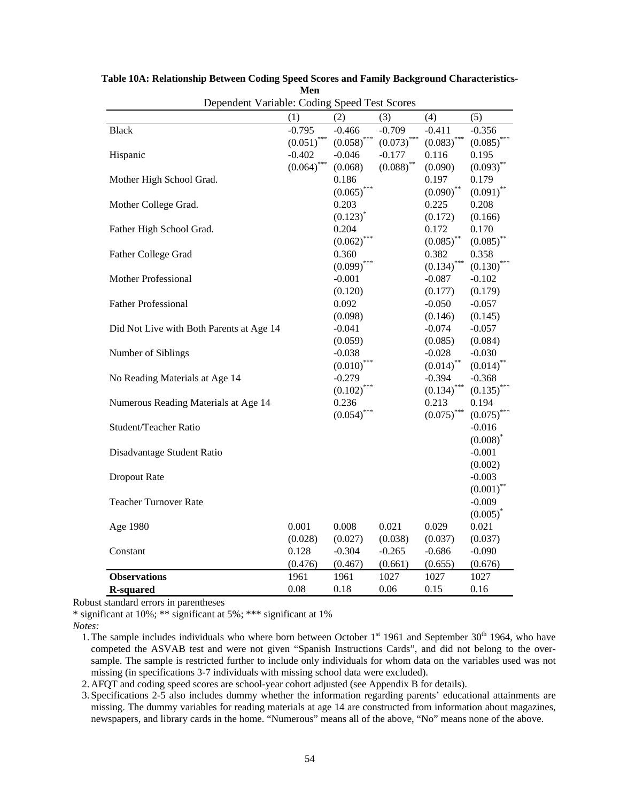| Dependent variable: Coding Speed Test Scores |               |               |               |               |               |
|----------------------------------------------|---------------|---------------|---------------|---------------|---------------|
|                                              | (1)           | (2)           | (3)           | (4)           | (5)           |
| <b>Black</b>                                 | $-0.795$      | $-0.466$      | $-0.709$      | $-0.411$      | $-0.356$      |
|                                              | $(0.051)$ *** | $(0.058)$ *** | $(0.073)$ *** | $(0.083)$ *** | $(0.085)$ *** |
| Hispanic                                     | $-0.402$      | $-0.046$      | $-0.177$      | 0.116         | 0.195         |
|                                              | $(0.064)$ *** | (0.068)       | $(0.088)$ **  | (0.090)       | $(0.093)^{*}$ |
| Mother High School Grad.                     |               | 0.186         |               | 0.197         | 0.179         |
|                                              |               | $(0.065)$ *** |               | $(0.090)$ **  | $(0.091)$ **  |
| Mother College Grad.                         |               | 0.203         |               | 0.225         | 0.208         |
|                                              |               | $(0.123)^{*}$ |               | (0.172)       | (0.166)       |
| Father High School Grad.                     |               | 0.204         |               | 0.172         | 0.170         |
|                                              |               | (0.062)       |               | $(0.085)$ **  | $(0.085)$ **  |
| Father College Grad                          |               | 0.360         |               | 0.382         | 0.358         |
|                                              |               | $(0.099)$ *** |               | $(0.134)$ *** | $(0.130)^{*}$ |
| Mother Professional                          |               | $-0.001$      |               | $-0.087$      | $-0.102$      |
|                                              |               | (0.120)       |               | (0.177)       | (0.179)       |
| <b>Father Professional</b>                   |               | 0.092         |               | $-0.050$      | $-0.057$      |
|                                              |               | (0.098)       |               | (0.146)       | (0.145)       |
| Did Not Live with Both Parents at Age 14     |               | $-0.041$      |               | $-0.074$      | $-0.057$      |
|                                              |               | (0.059)       |               | (0.085)       | (0.084)       |
| Number of Siblings                           |               | $-0.038$      |               | $-0.028$      | $-0.030$      |
|                                              |               | $(0.010)$ *** |               | $(0.014)$ **  | $(0.014)$ **  |
| No Reading Materials at Age 14               |               | $-0.279$      |               | $-0.394$      | $-0.368$      |
|                                              |               | $(0.102)$ *** |               | $(0.134)$ *** | (0.135)       |
| Numerous Reading Materials at Age 14         |               | 0.236         |               | 0.213         | 0.194         |
|                                              |               | $(0.054)$ *** |               | $(0.075)$ *** | $(0.075)$ *** |
| Student/Teacher Ratio                        |               |               |               |               | $-0.016$      |
|                                              |               |               |               |               | $(0.008)^{*}$ |
| Disadvantage Student Ratio                   |               |               |               |               | $-0.001$      |
|                                              |               |               |               |               | (0.002)       |
| Dropout Rate                                 |               |               |               |               | $-0.003$      |
|                                              |               |               |               |               | $(0.001)$ **  |
| <b>Teacher Turnover Rate</b>                 |               |               |               |               | $-0.009$      |
|                                              |               |               |               |               | $(0.005)^{*}$ |
| Age 1980                                     | 0.001         | 0.008         | 0.021         | 0.029         | 0.021         |
|                                              | (0.028)       | (0.027)       | (0.038)       | (0.037)       | (0.037)       |
| Constant                                     | 0.128         | $-0.304$      | $-0.265$      | $-0.686$      | $-0.090$      |
|                                              | (0.476)       | (0.467)       | (0.661)       | (0.655)       | (0.676)       |
| <b>Observations</b>                          | 1961          | 1961          | 1027          | 1027          | 1027          |
| <b>R-squared</b>                             | 0.08          | 0.18          | 0.06          | 0.15          | 0.16          |

**Table 10A: Relationship Between Coding Speed Scores and Family Background Characteristics-Men**  Dependent Variable: Coding Speed Test Scores

\* significant at 10%; \*\* significant at 5%; \*\*\* significant at 1%

*Notes:*

2. AFQT and coding speed scores are school-year cohort adjusted (see Appendix B for details).

3. Specifications 2-5 also includes dummy whether the information regarding parents' educational attainments are missing. The dummy variables for reading materials at age 14 are constructed from information about magazines, newspapers, and library cards in the home. "Numerous" means all of the above, "No" means none of the above.

<sup>1.</sup> The sample includes individuals who where born between October  $1<sup>st</sup>$  1961 and September 30<sup>th</sup> 1964, who have competed the ASVAB test and were not given "Spanish Instructions Cards", and did not belong to the oversample. The sample is restricted further to include only individuals for whom data on the variables used was not missing (in specifications 3-7 individuals with missing school data were excluded).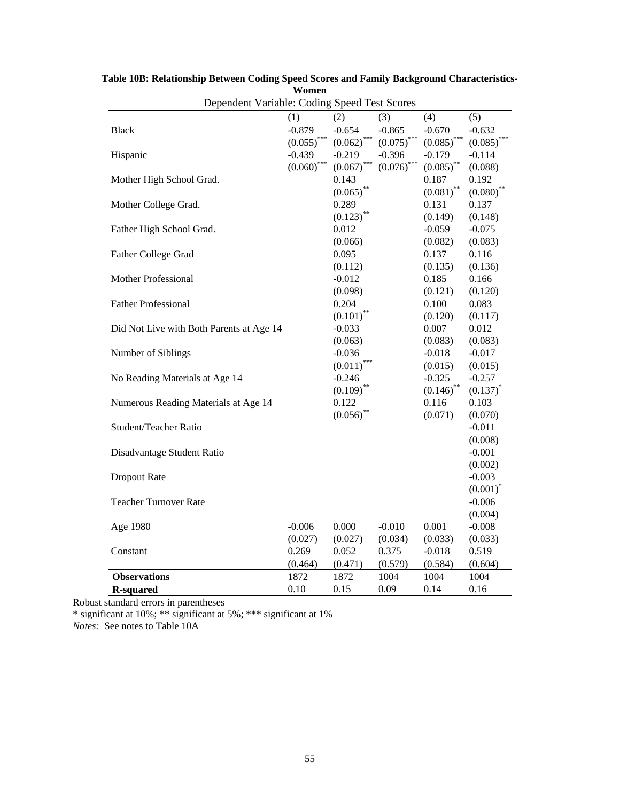| Dependent Variable: Coding Speed Test Scores |               |                         |               |               |               |
|----------------------------------------------|---------------|-------------------------|---------------|---------------|---------------|
|                                              | (1)           | (2)                     | (3)           | (4)           | (5)           |
| <b>Black</b>                                 | $-0.879$      | $-0.654$                | $-0.865$      | $-0.670$      | $-0.632$      |
|                                              | $(0.055)$ *** | $(0.062)$ ***           | $(0.075)$ *** | $(0.085)$ *** | (0.085)       |
| Hispanic                                     | $-0.439$      | $-0.219$                | $-0.396$      | $-0.179$      | $-0.114$      |
|                                              | $(0.060)$ *** | $(0.067)$ ***           | $(0.076)$ *** | $(0.085)$ **  | (0.088)       |
| Mother High School Grad.                     |               | 0.143                   |               | 0.187         | 0.192         |
|                                              |               | $(0.065)$ **            |               | $(0.081)$ **  | $(0.080)$ **  |
| Mother College Grad.                         |               | 0.289                   |               | 0.131         | 0.137         |
|                                              |               | $(0.123)$ <sup>**</sup> |               | (0.149)       | (0.148)       |
| Father High School Grad.                     |               | 0.012                   |               | $-0.059$      | $-0.075$      |
|                                              |               | (0.066)                 |               | (0.082)       | (0.083)       |
| <b>Father College Grad</b>                   |               | 0.095                   |               | 0.137         | 0.116         |
|                                              |               | (0.112)                 |               | (0.135)       | (0.136)       |
| Mother Professional                          |               | $-0.012$                |               | 0.185         | 0.166         |
|                                              |               | (0.098)                 |               | (0.121)       | (0.120)       |
| <b>Father Professional</b>                   |               | 0.204                   |               | 0.100         | 0.083         |
|                                              |               | $(0.101)^*$             |               | (0.120)       | (0.117)       |
| Did Not Live with Both Parents at Age 14     |               | $-0.033$                |               | 0.007         | 0.012         |
|                                              |               | (0.063)                 |               | (0.083)       | (0.083)       |
| Number of Siblings                           |               | $-0.036$                |               | $-0.018$      | $-0.017$      |
|                                              |               | $(0.011)$ ***           |               | (0.015)       | (0.015)       |
| No Reading Materials at Age 14               |               | $-0.246$                |               | $-0.325$      | $-0.257$      |
|                                              |               | $(0.109)$ **            |               | $(0.146)$ **  | $(0.137)^{*}$ |
| Numerous Reading Materials at Age 14         |               | 0.122                   |               | 0.116         | 0.103         |
|                                              |               | $(0.056)$ **            |               | (0.071)       | (0.070)       |
| Student/Teacher Ratio                        |               |                         |               |               | $-0.011$      |
|                                              |               |                         |               |               | (0.008)       |
| Disadvantage Student Ratio                   |               |                         |               |               | $-0.001$      |
|                                              |               |                         |               |               | (0.002)       |
| Dropout Rate                                 |               |                         |               |               | $-0.003$      |
|                                              |               |                         |               |               | $(0.001)^*$   |
| <b>Teacher Turnover Rate</b>                 |               |                         |               |               | $-0.006$      |
|                                              |               |                         |               |               | (0.004)       |
| Age 1980                                     | $-0.006$      | 0.000                   | $-0.010$      | 0.001         | $-0.008$      |
|                                              | (0.027)       | (0.027)                 | (0.034)       | (0.033)       | (0.033)       |
| Constant                                     | 0.269         | 0.052                   | 0.375         | $-0.018$      | 0.519         |
|                                              | (0.464)       | (0.471)                 | (0.579)       | (0.584)       | (0.604)       |
| <b>Observations</b>                          | 1872          | 1872                    | 1004          | 1004          | 1004          |
| <b>R-squared</b>                             | 0.10          | 0.15                    | 0.09          | 0.14          | 0.16          |

**Table 10B: Relationship Between Coding Speed Scores and Family Background Characteristics-Women** 

\* significant at 10%; \*\* significant at 5%; \*\*\* significant at 1%

*Notes:* See notes to Table 10A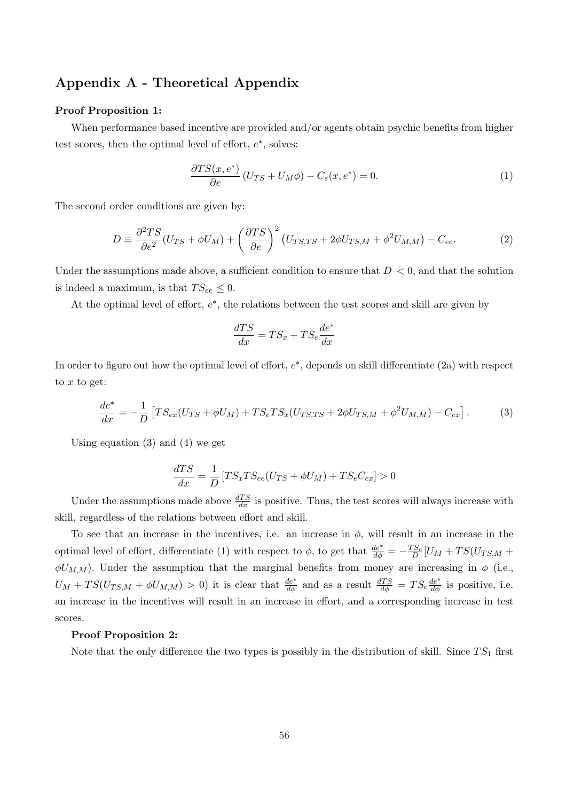# Appendix A - Theoretical Appendix

#### Proof Proposition 1:

When performance based incentive are provided and/or agents obtain psychic benefits from higher test scores, then the optimal level of effort,  $e^*$ , solves:

$$
\frac{\partial TS(x, e^*)}{\partial e} (U_{TS} + U_M \phi) - C_e(x, e^*) = 0.
$$
\n(1)

The second order conditions are given by:

$$
D = \frac{\partial^2 TS}{\partial e^2} (U_{TS} + \phi U_M) + \left(\frac{\partial TS}{\partial e}\right)^2 (U_{TS,TS} + 2\phi U_{TS,M} + \phi^2 U_{M,M}) - C_{ee}.
$$
 (2)

Under the assumptions made above, a sufficient condition to ensure that  $D < 0$ , and that the solution is indeed a maximum, is that  $TS_{ee} \leq 0$ .

At the optimal level of effort,  $e^*$ , the relations between the test scores and skill are given by

$$
\frac{dTS}{dx} = TS_x + TS_e \frac{de^*}{dx}
$$

In order to figure out how the optimal level of effort,  $e^*$ , depends on skill differentiate  $(2a)$  with respect to  $x$  to get:

$$
\frac{de^*}{dx} = -\frac{1}{D} \left[ TS_{ex}(U_{TS} + \phi U_M) + TS_e TS_x(U_{TS,TS} + 2\phi U_{TS,M} + \phi^2 U_{M,M}) - C_{ex} \right].
$$
 (3)

Using equation (3) and (4) we get

$$
\frac{dTS}{dx} = \frac{1}{D} \left[ TS_x TS_{ee} (U_{TS} + \phi U_M) + TS_e C_{ex} \right] > 0
$$

Under the assumptions made above  $\frac{dTS}{dx}$  is positive. Thus, the test scores will always increase with skill, regardless of the relations between effort and skill.

To see that an increase in the incentives, i.e. an increase in  $\phi$ , will result in an increase in the optimal level of effort, differentiate (1) with respect to  $\phi$ , to get that  $\frac{de^*}{d\phi} = -\frac{TS_e}{D}[U_M + TS(U_{TS,M} +$  $\phi U_{M,M}$ ). Under the assumption that the marginal benefits from money are increasing in  $\phi$  (i.e.,  $U_M + TS(U_{TS,M} + \phi U_{M,M}) > 0$  it is clear that  $\frac{de^*}{d\phi}$  and as a result  $\frac{dTS}{d\phi} = TS_e \frac{de^*}{d\phi}$  is positive, i.e. an increase in the incentives will result in an increase in effort, and a corresponding increase in test scores.

#### Proof Proposition 2:

Note that the only difference the two types is possibly in the distribution of skill. Since  $TS_1$  first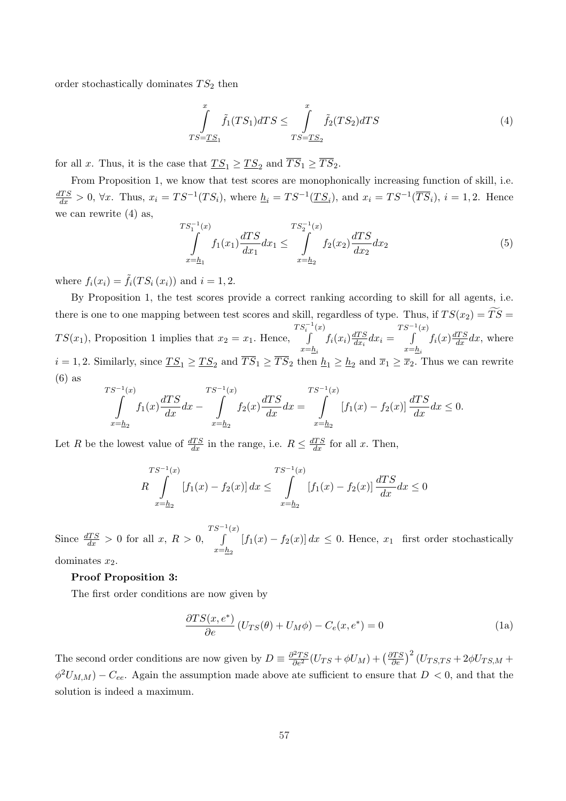order stochastically dominates  $TS_2$  then

$$
\int_{TS=TS_1}^x \tilde{f}_1(TS_1)dTS \le \int_{TS=TS_2}^x \tilde{f}_2(TS_2)dTS
$$
\n(4)

for all x. Thus, it is the case that  $TS_1 \geq TS_2$  and  $\overline{TS}_1 \geq \overline{TS}_2$ .

 $\tau$ 

From Proposition 1, we know that test scores are monophonically increasing function of skill, i.e.  $\frac{dTS}{dx} > 0$ ,  $\forall x$ . Thus,  $x_i = TS^{-1}(TS_i)$ , where  $\underline{h}_i = TS^{-1}(\underline{TS}_i)$ , and  $x_i = TS^{-1}(\overline{TS}_i)$ ,  $i = 1, 2$ . Hence we can rewrite (4) as,

$$
\int_{x=\underline{h}_1}^{S_1^{-1}(x)} f_1(x_1) \frac{dTS}{dx_1} dx_1 \le \int_{x=\underline{h}_2}^{TS_2^{-1}(x)} f_2(x_2) \frac{dTS}{dx_2} dx_2 \tag{5}
$$

where  $f_i(x_i) = \tilde{f}_i(TS_i(x_i))$  and  $i = 1, 2$ .

By Proposition 1, the test scores provide a correct ranking according to skill for all agents, i.e. there is one to one mapping between test scores and skill, regardless of type. Thus, if  $TS(x_2) = TS =$  $TS(x_1)$ , Proposition 1 implies that  $x_2 = x_1$ . Hence,  $TS_i^{-1}(x)$  $x=\underline{h}_i$  $f_i(x_i) \frac{dTS}{dx_i}$  $\frac{dTS}{dx_i}dx_i =$  $TS^{-1}(x)$  $x = h_i$  $f_i(x) \frac{dTS}{dx} dx$ , where  $i = 1, 2$ . Similarly, since  $TS_1 \geq TS_2$  and  $\overline{TS}_1 \geq \overline{TS}_2$  then  $\underline{h}_1 \geq \underline{h}_2$  and  $\overline{x}_1 \geq \overline{x}_2$ . Thus we can rewrite (6) as  $\overline{1}$ 

$$
\int_{x=h_2}^{S^{-1}(x)} f_1(x) \frac{dTS}{dx} dx - \int_{x=h_2}^{TS^{-1}(x)} f_2(x) \frac{dTS}{dx} dx = \int_{x=h_2}^{TS^{-1}(x)} [f_1(x) - f_2(x)] \frac{dTS}{dx} dx \le 0.
$$

Let R be the lowest value of  $\frac{dTS}{dx}$  in the range, i.e.  $R \leq \frac{dTS}{dx}$  for all x. Then,

$$
TS^{-1}(x)
$$
  
\n
$$
R \int_{x=h_2}^{TS^{-1}(x)} [f_1(x) - f_2(x)] dx \leq \int_{x=h_2}^{TS^{-1}(x)} [f_1(x) - f_2(x)] \frac{dTS}{dx} dx \leq 0
$$

Since  $\frac{dTS}{dx} > 0$  for all  $x, R > 0$ ,  $TS^{-1}(x)$  $x=b_2$  $[f_1(x) - f_2(x)] dx \leq 0$ . Hence,  $x_1$  first order stochastically dominates  $x_2$ .

#### Proof Proposition 3:

The first order conditions are now given by

$$
\frac{\partial TS(x, e^*)}{\partial e} \left( U_{TS}(\theta) + U_M \phi \right) - C_e(x, e^*) = 0 \tag{1a}
$$

The second order conditions are now given by  $D = \frac{\partial^2 TS}{\partial e^2} (U_{TS} + \phi U_M) + (\frac{\partial TS}{\partial e})^2 (U_{TS,TS} + 2\phi U_{TS,M} +$  $\phi^2 U_{M,M}$ ) –  $C_{ee}$ . Again the assumption made above ate sufficient to ensure that  $D < 0$ , and that the solution is indeed a maximum.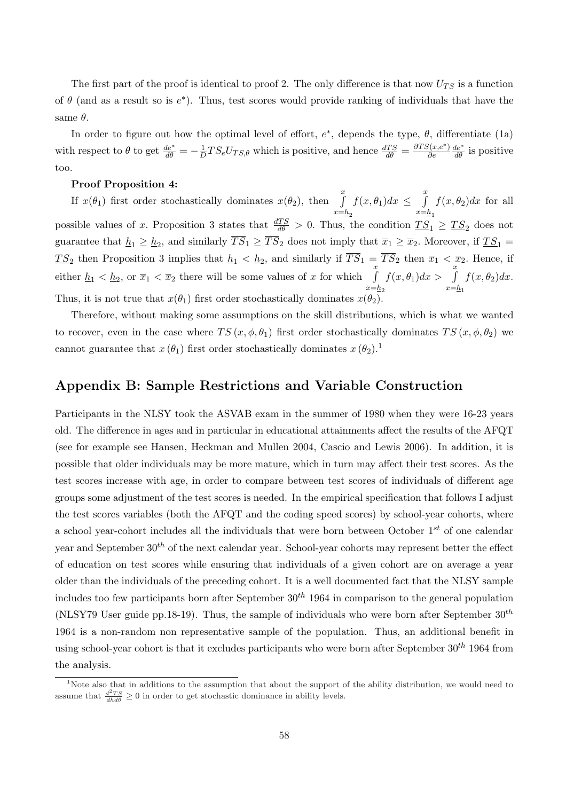The first part of the proof is identical to proof 2. The only difference is that now  $U_{TS}$  is a function of  $\theta$  (and as a result so is  $e^*$ ). Thus, test scores would provide ranking of individuals that have the same  $\theta$ .

In order to figure out how the optimal level of effort,  $e^*$ , depends the type,  $\theta$ , differentiate (1a) with respect to  $\theta$  to get  $\frac{de^*}{d\theta} = -\frac{1}{L}$  $\frac{1}{D}TS_eU_{TS,\theta}$  which is positive, and hence  $\frac{dTS}{d\theta} = \frac{\partial TS(x,e^*)}{\partial e}$ ∂e  $\frac{de^*}{d\theta}$  is positive too.

### Proof Proposition 4:

If  $x(\theta_1)$  first order stochastically dominates  $x(\theta_2)$ , then  $\int_a^x$  $x=\underline{h}_2$  $f(x, \theta_1)dx \leq$  $\frac{x}{t}$  $x=\underline{h}_1$  $f(x, \theta_2)dx$  for all possible values of x. Proposition 3 states that  $\frac{dTS}{d\theta} > 0$ . Thus, the condition  $TS_1 \geq TS_2$  does not guarantee that  $\underline{h}_1 \ge \underline{h}_2$ , and similarly  $\overline{TS}_1 \ge \overline{TS}_2$  does not imply that  $\overline{x}_1 \ge \overline{x}_2$ . Moreover, if  $\underline{TS}_1 =$  $\underline{TS}_2$  then Proposition 3 implies that  $\underline{h}_1 < \underline{h}_2$ , and similarly if  $\overline{TS}_1 = \overline{TS}_2$  then  $\overline{x}_1 < \overline{x}_2$ . Hence, if either  $\underline{h}_1 < \underline{h}_2$ , or  $\overline{x}_1 < \overline{x}_2$  there will be some values of x for which  $\int_a^x$  $x=b_2$  $f(x, \theta_1)dx > \int_{a}^{x}$  $x=\underline{h}_1$  $f(x, \theta_2)dx$ . Thus, it is not true that  $x(\theta_1)$  first order stochastically dominates  $x(\theta_2)$ .

Therefore, without making some assumptions on the skill distributions, which is what we wanted to recover, even in the case where  $TS(x, \phi, \theta_1)$  first order stochastically dominates  $TS(x, \phi, \theta_2)$  we cannot guarantee that  $x(\theta_1)$  first order stochastically dominates  $x(\theta_2)$ .<sup>1</sup>

# Appendix B: Sample Restrictions and Variable Construction

Participants in the NLSY took the ASVAB exam in the summer of 1980 when they were 16-23 years old. The difference in ages and in particular in educational attainments affect the results of the AFQT (see for example see Hansen, Heckman and Mullen 2004, Cascio and Lewis 2006). In addition, it is possible that older individuals may be more mature, which in turn may affect their test scores. As the test scores increase with age, in order to compare between test scores of individuals of different age groups some adjustment of the test scores is needed. In the empirical specification that follows I adjust the test scores variables (both the AFQT and the coding speed scores) by school-year cohorts, where a school year-cohort includes all the individuals that were born between October  $1^{st}$  of one calendar year and September  $30<sup>th</sup>$  of the next calendar year. School-year cohorts may represent better the effect of education on test scores while ensuring that individuals of a given cohort are on average a year older than the individuals of the preceding cohort. It is a well documented fact that the NLSY sample includes too few participants born after September  $30<sup>th</sup> 1964$  in comparison to the general population (NLSY79 User guide pp.18-19). Thus, the sample of individuals who were born after September  $30<sup>th</sup>$ 1964 is a non-random non representative sample of the population. Thus, an additional benefit in using school-year cohort is that it excludes participants who were born after September  $30^{th}$  1964 from the analysis.

<sup>&</sup>lt;sup>1</sup>Note also that in additions to the assumption that about the support of the ability distribution, we would need to assume that  $\frac{d^2TS}{dh d\theta} \ge 0$  in order to get stochastic dominance in ability levels.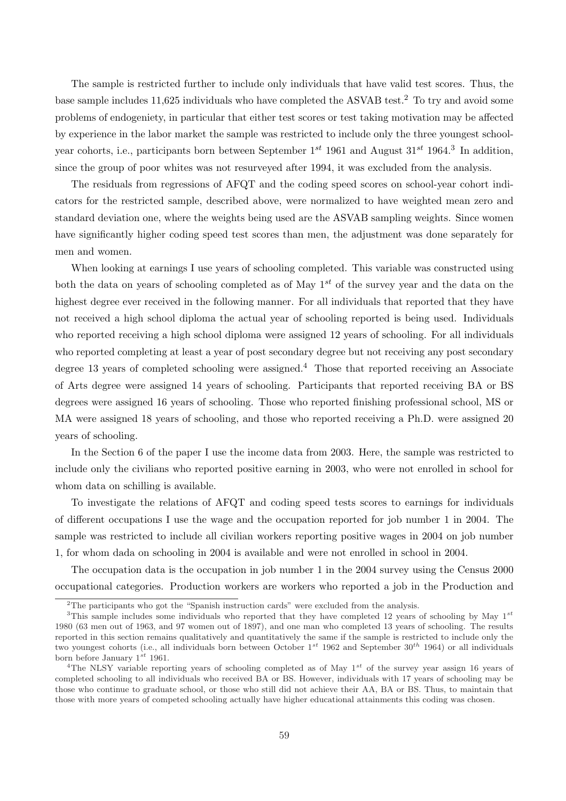The sample is restricted further to include only individuals that have valid test scores. Thus, the base sample includes 11,625 individuals who have completed the ASVAB test.<sup>2</sup> To try and avoid some problems of endogeniety, in particular that either test scores or test taking motivation may be affected by experience in the labor market the sample was restricted to include only the three youngest schoolyear cohorts, i.e., participants born between September  $1^{st}$  1961 and August  $31^{st}$  1964.<sup>3</sup> In addition, since the group of poor whites was not resurveyed after 1994, it was excluded from the analysis.

The residuals from regressions of AFQT and the coding speed scores on school-year cohort indicators for the restricted sample, described above, were normalized to have weighted mean zero and standard deviation one, where the weights being used are the ASVAB sampling weights. Since women have significantly higher coding speed test scores than men, the adjustment was done separately for men and women.

When looking at earnings I use years of schooling completed. This variable was constructed using both the data on years of schooling completed as of May  $1^{st}$  of the survey year and the data on the highest degree ever received in the following manner. For all individuals that reported that they have not received a high school diploma the actual year of schooling reported is being used. Individuals who reported receiving a high school diploma were assigned 12 years of schooling. For all individuals who reported completing at least a year of post secondary degree but not receiving any post secondary degree 13 years of completed schooling were assigned.<sup>4</sup> Those that reported receiving an Associate of Arts degree were assigned 14 years of schooling. Participants that reported receiving BA or BS degrees were assigned 16 years of schooling. Those who reported finishing professional school, MS or MA were assigned 18 years of schooling, and those who reported receiving a Ph.D. were assigned 20 years of schooling.

In the Section 6 of the paper I use the income data from 2003. Here, the sample was restricted to include only the civilians who reported positive earning in 2003, who were not enrolled in school for whom data on schilling is available.

To investigate the relations of AFQT and coding speed tests scores to earnings for individuals of different occupations I use the wage and the occupation reported for job number 1 in 2004. The sample was restricted to include all civilian workers reporting positive wages in 2004 on job number 1, for whom dada on schooling in 2004 is available and were not enrolled in school in 2004.

The occupation data is the occupation in job number 1 in the 2004 survey using the Census 2000 occupational categories. Production workers are workers who reported a job in the Production and

<sup>&</sup>lt;sup>2</sup>The participants who got the "Spanish instruction cards" were excluded from the analysis.

<sup>&</sup>lt;sup>3</sup>This sample includes some individuals who reported that they have completed 12 years of schooling by May  $1^{st}$ 1980 (63 men out of 1963, and 97 women out of 1897), and one man who completed 13 years of schooling. The results reported in this section remains qualitatively and quantitatively the same if the sample is restricted to include only the two youngest cohorts (i.e., all individuals born between October  $1^{st}$  1962 and September 30<sup>th</sup> 1964) or all individuals born before January  $1^{st}$  1961.

<sup>&</sup>lt;sup>4</sup>The NLSY variable reporting years of schooling completed as of May  $1^{st}$  of the survey year assign 16 years of completed schooling to all individuals who received BA or BS. However, individuals with 17 years of schooling may be those who continue to graduate school, or those who still did not achieve their AA, BA or BS. Thus, to maintain that those with more years of competed schooling actually have higher educational attainments this coding was chosen.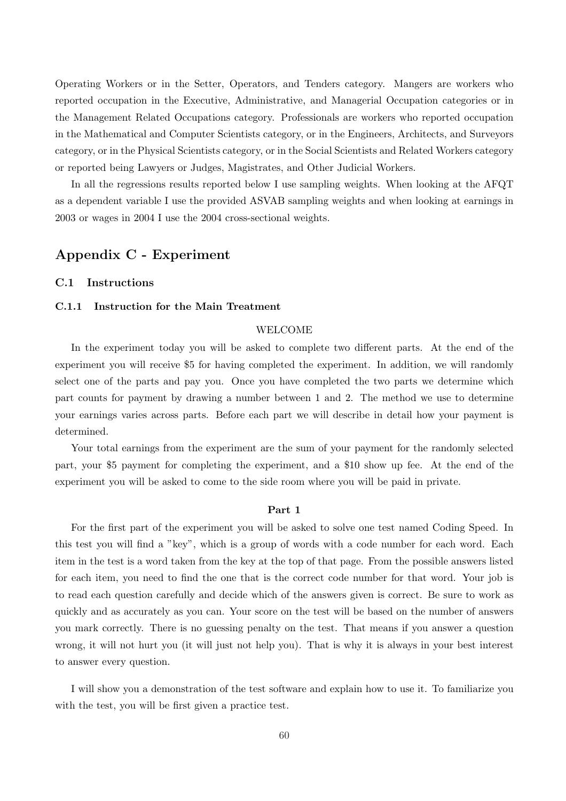Operating Workers or in the Setter, Operators, and Tenders category. Mangers are workers who reported occupation in the Executive, Administrative, and Managerial Occupation categories or in the Management Related Occupations category. Professionals are workers who reported occupation in the Mathematical and Computer Scientists category, or in the Engineers, Architects, and Surveyors category, or in the Physical Scientists category, or in the Social Scientists and Related Workers category or reported being Lawyers or Judges, Magistrates, and Other Judicial Workers.

In all the regressions results reported below I use sampling weights. When looking at the AFQT as a dependent variable I use the provided ASVAB sampling weights and when looking at earnings in 2003 or wages in 2004 I use the 2004 cross-sectional weights.

# Appendix C - Experiment

## C.1 Instructions

## C.1.1 Instruction for the Main Treatment

# WELCOME

In the experiment today you will be asked to complete two different parts. At the end of the experiment you will receive \$5 for having completed the experiment. In addition, we will randomly select one of the parts and pay you. Once you have completed the two parts we determine which part counts for payment by drawing a number between 1 and 2. The method we use to determine your earnings varies across parts. Before each part we will describe in detail how your payment is determined.

Your total earnings from the experiment are the sum of your payment for the randomly selected part, your \$5 payment for completing the experiment, and a \$10 show up fee. At the end of the experiment you will be asked to come to the side room where you will be paid in private.

#### Part 1

For the first part of the experiment you will be asked to solve one test named Coding Speed. In this test you will find a "key", which is a group of words with a code number for each word. Each item in the test is a word taken from the key at the top of that page. From the possible answers listed for each item, you need to find the one that is the correct code number for that word. Your job is to read each question carefully and decide which of the answers given is correct. Be sure to work as quickly and as accurately as you can. Your score on the test will be based on the number of answers you mark correctly. There is no guessing penalty on the test. That means if you answer a question wrong, it will not hurt you (it will just not help you). That is why it is always in your best interest to answer every question.

I will show you a demonstration of the test software and explain how to use it. To familiarize you with the test, you will be first given a practice test.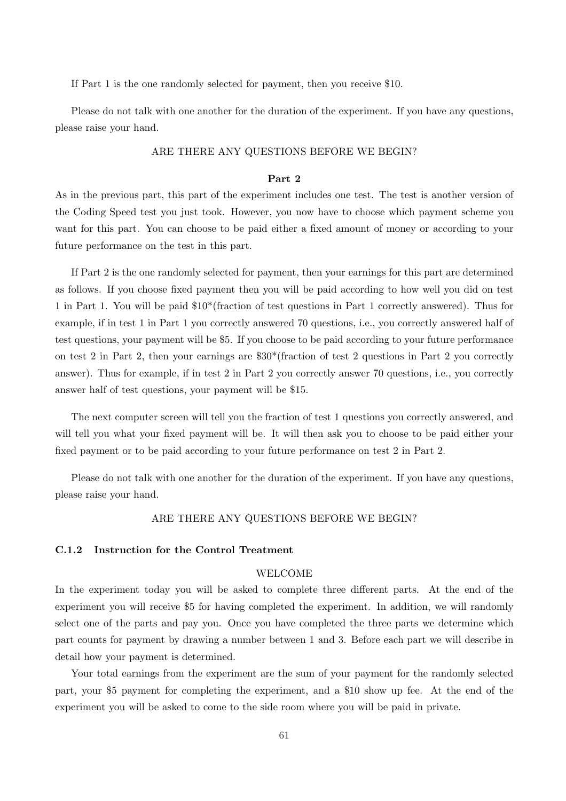If Part 1 is the one randomly selected for payment, then you receive \$10.

Please do not talk with one another for the duration of the experiment. If you have any questions, please raise your hand.

## ARE THERE ANY QUESTIONS BEFORE WE BEGIN?

#### Part 2

As in the previous part, this part of the experiment includes one test. The test is another version of the Coding Speed test you just took. However, you now have to choose which payment scheme you want for this part. You can choose to be paid either a fixed amount of money or according to your future performance on the test in this part.

If Part 2 is the one randomly selected for payment, then your earnings for this part are determined as follows. If you choose fixed payment then you will be paid according to how well you did on test 1 in Part 1. You will be paid \$10\*(fraction of test questions in Part 1 correctly answered). Thus for example, if in test 1 in Part 1 you correctly answered 70 questions, i.e., you correctly answered half of test questions, your payment will be \$5. If you choose to be paid according to your future performance on test 2 in Part 2, then your earnings are \$30\*(fraction of test 2 questions in Part 2 you correctly answer). Thus for example, if in test 2 in Part 2 you correctly answer 70 questions, i.e., you correctly answer half of test questions, your payment will be \$15.

The next computer screen will tell you the fraction of test 1 questions you correctly answered, and will tell you what your fixed payment will be. It will then ask you to choose to be paid either your fixed payment or to be paid according to your future performance on test 2 in Part 2.

Please do not talk with one another for the duration of the experiment. If you have any questions, please raise your hand.

## ARE THERE ANY QUESTIONS BEFORE WE BEGIN?

#### C.1.2 Instruction for the Control Treatment

#### WELCOME

In the experiment today you will be asked to complete three different parts. At the end of the experiment you will receive \$5 for having completed the experiment. In addition, we will randomly select one of the parts and pay you. Once you have completed the three parts we determine which part counts for payment by drawing a number between 1 and 3. Before each part we will describe in detail how your payment is determined.

Your total earnings from the experiment are the sum of your payment for the randomly selected part, your \$5 payment for completing the experiment, and a \$10 show up fee. At the end of the experiment you will be asked to come to the side room where you will be paid in private.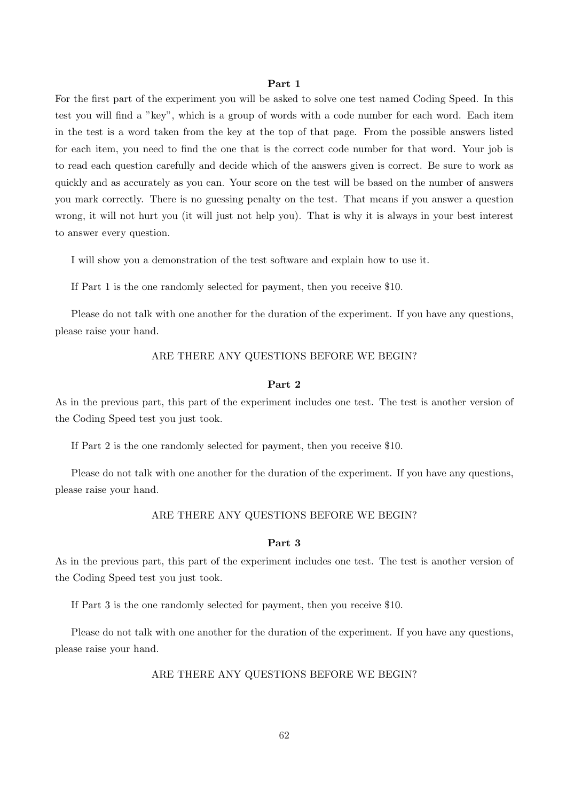#### Part 1

For the first part of the experiment you will be asked to solve one test named Coding Speed. In this test you will find a "key", which is a group of words with a code number for each word. Each item in the test is a word taken from the key at the top of that page. From the possible answers listed for each item, you need to find the one that is the correct code number for that word. Your job is to read each question carefully and decide which of the answers given is correct. Be sure to work as quickly and as accurately as you can. Your score on the test will be based on the number of answers you mark correctly. There is no guessing penalty on the test. That means if you answer a question wrong, it will not hurt you (it will just not help you). That is why it is always in your best interest to answer every question.

I will show you a demonstration of the test software and explain how to use it.

If Part 1 is the one randomly selected for payment, then you receive \$10.

Please do not talk with one another for the duration of the experiment. If you have any questions, please raise your hand.

## ARE THERE ANY QUESTIONS BEFORE WE BEGIN?

#### Part 2

As in the previous part, this part of the experiment includes one test. The test is another version of the Coding Speed test you just took.

If Part 2 is the one randomly selected for payment, then you receive \$10.

Please do not talk with one another for the duration of the experiment. If you have any questions, please raise your hand.

## ARE THERE ANY QUESTIONS BEFORE WE BEGIN?

#### Part 3

As in the previous part, this part of the experiment includes one test. The test is another version of the Coding Speed test you just took.

If Part 3 is the one randomly selected for payment, then you receive \$10.

Please do not talk with one another for the duration of the experiment. If you have any questions, please raise your hand.

# ARE THERE ANY QUESTIONS BEFORE WE BEGIN?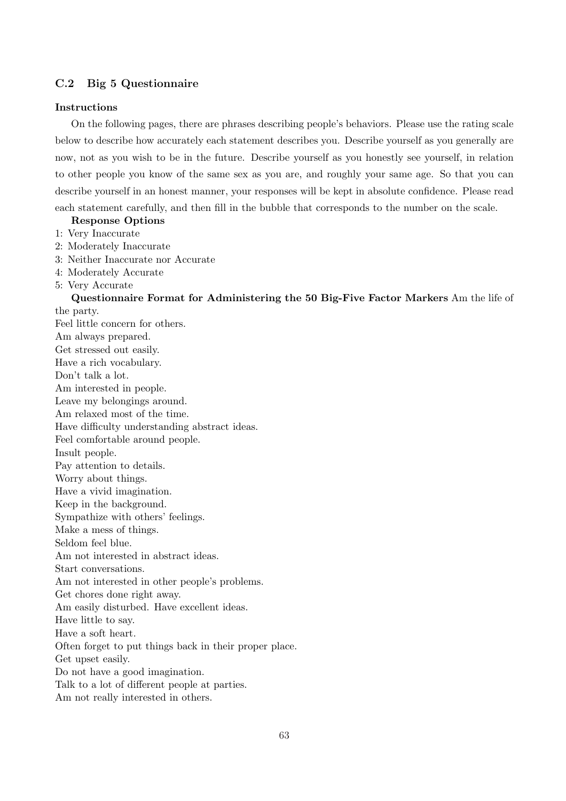# C.2 Big 5 Questionnaire

#### Instructions

On the following pages, there are phrases describing people's behaviors. Please use the rating scale below to describe how accurately each statement describes you. Describe yourself as you generally are now, not as you wish to be in the future. Describe yourself as you honestly see yourself, in relation to other people you know of the same sex as you are, and roughly your same age. So that you can describe yourself in an honest manner, your responses will be kept in absolute confidence. Please read each statement carefully, and then fill in the bubble that corresponds to the number on the scale.

## Response Options

- 1: Very Inaccurate
- 2: Moderately Inaccurate
- 3: Neither Inaccurate nor Accurate
- 4: Moderately Accurate
- 5: Very Accurate

# Questionnaire Format for Administering the 50 Big-Five Factor Markers Am the life of the party.

Feel little concern for others. Am always prepared. Get stressed out easily. Have a rich vocabulary. Don't talk a lot. Am interested in people. Leave my belongings around. Am relaxed most of the time. Have difficulty understanding abstract ideas. Feel comfortable around people. Insult people. Pay attention to details. Worry about things. Have a vivid imagination. Keep in the background. Sympathize with others' feelings. Make a mess of things. Seldom feel blue. Am not interested in abstract ideas. Start conversations. Am not interested in other people's problems. Get chores done right away. Am easily disturbed. Have excellent ideas. Have little to say. Have a soft heart. Often forget to put things back in their proper place. Get upset easily. Do not have a good imagination. Talk to a lot of different people at parties. Am not really interested in others.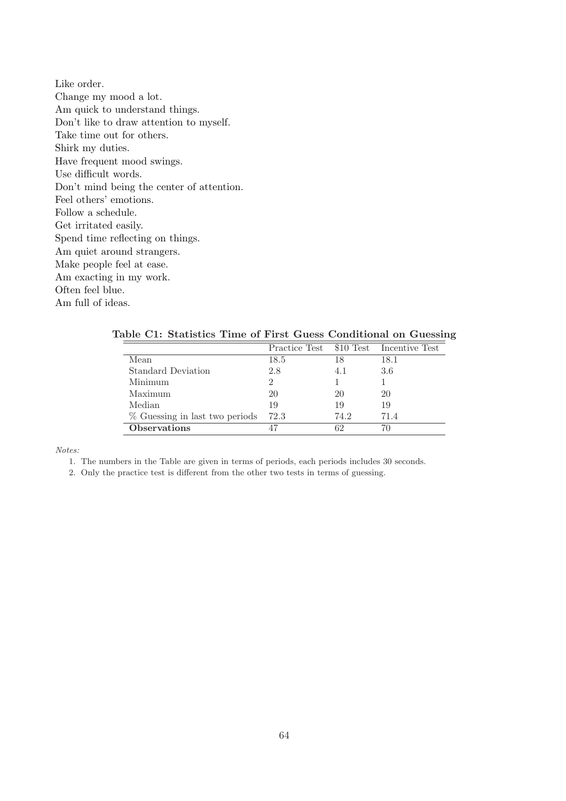Like order. Change my mood a lot. Am quick to understand things. Don't like to draw attention to myself. Take time out for others. Shirk my duties. Have frequent mood swings. Use difficult words. Don't mind being the center of attention. Feel others' emotions. Follow a schedule. Get irritated easily. Spend time reflecting on things. Am quiet around strangers. Make people feel at ease. Am exacting in my work. Often feel blue. Am full of ideas.

|                                |      |      | Practice Test \$10 Test Incentive Test |
|--------------------------------|------|------|----------------------------------------|
| Mean                           | 18.5 | 18   | 18.1                                   |
| <b>Standard Deviation</b>      | 2.8  | 4.1  | 3.6                                    |
| Minimum                        |      |      |                                        |
| Maximum                        | 20   | 20   | 20                                     |
| Median                         | 19   | 19   | 19                                     |
| % Guessing in last two periods | 72.3 | 74.2 | 71.4                                   |
| <b>Observations</b>            |      | 62   |                                        |

Table C1: Statistics Time of First Guess Conditional on Guessing

Notes:

1. The numbers in the Table are given in terms of periods, each periods includes 30 seconds.

2. Only the practice test is different from the other two tests in terms of guessing.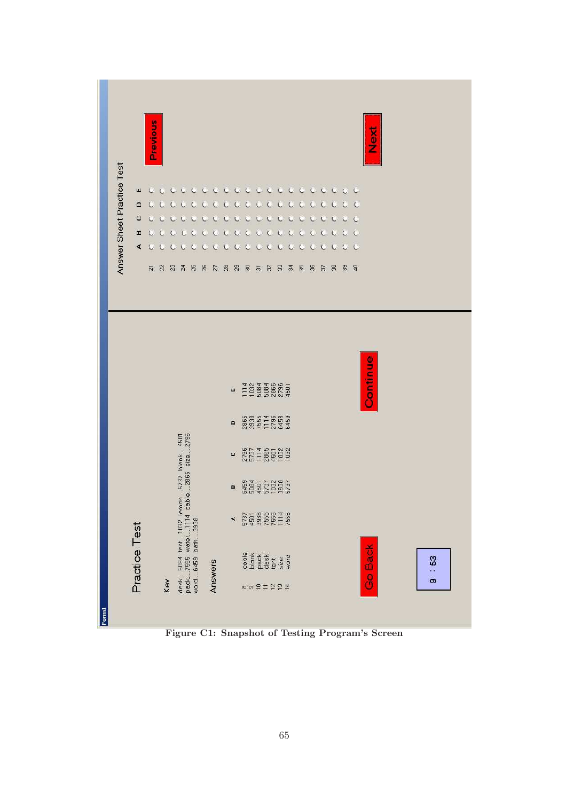

Figure C1: Snapshot of Testing Program's Screen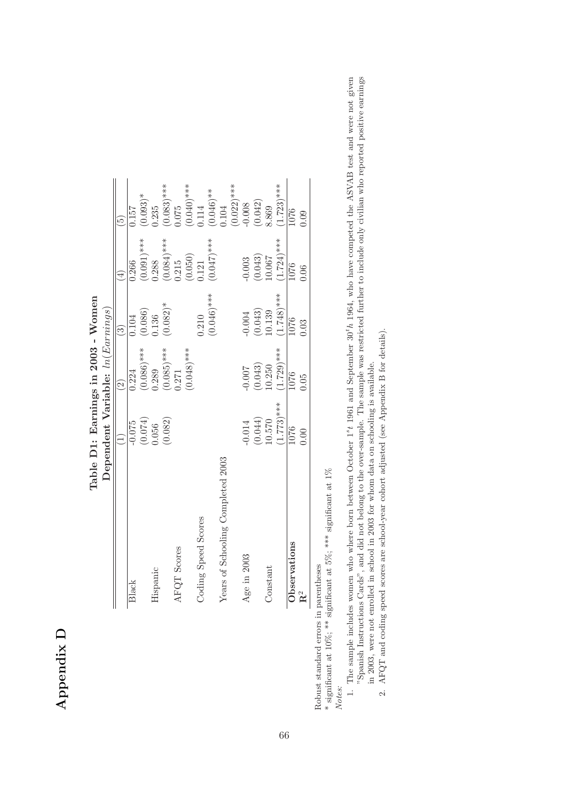# Appendix D

|                                   | Dependent Variable: $ln(Earnings)$ |               |               |               |                                  |
|-----------------------------------|------------------------------------|---------------|---------------|---------------|----------------------------------|
|                                   |                                    | $\widehat{c}$ | $\widehat{c}$ | $\bigoplus$   | $\tilde{5}$                      |
| Black                             | $-0.075$                           | 0.224         | 104           | 0.266         | 0.157                            |
|                                   | (0.074)                            | $(0.086)$ *** | (0.086)       | $(0.091)^***$ | $0.093)*$                        |
| Hispanic                          | 0.056                              | 0.289         | 1.136         | 0.288         | 1.235                            |
|                                   | (0.082)                            | $(0.085)$ *** | $(0.082)*$    | $(0.084)$ *** | $0.083$ <sup>***</sup>           |
| AFQT Scores                       |                                    | 0.271         |               | 0.215         | 0.075                            |
|                                   |                                    | $(0.048)$ *** |               | (0.050)       |                                  |
| Coding Speed Scores               |                                    |               | 0.210         | 1.21          | $(0.040)$ ***<br>0.114           |
|                                   |                                    |               | $(0.046)$ *** | $(0.047)$ *** | $(0.046)$ <sup>**</sup><br>0.104 |
| Years of Schooling Completed 2003 |                                    |               |               |               |                                  |
|                                   |                                    |               |               |               | $(0.022)$ ***<br>-0.008          |
| Age in 2003                       | $-0.014$                           | $-0.007$      | $-0.004$      | $-0.003$      |                                  |
|                                   | (0.044)                            | (0.043)       | (0.043)       | (0.043)       | (0.042)                          |
| Constant                          | 10.570                             | 10.250        | 10.139        | 10.007        | 8.869                            |
|                                   | $(1.773)$ ***                      | $(1.729)$ *** | $1.748$ )***  | $1.724$ )***  | $1.723$ <sup>***</sup>           |
| Observations                      | 1076                               | 1076          | 1076          | 1076          | 1076                             |
| $\mathbf{R}^2$                    | 0.00                               | 0.05          | 0.03          | 0.06          | 0.09                             |

Table D1: Earnings in 2003 - Women Table D1: Earnings in 2003 - Women

> Robust standard errors in parentheses Robust standard errors in parentheses

 $^*$  significant at 10%;  $^{**}$  significant at 5%;  $^{***}$  significant at 1% \* significant at 10%; \*\* significant at 5%; \*\*\* significant at 1%  $N_{1,4}$ .

- Notes:<br>1. The sample includes women who where born between October 1<sup>s</sup>t 1961 and September 30<sup>t</sup>h 1964, who have competed the ASVAB test and were not given<br>"Spanish Instructions Cards", and did not belong to the over-sam 1. The sample includes women who where born between October 1<sup>s</sup>t 1961 and September 30<sup>t</sup>h 1964, who have competed the ASVAB test and were not given "Spanish Instructions Cards", and did not belong to the over-sample. The sample was restricted further to include only civilian who reported positive earnings in 2003, were not enrolled in school in 2003 for whom data on schooling is available.
	- 2. AFQT and coding speed scores are school-year cohort adjusted (see Appendix B for details). 2. AFQT and coding speed scores are school-year cohort adjusted (see Appendix B for details).